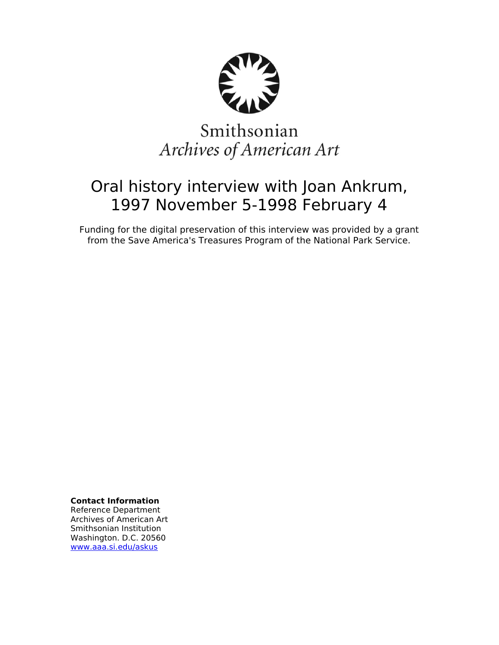

# Smithsonian Archives of American Art

# Oral history interview with Joan Ankrum, 1997 November 5-1998 February 4

Funding for the digital preservation of this interview was provided by a grant from the Save America's Treasures Program of the National Park Service.

**Contact Information**

Reference Department Archives of American Art Smithsonian Institution Washington. D.C. 20560 [www.aaa.si.edu/askus](http://www.aaa.si.edu/askus)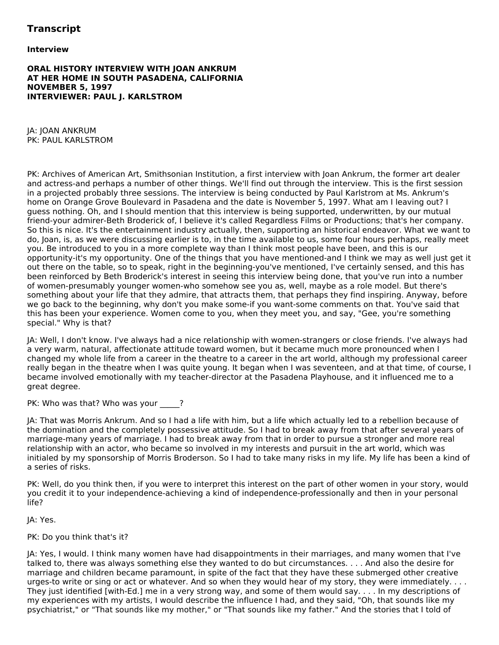# **Transcript**

### **Interview**

#### **ORAL HISTORY INTERVIEW WITH JOAN ANKRUM AT HER HOME IN SOUTH PASADENA, CALIFORNIA NOVEMBER 5, 1997 INTERVIEWER: PAUL J. KARLSTROM**

JA: JOAN ANKRUM PK: PAUL KARLSTROM

PK: Archives of American Art, Smithsonian Institution, a first interview with Joan Ankrum, the former art dealer and actress-and perhaps a number of other things. We'll find out through the interview. This is the first session in a projected probably three sessions. The interview is being conducted by Paul Karlstrom at Ms. Ankrum's home on Orange Grove Boulevard in Pasadena and the date is November 5, 1997. What am I leaving out? I guess nothing. Oh, and I should mention that this interview is being supported, underwritten, by our mutual friend-your admirer-Beth Broderick of, I believe it's called Regardless Films or Productions; that's her company. So this is nice. It's the entertainment industry actually, then, supporting an historical endeavor. What we want to do, Joan, is, as we were discussing earlier is to, in the time available to us, some four hours perhaps, really meet you. Be introduced to you in a more complete way than I think most people have been, and this is our opportunity-it's my opportunity. One of the things that you have mentioned-and I think we may as well just get it out there on the table, so to speak, right in the beginning-you've mentioned, I've certainly sensed, and this has been reinforced by Beth Broderick's interest in seeing this interview being done, that you've run into a number of women-presumably younger women-who somehow see you as, well, maybe as a role model. But there's something about your life that they admire, that attracts them, that perhaps they find inspiring. Anyway, before we go back to the beginning, why don't you make some-if you want-some comments on that. You've said that this has been your experience. Women come to you, when they meet you, and say, "Gee, you're something special." Why is that?

JA: Well, I don't know. I've always had a nice relationship with women-strangers or close friends. I've always had a very warm, natural, affectionate attitude toward women, but it became much more pronounced when I changed my whole life from a career in the theatre to a career in the art world, although my professional career really began in the theatre when I was quite young. It began when I was seventeen, and at that time, of course, I became involved emotionally with my teacher-director at the Pasadena Playhouse, and it influenced me to a great degree.

PK: Who was that? Who was your ?

JA: That was Morris Ankrum. And so I had a life with him, but a life which actually led to a rebellion because of the domination and the completely possessive attitude. So I had to break away from that after several years of marriage-many years of marriage. I had to break away from that in order to pursue a stronger and more real relationship with an actor, who became so involved in my interests and pursuit in the art world, which was initialed by my sponsorship of Morris Broderson. So I had to take many risks in my life. My life has been a kind of a series of risks.

PK: Well, do you think then, if you were to interpret this interest on the part of other women in your story, would you credit it to your independence-achieving a kind of independence-professionally and then in your personal life?

#### JA: Yes.

# PK: Do you think that's it?

JA: Yes, I would. I think many women have had disappointments in their marriages, and many women that I've talked to, there was always something else they wanted to do but circumstances. . . . And also the desire for marriage and children became paramount, in spite of the fact that they have these submerged other creative urges-to write or sing or act or whatever. And so when they would hear of my story, they were immediately. . . . They just identified [with-Ed.] me in a very strong way, and some of them would say. . . . In my descriptions of my experiences with my artists, I would describe the influence I had, and they said, "Oh, that sounds like my psychiatrist," or "That sounds like my mother," or "That sounds like my father." And the stories that I told of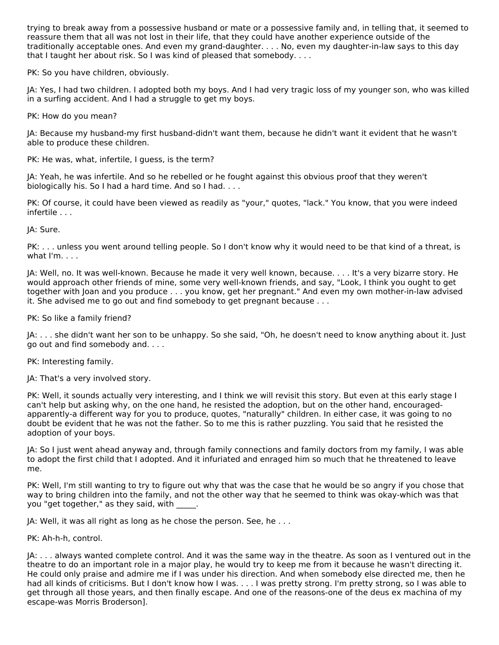trying to break away from a possessive husband or mate or a possessive family and, in telling that, it seemed to reassure them that all was not lost in their life, that they could have another experience outside of the traditionally acceptable ones. And even my grand-daughter. . . . No, even my daughter-in-law says to this day that I taught her about risk. So I was kind of pleased that somebody. . . .

PK: So you have children, obviously.

JA: Yes, I had two children. I adopted both my boys. And I had very tragic loss of my younger son, who was killed in a surfing accident. And I had a struggle to get my boys.

PK: How do you mean?

JA: Because my husband-my first husband-didn't want them, because he didn't want it evident that he wasn't able to produce these children.

PK: He was, what, infertile, I guess, is the term?

JA: Yeah, he was infertile. And so he rebelled or he fought against this obvious proof that they weren't biologically his. So I had a hard time. And so I had. . . .

PK: Of course, it could have been viewed as readily as "your," quotes, "lack." You know, that you were indeed infertile . . .

JA: Sure.

PK: . . . unless you went around telling people. So I don't know why it would need to be that kind of a threat, is what I'm. . . .

JA: Well, no. It was well-known. Because he made it very well known, because. . . . It's a very bizarre story. He would approach other friends of mine, some very well-known friends, and say, "Look, I think you ought to get together with Joan and you produce . . . you know, get her pregnant." And even my own mother-in-law advised it. She advised me to go out and find somebody to get pregnant because . . .

PK: So like a family friend?

JA: . . . she didn't want her son to be unhappy. So she said, "Oh, he doesn't need to know anything about it. Just go out and find somebody and. . . .

PK: Interesting family.

JA: That's a very involved story.

PK: Well, it sounds actually very interesting, and I think we will revisit this story. But even at this early stage I can't help but asking why, on the one hand, he resisted the adoption, but on the other hand, encouragedapparently-a different way for you to produce, quotes, "naturally" children. In either case, it was going to no doubt be evident that he was not the father. So to me this is rather puzzling. You said that he resisted the adoption of your boys.

JA: So I just went ahead anyway and, through family connections and family doctors from my family, I was able to adopt the first child that I adopted. And it infuriated and enraged him so much that he threatened to leave me.

PK: Well, I'm still wanting to try to figure out why that was the case that he would be so angry if you chose that way to bring children into the family, and not the other way that he seemed to think was okay-which was that you "get together," as they said, with

JA: Well, it was all right as long as he chose the person. See, he . . .

PK: Ah-h-h, control.

JA: . . . always wanted complete control. And it was the same way in the theatre. As soon as I ventured out in the theatre to do an important role in a major play, he would try to keep me from it because he wasn't directing it. He could only praise and admire me if I was under his direction. And when somebody else directed me, then he had all kinds of criticisms. But I don't know how I was. . . . I was pretty strong. I'm pretty strong, so I was able to get through all those years, and then finally escape. And one of the reasons-one of the deus ex machina of my escape-was Morris Broderson].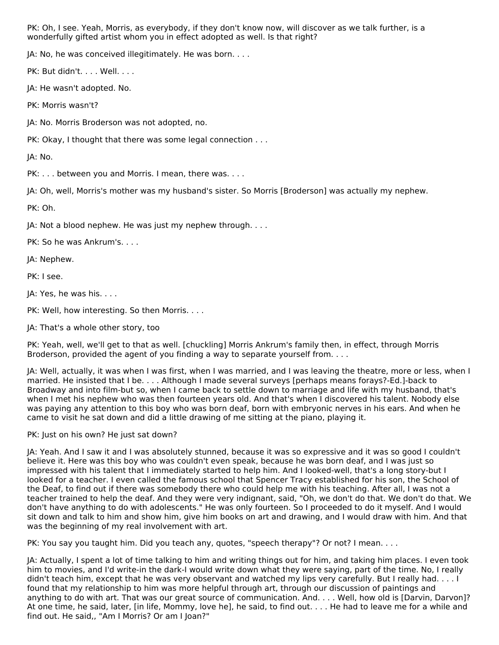PK: Oh, I see. Yeah, Morris, as everybody, if they don't know now, will discover as we talk further, is a wonderfully gifted artist whom you in effect adopted as well. Is that right?

JA: No, he was conceived illegitimately. He was born. . . .

PK: But didn't. . . . Well. . . .

JA: He wasn't adopted. No.

PK: Morris wasn't?

JA: No. Morris Broderson was not adopted, no.

PK: Okay, I thought that there was some legal connection . . .

JA: No.

PK: . . . between you and Morris. I mean, there was. . . .

JA: Oh, well, Morris's mother was my husband's sister. So Morris [Broderson] was actually my nephew.

PK: Oh.

JA: Not a blood nephew. He was just my nephew through. . . .

PK: So he was Ankrum's. . . .

JA: Nephew.

PK: I see.

JA: Yes, he was his. . . .

PK: Well, how interesting. So then Morris. . . .

JA: That's a whole other story, too

PK: Yeah, well, we'll get to that as well. [chuckling] Morris Ankrum's family then, in effect, through Morris Broderson, provided the agent of you finding a way to separate yourself from. . . .

JA: Well, actually, it was when I was first, when I was married, and I was leaving the theatre, more or less, when I married. He insisted that I be. . . . Although I made several surveys [perhaps means forays?-Ed.]-back to Broadway and into film-but so, when I came back to settle down to marriage and life with my husband, that's when I met his nephew who was then fourteen years old. And that's when I discovered his talent. Nobody else was paying any attention to this boy who was born deaf, born with embryonic nerves in his ears. And when he came to visit he sat down and did a little drawing of me sitting at the piano, playing it.

# PK: Just on his own? He just sat down?

JA: Yeah. And I saw it and I was absolutely stunned, because it was so expressive and it was so good I couldn't believe it. Here was this boy who was couldn't even speak, because he was born deaf, and I was just so impressed with his talent that I immediately started to help him. And I looked-well, that's a long story-but I looked for a teacher. I even called the famous school that Spencer Tracy established for his son, the School of the Deaf, to find out if there was somebody there who could help me with his teaching. After all, I was not a teacher trained to help the deaf. And they were very indignant, said, "Oh, we don't do that. We don't do that. We don't have anything to do with adolescents." He was only fourteen. So I proceeded to do it myself. And I would sit down and talk to him and show him, give him books on art and drawing, and I would draw with him. And that was the beginning of my real involvement with art.

PK: You say you taught him. Did you teach any, quotes, "speech therapy"? Or not? I mean. . . .

JA: Actually, I spent a lot of time talking to him and writing things out for him, and taking him places. I even took him to movies, and I'd write-in the dark-I would write down what they were saying, part of the time. No, I really didn't teach him, except that he was very observant and watched my lips very carefully. But I really had. . . . I found that my relationship to him was more helpful through art, through our discussion of paintings and anything to do with art. That was our great source of communication. And. . . . Well, how old is [Darvin, Darvon]? At one time, he said, later, [in life, Mommy, love he], he said, to find out. . . . He had to leave me for a while and find out. He said,, "Am I Morris? Or am I Joan?"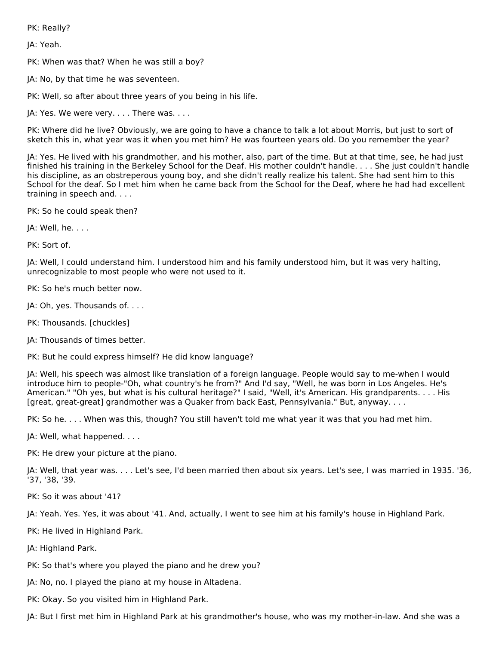PK: Really?

JA: Yeah.

PK: When was that? When he was still a boy?

JA: No, by that time he was seventeen.

PK: Well, so after about three years of you being in his life.

JA: Yes. We were very. . . . There was. . . .

PK: Where did he live? Obviously, we are going to have a chance to talk a lot about Morris, but just to sort of sketch this in, what year was it when you met him? He was fourteen years old. Do you remember the year?

JA: Yes. He lived with his grandmother, and his mother, also, part of the time. But at that time, see, he had just finished his training in the Berkeley School for the Deaf. His mother couldn't handle. . . . She just couldn't handle his discipline, as an obstreperous young boy, and she didn't really realize his talent. She had sent him to this School for the deaf. So I met him when he came back from the School for the Deaf, where he had had excellent training in speech and. . . .

PK: So he could speak then?

JA: Well, he. . . .

PK: Sort of.

JA: Well, I could understand him. I understood him and his family understood him, but it was very halting, unrecognizable to most people who were not used to it.

PK: So he's much better now.

JA: Oh, yes. Thousands of. . . .

PK: Thousands. [chuckles]

JA: Thousands of times better.

PK: But he could express himself? He did know language?

JA: Well, his speech was almost like translation of a foreign language. People would say to me-when I would introduce him to people-"Oh, what country's he from?" And I'd say, "Well, he was born in Los Angeles. He's American." "Oh yes, but what is his cultural heritage?" I said, "Well, it's American. His grandparents. . . . His [great, great-great] grandmother was a Quaker from back East, Pennsylvania." But, anyway. . . .

PK: So he. . . . When was this, though? You still haven't told me what year it was that you had met him.

JA: Well, what happened. . . .

PK: He drew your picture at the piano.

JA: Well, that year was. . . . Let's see, I'd been married then about six years. Let's see, I was married in 1935. '36, '37, '38, '39.

PK: So it was about '41?

JA: Yeah. Yes. Yes, it was about '41. And, actually, I went to see him at his family's house in Highland Park.

PK: He lived in Highland Park.

JA: Highland Park.

PK: So that's where you played the piano and he drew you?

JA: No, no. I played the piano at my house in Altadena.

PK: Okay. So you visited him in Highland Park.

JA: But I first met him in Highland Park at his grandmother's house, who was my mother-in-law. And she was a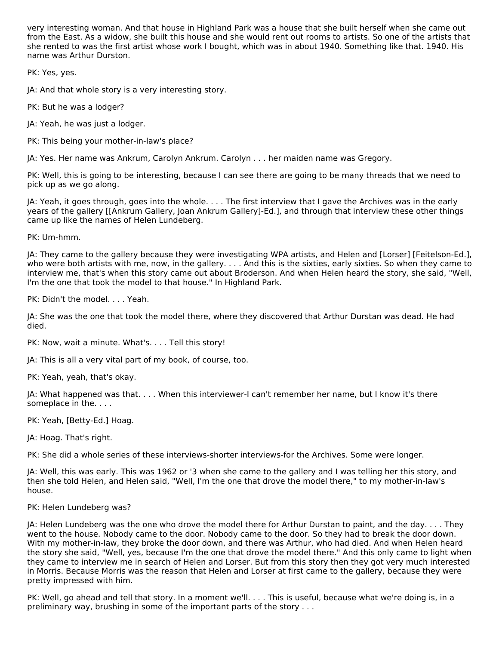very interesting woman. And that house in Highland Park was a house that she built herself when she came out from the East. As a widow, she built this house and she would rent out rooms to artists. So one of the artists that she rented to was the first artist whose work I bought, which was in about 1940. Something like that. 1940. His name was Arthur Durston.

PK: Yes, yes.

JA: And that whole story is a very interesting story.

PK: But he was a lodger?

JA: Yeah, he was just a lodger.

PK: This being your mother-in-law's place?

JA: Yes. Her name was Ankrum, Carolyn Ankrum. Carolyn . . . her maiden name was Gregory.

PK: Well, this is going to be interesting, because I can see there are going to be many threads that we need to pick up as we go along.

JA: Yeah, it goes through, goes into the whole. . . . The first interview that I gave the Archives was in the early years of the gallery [[Ankrum Gallery, Joan Ankrum Gallery]-Ed.], and through that interview these other things came up like the names of Helen Lundeberg.

PK: Um-hmm.

JA: They came to the gallery because they were investigating WPA artists, and Helen and [Lorser] [Feitelson-Ed.], who were both artists with me, now, in the gallery. . . . And this is the sixties, early sixties. So when they came to interview me, that's when this story came out about Broderson. And when Helen heard the story, she said, "Well, I'm the one that took the model to that house." In Highland Park.

PK: Didn't the model. . . . Yeah.

JA: She was the one that took the model there, where they discovered that Arthur Durstan was dead. He had died.

PK: Now, wait a minute. What's. . . . Tell this story!

JA: This is all a very vital part of my book, of course, too.

PK: Yeah, yeah, that's okay.

JA: What happened was that. . . . When this interviewer-I can't remember her name, but I know it's there someplace in the. . . .

PK: Yeah, [Betty-Ed.] Hoag.

JA: Hoag. That's right.

PK: She did a whole series of these interviews-shorter interviews-for the Archives. Some were longer.

JA: Well, this was early. This was 1962 or '3 when she came to the gallery and I was telling her this story, and then she told Helen, and Helen said, "Well, I'm the one that drove the model there," to my mother-in-law's house.

PK: Helen Lundeberg was?

JA: Helen Lundeberg was the one who drove the model there for Arthur Durstan to paint, and the day. . . . They went to the house. Nobody came to the door. Nobody came to the door. So they had to break the door down. With my mother-in-law, they broke the door down, and there was Arthur, who had died. And when Helen heard the story she said, "Well, yes, because I'm the one that drove the model there." And this only came to light when they came to interview me in search of Helen and Lorser. But from this story then they got very much interested in Morris. Because Morris was the reason that Helen and Lorser at first came to the gallery, because they were pretty impressed with him.

PK: Well, go ahead and tell that story. In a moment we'll. . . . This is useful, because what we're doing is, in a preliminary way, brushing in some of the important parts of the story . . .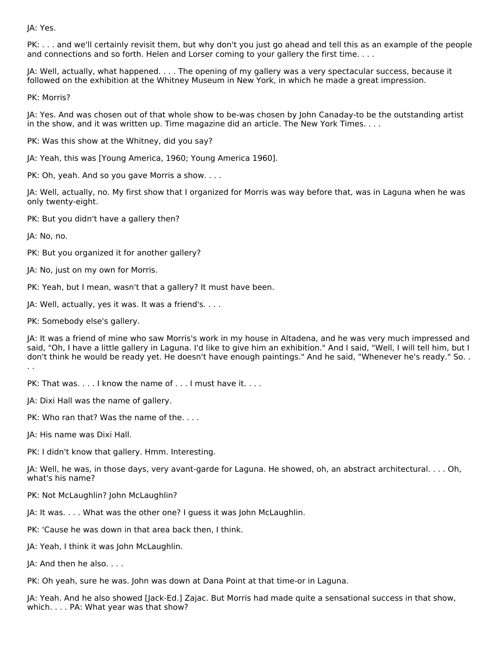JA: Yes.

PK: . . . and we'll certainly revisit them, but why don't you just go ahead and tell this as an example of the people and connections and so forth. Helen and Lorser coming to your gallery the first time. . . .

JA: Well, actually, what happened. . . . The opening of my gallery was a very spectacular success, because it followed on the exhibition at the Whitney Museum in New York, in which he made a great impression.

PK: Morris?

JA: Yes. And was chosen out of that whole show to be-was chosen by John Canaday-to be the outstanding artist in the show, and it was written up. Time magazine did an article. The New York Times. . . .

PK: Was this show at the Whitney, did you say?

JA: Yeah, this was [Young America, 1960; Young America 1960].

PK: Oh, yeah. And so you gave Morris a show. . . .

JA: Well, actually, no. My first show that I organized for Morris was way before that, was in Laguna when he was only twenty-eight.

PK: But you didn't have a gallery then?

JA: No, no.

PK: But you organized it for another gallery?

JA: No, just on my own for Morris.

PK: Yeah, but I mean, wasn't that a gallery? It must have been.

JA: Well, actually, yes it was. It was a friend's. . . .

PK: Somebody else's gallery.

JA: It was a friend of mine who saw Morris's work in my house in Altadena, and he was very much impressed and said, "Oh, I have a little gallery in Laguna. I'd like to give him an exhibition." And I said, "Well, I will tell him, but I don't think he would be ready yet. He doesn't have enough paintings." And he said, "Whenever he's ready." So. . . .

PK: That was. . . . I know the name of . . . I must have it. . . .

JA: Dixi Hall was the name of gallery.

PK: Who ran that? Was the name of the. . . .

JA: His name was Dixi Hall.

PK: I didn't know that gallery. Hmm. Interesting.

JA: Well, he was, in those days, very avant-garde for Laguna. He showed, oh, an abstract architectural. . . . Oh, what's his name?

PK: Not McLaughlin? John McLaughlin?

JA: It was. . . . What was the other one? I guess it was John McLaughlin.

PK: 'Cause he was down in that area back then, I think.

JA: Yeah, I think it was John McLaughlin.

JA: And then he also. . . .

PK: Oh yeah, sure he was. John was down at Dana Point at that time-or in Laguna.

JA: Yeah. And he also showed [Jack-Ed.] Zajac. But Morris had made quite a sensational success in that show, which. . . . PA: What year was that show?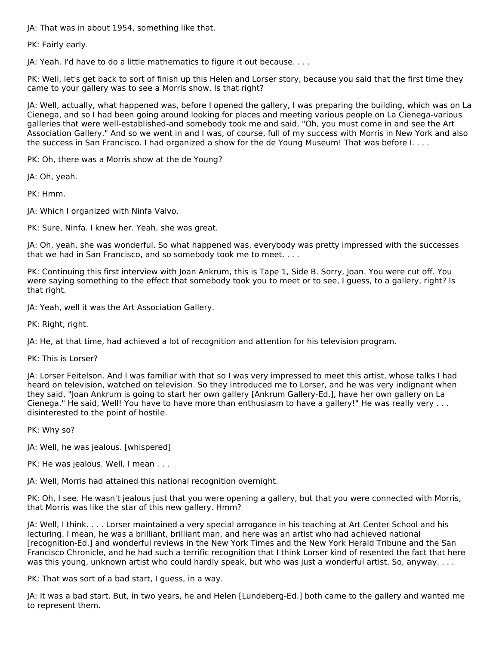JA: That was in about 1954, something like that.

PK: Fairly early.

JA: Yeah. I'd have to do a little mathematics to figure it out because. . . .

PK: Well, let's get back to sort of finish up this Helen and Lorser story, because you said that the first time they came to your gallery was to see a Morris show. Is that right?

JA: Well, actually, what happened was, before I opened the gallery, I was preparing the building, which was on La Cienega, and so I had been going around looking for places and meeting various people on La Cienega-various galleries that were well-established-and somebody took me and said, "Oh, you must come in and see the Art Association Gallery." And so we went in and I was, of course, full of my success with Morris in New York and also the success in San Francisco. I had organized a show for the de Young Museum! That was before I....

PK: Oh, there was a Morris show at the de Young?

JA: Oh, yeah.

PK: Hmm.

JA: Which I organized with Ninfa Valvo.

PK: Sure, Ninfa. I knew her. Yeah, she was great.

JA: Oh, yeah, she was wonderful. So what happened was, everybody was pretty impressed with the successes that we had in San Francisco, and so somebody took me to meet. . . .

PK: Continuing this first interview with Joan Ankrum, this is Tape 1, Side B. Sorry, Joan. You were cut off. You were saying something to the effect that somebody took you to meet or to see, I guess, to a gallery, right? Is that right.

JA: Yeah, well it was the Art Association Gallery.

PK: Right, right.

JA: He, at that time, had achieved a lot of recognition and attention for his television program.

PK: This is Lorser?

JA: Lorser Feitelson. And I was familiar with that so I was very impressed to meet this artist, whose talks I had heard on television, watched on television. So they introduced me to Lorser, and he was very indignant when they said, "Joan Ankrum is going to start her own gallery [Ankrum Gallery-Ed.], have her own gallery on La Cienega." He said, Well! You have to have more than enthusiasm to have a gallery!" He was really very . . . disinterested to the point of hostile.

PK: Why so?

JA: Well, he was jealous. [whispered]

PK: He was jealous. Well, I mean . . .

JA: Well, Morris had attained this national recognition overnight.

PK: Oh, I see. He wasn't jealous just that you were opening a gallery, but that you were connected with Morris, that Morris was like the star of this new gallery. Hmm?

JA: Well, I think. . . . Lorser maintained a very special arrogance in his teaching at Art Center School and his lecturing. I mean, he was a brilliant, brilliant man, and here was an artist who had achieved national [recognition-Ed.] and wonderful reviews in the New York Times and the New York Herald Tribune and the San Francisco Chronicle, and he had such a terrific recognition that I think Lorser kind of resented the fact that here was this young, unknown artist who could hardly speak, but who was just a wonderful artist. So, anyway. . . .

PK: That was sort of a bad start, I guess, in a way.

JA: It was a bad start. But, in two years, he and Helen [Lundeberg-Ed.] both came to the gallery and wanted me to represent them.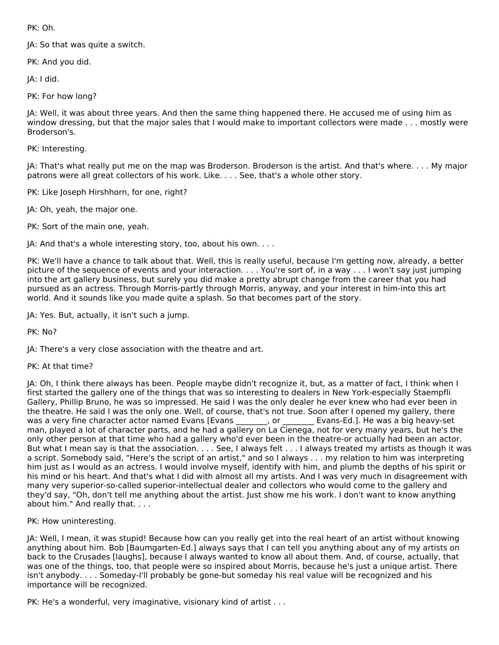PK: Oh.

JA: So that was quite a switch.

PK: And you did.

JA: I did.

PK: For how long?

JA: Well, it was about three years. And then the same thing happened there. He accused me of using him as window dressing, but that the major sales that I would make to important collectors were made . . . mostly were Broderson's.

PK: Interesting.

JA: That's what really put me on the map was Broderson. Broderson is the artist. And that's where. . . . My major patrons were all great collectors of his work. Like. . . . See, that's a whole other story.

PK: Like Joseph Hirshhorn, for one, right?

JA: Oh, yeah, the major one.

PK: Sort of the main one, yeah.

JA: And that's a whole interesting story, too, about his own. . . .

PK: We'll have a chance to talk about that. Well, this is really useful, because I'm getting now, already, a better picture of the sequence of events and your interaction. . . . You're sort of, in a way . . . I won't say just jumping into the art gallery business, but surely you did make a pretty abrupt change from the career that you had pursued as an actress. Through Morris-partly through Morris, anyway, and your interest in him-into this art world. And it sounds like you made quite a splash. So that becomes part of the story.

JA: Yes. But, actually, it isn't such a jump.

PK: No?

JA: There's a very close association with the theatre and art.

PK: At that time?

JA: Oh, I think there always has been. People maybe didn't recognize it, but, as a matter of fact, I think when I first started the gallery one of the things that was so interesting to dealers in New York-especially Staempfli Gallery, Phillip Bruno, he was so impressed. He said I was the only dealer he ever knew who had ever been in the theatre. He said I was the only one. Well, of course, that's not true. Soon after I opened my gallery, there was a very fine character actor named Evans [Evans | production], or [1] Evans-Ed.]. He was a big heavy-set was a very fine character actor named Evans [Evans \_\_\_\_\_\_\_\_, or man, played a lot of character parts, and he had a gallery on La Cienega, not for very many years, but he's the only other person at that time who had a gallery who'd ever been in the theatre-or actually had been an actor. But what I mean say is that the association. . . . See, I always felt . . . I always treated my artists as though it was a script. Somebody said, "Here's the script of an artist," and so I always . . . my relation to him was interpreting him just as I would as an actress. I would involve myself, identify with him, and plumb the depths of his spirit or his mind or his heart. And that's what I did with almost all my artists. And I was very much in disagreement with many very superior-so-called superior-intellectual dealer and collectors who would come to the gallery and they'd say, "Oh, don't tell me anything about the artist. Just show me his work. I don't want to know anything about him." And really that. . . .

PK: How uninteresting.

JA: Well, I mean, it was stupid! Because how can you really get into the real heart of an artist without knowing anything about him. Bob [Baumgarten-Ed.] always says that I can tell you anything about any of my artists on back to the Crusades [laughs], because I always wanted to know all about them. And, of course, actually, that was one of the things, too, that people were so inspired about Morris, because he's just a unique artist. There isn't anybody. . . . Someday-I'll probably be gone-but someday his real value will be recognized and his importance will be recognized.

PK: He's a wonderful, very imaginative, visionary kind of artist . . .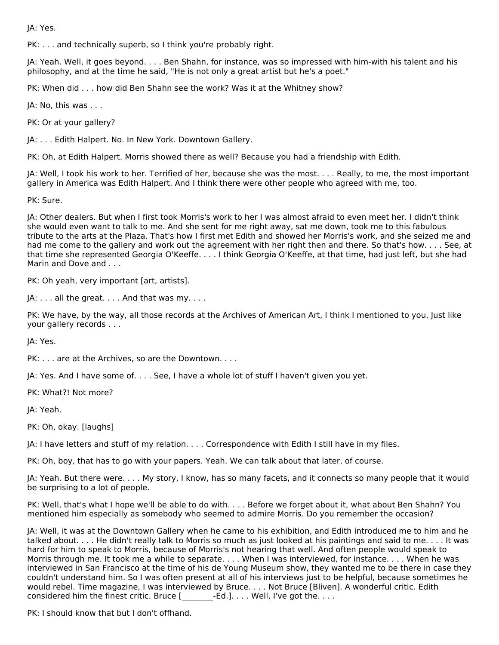JA: Yes.

PK: . . . and technically superb, so I think you're probably right.

JA: Yeah. Well, it goes beyond. . . . Ben Shahn, for instance, was so impressed with him-with his talent and his philosophy, and at the time he said, "He is not only a great artist but he's a poet."

PK: When did . . . how did Ben Shahn see the work? Was it at the Whitney show?

JA: No, this was . . .

PK: Or at your gallery?

JA: . . . Edith Halpert. No. In New York. Downtown Gallery.

PK: Oh, at Edith Halpert. Morris showed there as well? Because you had a friendship with Edith.

JA: Well, I took his work to her. Terrified of her, because she was the most. . . . Really, to me, the most important gallery in America was Edith Halpert. And I think there were other people who agreed with me, too.

PK: Sure.

JA: Other dealers. But when I first took Morris's work to her I was almost afraid to even meet her. I didn't think she would even want to talk to me. And she sent for me right away, sat me down, took me to this fabulous tribute to the arts at the Plaza. That's how I first met Edith and showed her Morris's work, and she seized me and had me come to the gallery and work out the agreement with her right then and there. So that's how. . . . See, at that time she represented Georgia O'Keeffe. . . . I think Georgia O'Keeffe, at that time, had just left, but she had Marin and Dove and . . .

PK: Oh yeah, very important [art, artists].

JA: . . . all the great. . . . And that was my. . . .

PK: We have, by the way, all those records at the Archives of American Art, I think I mentioned to you. Just like your gallery records . . .

JA: Yes.

PK: . . . are at the Archives, so are the Downtown. . . .

JA: Yes. And I have some of. . . . See, I have a whole lot of stuff I haven't given you yet.

PK: What?! Not more?

JA: Yeah.

PK: Oh, okay. [laughs]

JA: I have letters and stuff of my relation. . . . Correspondence with Edith I still have in my files.

PK: Oh, boy, that has to go with your papers. Yeah. We can talk about that later, of course.

JA: Yeah. But there were. . . . My story, I know, has so many facets, and it connects so many people that it would be surprising to a lot of people.

PK: Well, that's what I hope we'll be able to do with. . . . Before we forget about it, what about Ben Shahn? You mentioned him especially as somebody who seemed to admire Morris. Do you remember the occasion?

JA: Well, it was at the Downtown Gallery when he came to his exhibition, and Edith introduced me to him and he talked about. . . . He didn't really talk to Morris so much as just looked at his paintings and said to me. . . . It was hard for him to speak to Morris, because of Morris's not hearing that well. And often people would speak to Morris through me. It took me a while to separate. . . . When I was interviewed, for instance. . . . When he was interviewed in San Francisco at the time of his de Young Museum show, they wanted me to be there in case they couldn't understand him. So I was often present at all of his interviews just to be helpful, because sometimes he would rebel. Time magazine, I was interviewed by Bruce. . . . Not Bruce [Bliven]. A wonderful critic. Edith considered him the finest critic. Bruce [\_\_\_\_\_\_\_\_-Ed.]. . . . Well, I've got the. . . .

PK: I should know that but I don't offhand.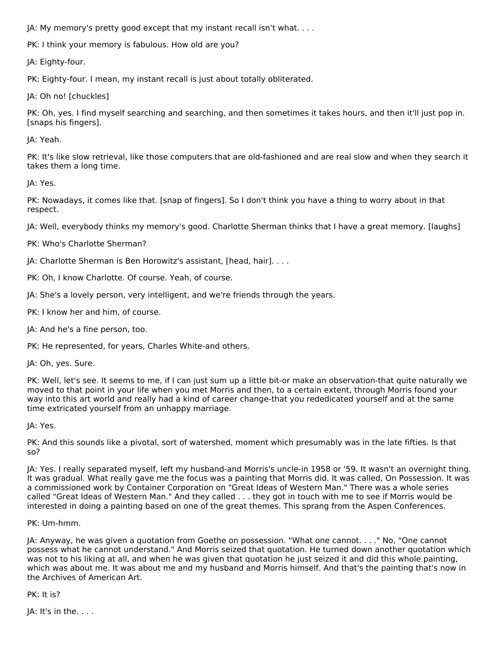JA: My memory's pretty good except that my instant recall isn't what. . . .

PK: I think your memory is fabulous. How old are you?

JA: Eighty-four.

PK: Eighty-four. I mean, my instant recall is just about totally obliterated.

JA: Oh no! [chuckles]

PK: Oh, yes. I find myself searching and searching, and then sometimes it takes hours, and then it'll just pop in. [snaps his fingers].

JA: Yeah.

PK: It's like slow retrieval, like those computers that are old-fashioned and are real slow and when they search it takes them a long time.

JA: Yes.

PK: Nowadays, it comes like that. [snap of fingers]. So I don't think you have a thing to worry about in that respect.

JA: Well, everybody thinks my memory's good. Charlotte Sherman thinks that I have a great memory. [laughs]

PK: Who's Charlotte Sherman?

JA: Charlotte Sherman is Ben Horowitz's assistant, [head, hair]. . . .

PK: Oh, I know Charlotte. Of course. Yeah, of course.

JA: She's a lovely person, very intelligent, and we're friends through the years.

PK: I know her and him, of course.

JA: And he's a fine person, too.

PK: He represented, for years, Charles White-and others.

JA: Oh, yes. Sure.

PK: Well, let's see. It seems to me, if I can just sum up a little bit-or make an observation-that quite naturally we moved to that point in your life when you met Morris and then, to a certain extent, through Morris found your way into this art world and really had a kind of career change-that you rededicated yourself and at the same time extricated yourself from an unhappy marriage.

JA: Yes.

PK: And this sounds like a pivotal, sort of watershed, moment which presumably was in the late fifties. Is that so?

JA: Yes. I really separated myself, left my husband-and Morris's uncle-in 1958 or '59. It wasn't an overnight thing. It was gradual. What really gave me the focus was a painting that Morris did. It was called, On Possession. It was a commissioned work by Container Corporation on "Great Ideas of Western Man." There was a whole series called "Great Ideas of Western Man." And they called . . . they got in touch with me to see if Morris would be interested in doing a painting based on one of the great themes. This sprang from the Aspen Conferences.

# PK: Um-hmm.

JA: Anyway, he was given a quotation from Goethe on possession. "What one cannot. . . ." No, "One cannot possess what he cannot understand." And Morris seized that quotation. He turned down another quotation which was not to his liking at all, and when he was given that quotation he just seized it and did this whole painting, which was about me. It was about me and my husband and Morris himself. And that's the painting that's now in the Archives of American Art.

PK: It is?

JA: It's in the. . . .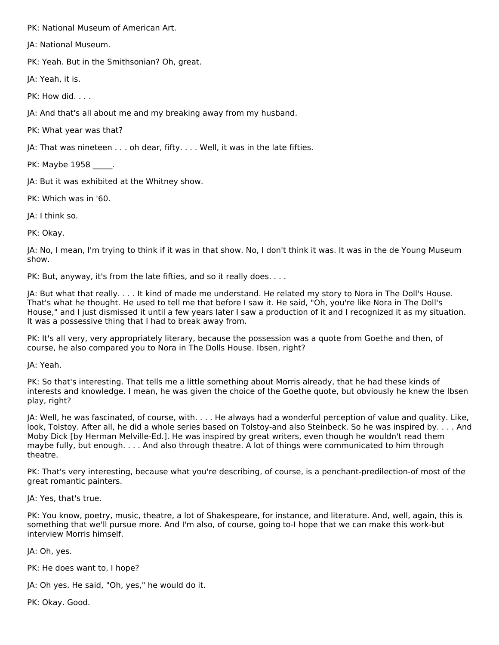PK: National Museum of American Art.

JA: National Museum.

PK: Yeah. But in the Smithsonian? Oh, great.

JA: Yeah, it is.

PK: How did. . . .

JA: And that's all about me and my breaking away from my husband.

PK: What year was that?

JA: That was nineteen . . . oh dear, fifty. . . . Well, it was in the late fifties.

PK: Maybe 1958 .

JA: But it was exhibited at the Whitney show.

PK: Which was in '60.

JA: I think so.

PK: Okay.

JA: No, I mean, I'm trying to think if it was in that show. No, I don't think it was. It was in the de Young Museum show.

PK: But, anyway, it's from the late fifties, and so it really does. . . .

JA: But what that really. . . . It kind of made me understand. He related my story to Nora in The Doll's House. That's what he thought. He used to tell me that before I saw it. He said, "Oh, you're like Nora in The Doll's House," and I just dismissed it until a few years later I saw a production of it and I recognized it as my situation. It was a possessive thing that I had to break away from.

PK: It's all very, very appropriately literary, because the possession was a quote from Goethe and then, of course, he also compared you to Nora in The Dolls House. Ibsen, right?

JA: Yeah.

PK: So that's interesting. That tells me a little something about Morris already, that he had these kinds of interests and knowledge. I mean, he was given the choice of the Goethe quote, but obviously he knew the Ibsen play, right?

JA: Well, he was fascinated, of course, with. . . . He always had a wonderful perception of value and quality. Like, look, Tolstoy. After all, he did a whole series based on Tolstoy-and also Steinbeck. So he was inspired by. . . . And Moby Dick [by Herman Melville-Ed.]. He was inspired by great writers, even though he wouldn't read them maybe fully, but enough. . . . And also through theatre. A lot of things were communicated to him through theatre.

PK: That's very interesting, because what you're describing, of course, is a penchant-predilection-of most of the great romantic painters.

JA: Yes, that's true.

PK: You know, poetry, music, theatre, a lot of Shakespeare, for instance, and literature. And, well, again, this is something that we'll pursue more. And I'm also, of course, going to-I hope that we can make this work-but interview Morris himself.

JA: Oh, yes.

PK: He does want to, I hope?

JA: Oh yes. He said, "Oh, yes," he would do it.

PK: Okay. Good.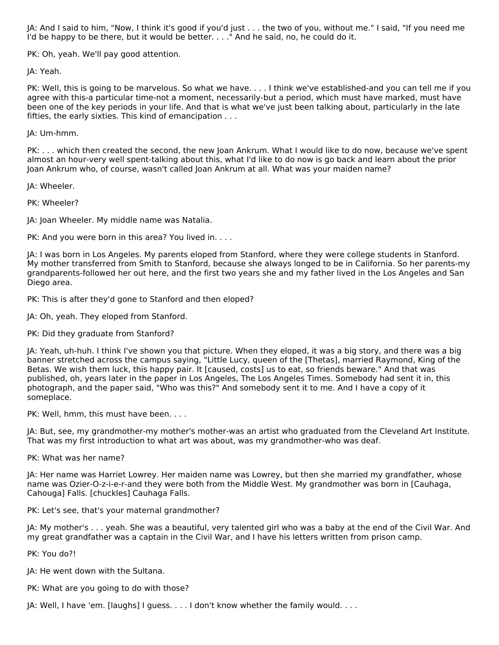JA: And I said to him, "Now, I think it's good if you'd just . . . the two of you, without me." I said, "If you need me I'd be happy to be there, but it would be better. . . ." And he said, no, he could do it.

PK: Oh, yeah. We'll pay good attention.

JA: Yeah.

PK: Well, this is going to be marvelous. So what we have. . . . I think we've established-and you can tell me if you agree with this-a particular time-not a moment, necessarily-but a period, which must have marked, must have been one of the key periods in your life. And that is what we've just been talking about, particularly in the late fifties, the early sixties. This kind of emancipation . . .

JA: Um-hmm.

PK: . . . which then created the second, the new Joan Ankrum. What I would like to do now, because we've spent almost an hour-very well spent-talking about this, what I'd like to do now is go back and learn about the prior Joan Ankrum who, of course, wasn't called Joan Ankrum at all. What was your maiden name?

JA: Wheeler.

PK: Wheeler?

JA: Joan Wheeler. My middle name was Natalia.

PK: And you were born in this area? You lived in. . . .

JA: I was born in Los Angeles. My parents eloped from Stanford, where they were college students in Stanford. My mother transferred from Smith to Stanford, because she always longed to be in California. So her parents-my grandparents-followed her out here, and the first two years she and my father lived in the Los Angeles and San Diego area.

PK: This is after they'd gone to Stanford and then eloped?

JA: Oh, yeah. They eloped from Stanford.

PK: Did they graduate from Stanford?

JA: Yeah, uh-huh. I think I've shown you that picture. When they eloped, it was a big story, and there was a big banner stretched across the campus saying, "Little Lucy, queen of the [Thetas], married Raymond, King of the Betas. We wish them luck, this happy pair. It [caused, costs] us to eat, so friends beware." And that was published, oh, years later in the paper in Los Angeles, The Los Angeles Times. Somebody had sent it in, this photograph, and the paper said, "Who was this?" And somebody sent it to me. And I have a copy of it someplace.

PK: Well, hmm, this must have been. . . .

JA: But, see, my grandmother-my mother's mother-was an artist who graduated from the Cleveland Art Institute. That was my first introduction to what art was about, was my grandmother-who was deaf.

PK: What was her name?

JA: Her name was Harriet Lowrey. Her maiden name was Lowrey, but then she married my grandfather, whose name was Ozier-O-z-i-e-r-and they were both from the Middle West. My grandmother was born in [Cauhaga, Cahouga] Falls. [chuckles] Cauhaga Falls.

PK: Let's see, that's your maternal grandmother?

JA: My mother's . . . yeah. She was a beautiful, very talented girl who was a baby at the end of the Civil War. And my great grandfather was a captain in the Civil War, and I have his letters written from prison camp.

PK: You do?!

JA: He went down with the Sultana.

PK: What are you going to do with those?

JA: Well, I have 'em. [laughs] I guess. . . . I don't know whether the family would. . . .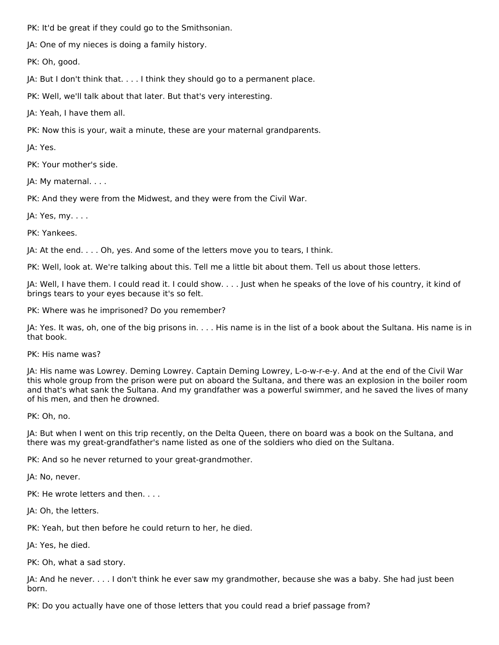PK: It'd be great if they could go to the Smithsonian.

JA: One of my nieces is doing a family history.

PK: Oh, good.

JA: But I don't think that. . . . I think they should go to a permanent place.

PK: Well, we'll talk about that later. But that's very interesting.

JA: Yeah, I have them all.

PK: Now this is your, wait a minute, these are your maternal grandparents.

JA: Yes.

PK: Your mother's side.

JA: My maternal. . . .

PK: And they were from the Midwest, and they were from the Civil War.

JA: Yes, my. . . .

PK: Yankees.

JA: At the end. . . . Oh, yes. And some of the letters move you to tears, I think.

PK: Well, look at. We're talking about this. Tell me a little bit about them. Tell us about those letters.

JA: Well, I have them. I could read it. I could show. . . . Just when he speaks of the love of his country, it kind of brings tears to your eyes because it's so felt.

PK: Where was he imprisoned? Do you remember?

JA: Yes. It was, oh, one of the big prisons in. . . . His name is in the list of a book about the Sultana. His name is in that book.

PK: His name was?

JA: His name was Lowrey. Deming Lowrey. Captain Deming Lowrey, L-o-w-r-e-y. And at the end of the Civil War this whole group from the prison were put on aboard the Sultana, and there was an explosion in the boiler room and that's what sank the Sultana. And my grandfather was a powerful swimmer, and he saved the lives of many of his men, and then he drowned.

PK: Oh, no.

JA: But when I went on this trip recently, on the Delta Queen, there on board was a book on the Sultana, and there was my great-grandfather's name listed as one of the soldiers who died on the Sultana.

PK: And so he never returned to your great-grandmother.

JA: No, never.

PK: He wrote letters and then. . . .

JA: Oh, the letters.

PK: Yeah, but then before he could return to her, he died.

JA: Yes, he died.

PK: Oh, what a sad story.

JA: And he never. . . . I don't think he ever saw my grandmother, because she was a baby. She had just been born.

PK: Do you actually have one of those letters that you could read a brief passage from?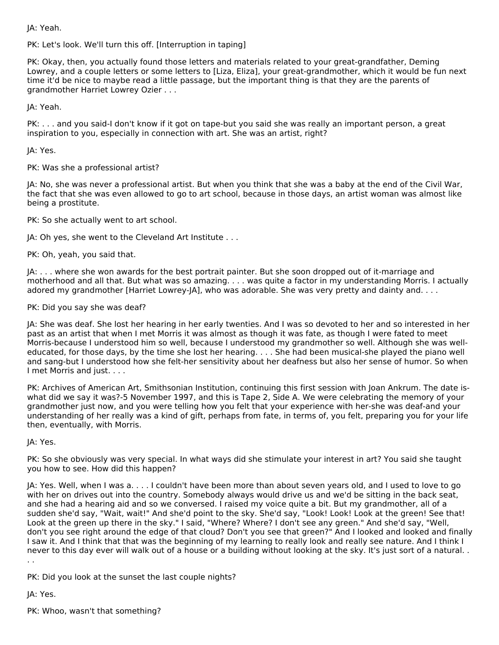JA: Yeah.

PK: Let's look. We'll turn this off. [Interruption in taping]

PK: Okay, then, you actually found those letters and materials related to your great-grandfather, Deming Lowrey, and a couple letters or some letters to [Liza, Eliza], your great-grandmother, which it would be fun next time it'd be nice to maybe read a little passage, but the important thing is that they are the parents of grandmother Harriet Lowrey Ozier . . .

JA: Yeah.

PK: . . . and you said-I don't know if it got on tape-but you said she was really an important person, a great inspiration to you, especially in connection with art. She was an artist, right?

JA: Yes.

PK: Was she a professional artist?

JA: No, she was never a professional artist. But when you think that she was a baby at the end of the Civil War, the fact that she was even allowed to go to art school, because in those days, an artist woman was almost like being a prostitute.

PK: So she actually went to art school.

JA: Oh yes, she went to the Cleveland Art Institute . . .

PK: Oh, yeah, you said that.

JA: . . . where she won awards for the best portrait painter. But she soon dropped out of it-marriage and motherhood and all that. But what was so amazing. . . . was quite a factor in my understanding Morris. I actually adored my grandmother [Harriet Lowrey-JA], who was adorable. She was very pretty and dainty and. . . .

PK: Did you say she was deaf?

JA: She was deaf. She lost her hearing in her early twenties. And I was so devoted to her and so interested in her past as an artist that when I met Morris it was almost as though it was fate, as though I were fated to meet Morris-because I understood him so well, because I understood my grandmother so well. Although she was welleducated, for those days, by the time she lost her hearing. . . . She had been musical-she played the piano well and sang-but I understood how she felt-her sensitivity about her deafness but also her sense of humor. So when I met Morris and just. . . .

PK: Archives of American Art, Smithsonian Institution, continuing this first session with Joan Ankrum. The date iswhat did we say it was?-5 November 1997, and this is Tape 2, Side A. We were celebrating the memory of your grandmother just now, and you were telling how you felt that your experience with her-she was deaf-and your understanding of her really was a kind of gift, perhaps from fate, in terms of, you felt, preparing you for your life then, eventually, with Morris.

JA: Yes.

PK: So she obviously was very special. In what ways did she stimulate your interest in art? You said she taught you how to see. How did this happen?

JA: Yes. Well, when I was a. . . . I couldn't have been more than about seven years old, and I used to love to go with her on drives out into the country. Somebody always would drive us and we'd be sitting in the back seat, and she had a hearing aid and so we conversed. I raised my voice quite a bit. But my grandmother, all of a sudden she'd say, "Wait, wait!" And she'd point to the sky. She'd say, "Look! Look! Look at the green! See that! Look at the green up there in the sky." I said, "Where? Where? I don't see any green." And she'd say, "Well, don't you see right around the edge of that cloud? Don't you see that green?" And I looked and looked and finally I saw it. And I think that that was the beginning of my learning to really look and really see nature. And I think I never to this day ever will walk out of a house or a building without looking at the sky. It's just sort of a natural. . . .

PK: Did you look at the sunset the last couple nights?

JA: Yes.

PK: Whoo, wasn't that something?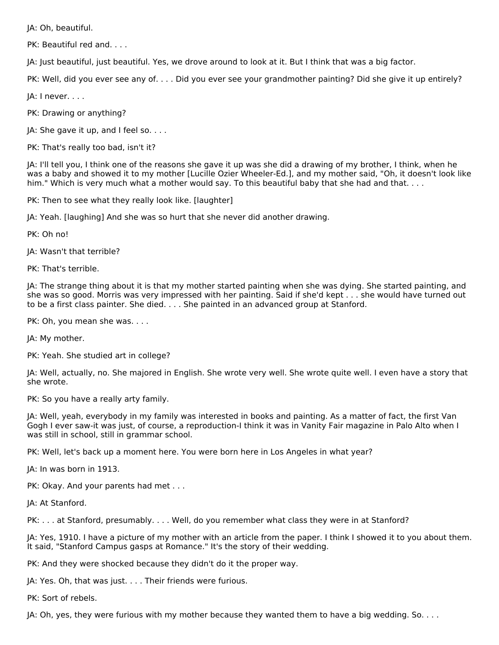JA: Oh, beautiful.

PK: Beautiful red and. . . .

JA: Just beautiful, just beautiful. Yes, we drove around to look at it. But I think that was a big factor.

PK: Well, did you ever see any of. . . . Did you ever see your grandmother painting? Did she give it up entirely?

 $|A: I$  never.  $\ldots$ 

PK: Drawing or anything?

JA: She gave it up, and I feel so. . . .

PK: That's really too bad, isn't it?

JA: I'll tell you, I think one of the reasons she gave it up was she did a drawing of my brother, I think, when he was a baby and showed it to my mother [Lucille Ozier Wheeler-Ed.], and my mother said, "Oh, it doesn't look like him." Which is very much what a mother would say. To this beautiful baby that she had and that. . . .

PK: Then to see what they really look like. [laughter]

JA: Yeah. [laughing] And she was so hurt that she never did another drawing.

PK: Oh no!

JA: Wasn't that terrible?

PK: That's terrible.

JA: The strange thing about it is that my mother started painting when she was dying. She started painting, and she was so good. Morris was very impressed with her painting. Said if she'd kept . . . she would have turned out to be a first class painter. She died. . . . She painted in an advanced group at Stanford.

PK: Oh, you mean she was. . . .

JA: My mother.

PK: Yeah. She studied art in college?

JA: Well, actually, no. She majored in English. She wrote very well. She wrote quite well. I even have a story that she wrote.

PK: So you have a really arty family.

JA: Well, yeah, everybody in my family was interested in books and painting. As a matter of fact, the first Van Gogh I ever saw-it was just, of course, a reproduction-I think it was in Vanity Fair magazine in Palo Alto when I was still in school, still in grammar school.

PK: Well, let's back up a moment here. You were born here in Los Angeles in what year?

JA: In was born in 1913.

PK: Okay. And your parents had met . . .

JA: At Stanford.

PK: . . . at Stanford, presumably. . . . Well, do you remember what class they were in at Stanford?

JA: Yes, 1910. I have a picture of my mother with an article from the paper. I think I showed it to you about them. It said, "Stanford Campus gasps at Romance." It's the story of their wedding.

PK: And they were shocked because they didn't do it the proper way.

JA: Yes. Oh, that was just. . . . Their friends were furious.

PK: Sort of rebels.

JA: Oh, yes, they were furious with my mother because they wanted them to have a big wedding. So. . . .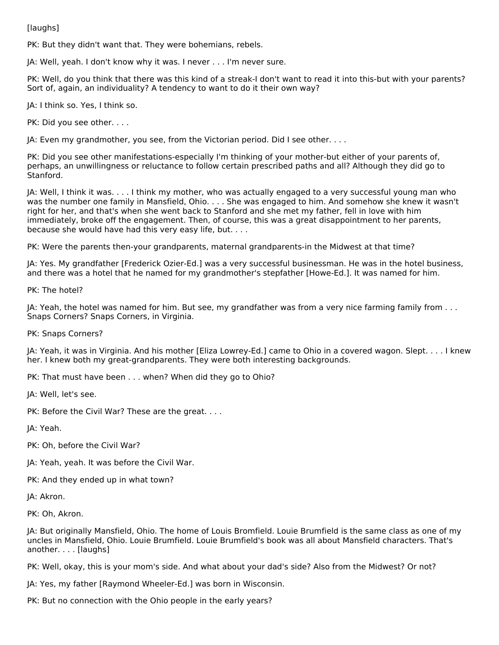[laughs]

PK: But they didn't want that. They were bohemians, rebels.

JA: Well, yeah. I don't know why it was. I never . . . I'm never sure.

PK: Well, do you think that there was this kind of a streak-I don't want to read it into this-but with your parents? Sort of, again, an individuality? A tendency to want to do it their own way?

JA: I think so. Yes, I think so.

PK: Did you see other. . . .

JA: Even my grandmother, you see, from the Victorian period. Did I see other. . . .

PK: Did you see other manifestations-especially I'm thinking of your mother-but either of your parents of, perhaps, an unwillingness or reluctance to follow certain prescribed paths and all? Although they did go to Stanford.

JA: Well, I think it was. . . . I think my mother, who was actually engaged to a very successful young man who was the number one family in Mansfield, Ohio. . . . She was engaged to him. And somehow she knew it wasn't right for her, and that's when she went back to Stanford and she met my father, fell in love with him immediately, broke off the engagement. Then, of course, this was a great disappointment to her parents, because she would have had this very easy life, but. . . .

PK: Were the parents then-your grandparents, maternal grandparents-in the Midwest at that time?

JA: Yes. My grandfather [Frederick Ozier-Ed.] was a very successful businessman. He was in the hotel business, and there was a hotel that he named for my grandmother's stepfather [Howe-Ed.]. It was named for him.

PK: The hotel?

JA: Yeah, the hotel was named for him. But see, my grandfather was from a very nice farming family from . . . Snaps Corners? Snaps Corners, in Virginia.

PK: Snaps Corners?

JA: Yeah, it was in Virginia. And his mother [Eliza Lowrey-Ed.] came to Ohio in a covered wagon. Slept. . . . I knew her. I knew both my great-grandparents. They were both interesting backgrounds.

PK: That must have been . . . when? When did they go to Ohio?

JA: Well, let's see.

PK: Before the Civil War? These are the great. . . .

JA: Yeah.

PK: Oh, before the Civil War?

JA: Yeah, yeah. It was before the Civil War.

PK: And they ended up in what town?

JA: Akron.

PK: Oh, Akron.

JA: But originally Mansfield, Ohio. The home of Louis Bromfield. Louie Brumfield is the same class as one of my uncles in Mansfield, Ohio. Louie Brumfield. Louie Brumfield's book was all about Mansfield characters. That's another. . . . [laughs]

PK: Well, okay, this is your mom's side. And what about your dad's side? Also from the Midwest? Or not?

JA: Yes, my father [Raymond Wheeler-Ed.] was born in Wisconsin.

PK: But no connection with the Ohio people in the early years?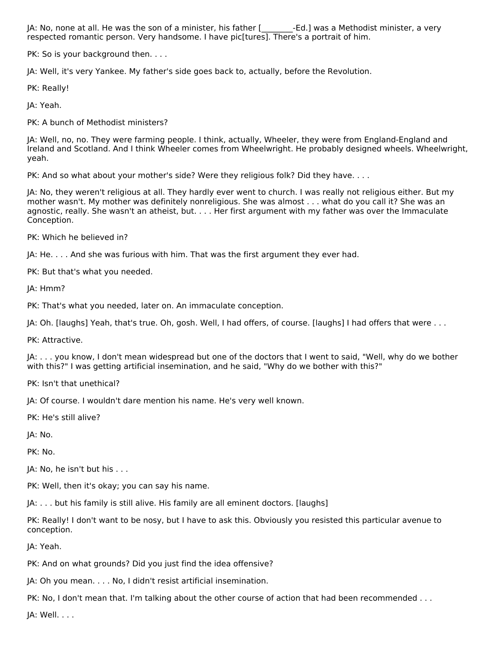JA: No, none at all. He was the son of a minister, his father [\_\_\_\_\_\_\_\_-Ed.] was a Methodist minister, a very respected romantic person. Very handsome. I have pic[tures]. There's a portrait of him.

PK: So is your background then. . . .

JA: Well, it's very Yankee. My father's side goes back to, actually, before the Revolution.

PK: Really!

JA: Yeah.

PK: A bunch of Methodist ministers?

JA: Well, no, no. They were farming people. I think, actually, Wheeler, they were from England-England and Ireland and Scotland. And I think Wheeler comes from Wheelwright. He probably designed wheels. Wheelwright, yeah.

PK: And so what about your mother's side? Were they religious folk? Did they have. . . .

JA: No, they weren't religious at all. They hardly ever went to church. I was really not religious either. But my mother wasn't. My mother was definitely nonreligious. She was almost . . . what do you call it? She was an agnostic, really. She wasn't an atheist, but. . . . Her first argument with my father was over the Immaculate Conception.

PK: Which he believed in?

JA: He. . . . And she was furious with him. That was the first argument they ever had.

PK: But that's what you needed.

JA: Hmm?

PK: That's what you needed, later on. An immaculate conception.

JA: Oh. [laughs] Yeah, that's true. Oh, gosh. Well, I had offers, of course. [laughs] I had offers that were . . .

PK: Attractive.

JA: . . . you know, I don't mean widespread but one of the doctors that I went to said, "Well, why do we bother with this?" I was getting artificial insemination, and he said, "Why do we bother with this?"

PK: Isn't that unethical?

JA: Of course. I wouldn't dare mention his name. He's very well known.

PK: He's still alive?

JA: No.

PK: No.

JA: No, he isn't but his . . .

PK: Well, then it's okay; you can say his name.

JA: . . . but his family is still alive. His family are all eminent doctors. [laughs]

PK: Really! I don't want to be nosy, but I have to ask this. Obviously you resisted this particular avenue to conception.

JA: Yeah.

PK: And on what grounds? Did you just find the idea offensive?

JA: Oh you mean. . . . No, I didn't resist artificial insemination.

PK: No, I don't mean that. I'm talking about the other course of action that had been recommended . . .

JA: Well. . . .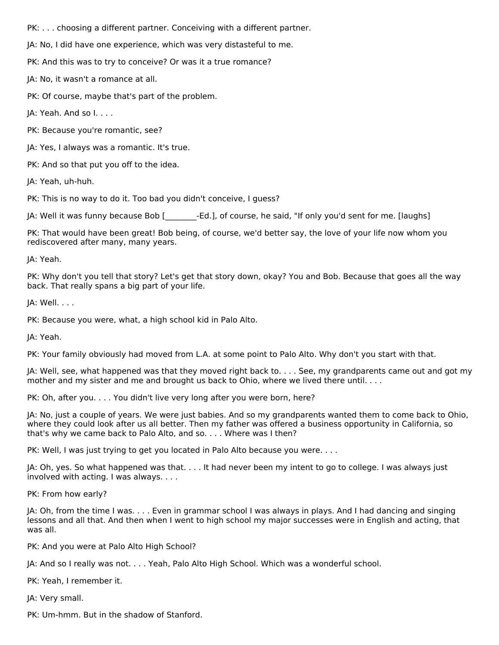PK: . . . choosing a different partner. Conceiving with a different partner.

JA: No, I did have one experience, which was very distasteful to me.

PK: And this was to try to conceive? Or was it a true romance?

JA: No, it wasn't a romance at all.

PK: Of course, maybe that's part of the problem.

JA: Yeah. And so I. . . .

PK: Because you're romantic, see?

JA: Yes, I always was a romantic. It's true.

PK: And so that put you off to the idea.

JA: Yeah, uh-huh.

PK: This is no way to do it. Too bad you didn't conceive, I guess?

JA: Well it was funny because Bob [\_\_\_\_\_\_\_\_-Ed.], of course, he said, "If only you'd sent for me. [laughs]

PK: That would have been great! Bob being, of course, we'd better say, the love of your life now whom you rediscovered after many, many years.

JA: Yeah.

PK: Why don't you tell that story? Let's get that story down, okay? You and Bob. Because that goes all the way back. That really spans a big part of your life.

JA: Well. . . .

PK: Because you were, what, a high school kid in Palo Alto.

JA: Yeah.

PK: Your family obviously had moved from L.A. at some point to Palo Alto. Why don't you start with that.

JA: Well, see, what happened was that they moved right back to. . . . See, my grandparents came out and got my mother and my sister and me and brought us back to Ohio, where we lived there until. . . .

PK: Oh, after you. . . . You didn't live very long after you were born, here?

JA: No, just a couple of years. We were just babies. And so my grandparents wanted them to come back to Ohio, where they could look after us all better. Then my father was offered a business opportunity in California, so that's why we came back to Palo Alto, and so. . . . Where was I then?

PK: Well, I was just trying to get you located in Palo Alto because you were. . . .

JA: Oh, yes. So what happened was that. . . . It had never been my intent to go to college. I was always just involved with acting. I was always. . . .

PK: From how early?

JA: Oh, from the time I was. . . . Even in grammar school I was always in plays. And I had dancing and singing lessons and all that. And then when I went to high school my major successes were in English and acting, that was all.

PK: And you were at Palo Alto High School?

JA: And so I really was not. . . . Yeah, Palo Alto High School. Which was a wonderful school.

PK: Yeah, I remember it.

JA: Very small.

PK: Um-hmm. But in the shadow of Stanford.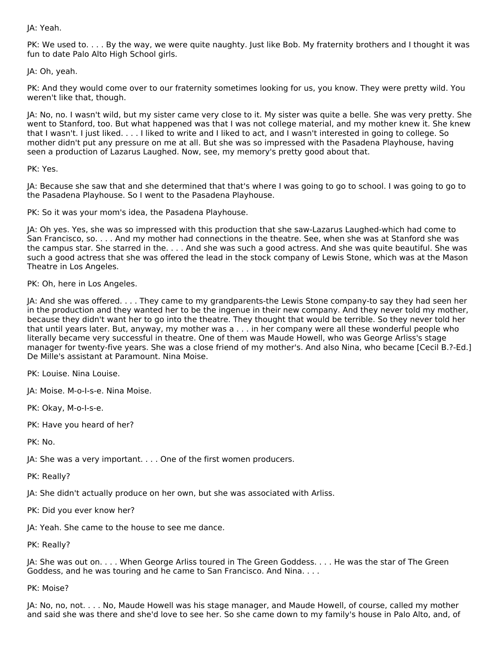### JA: Yeah.

PK: We used to. . . . By the way, we were quite naughty. Just like Bob. My fraternity brothers and I thought it was fun to date Palo Alto High School girls.

JA: Oh, yeah.

PK: And they would come over to our fraternity sometimes looking for us, you know. They were pretty wild. You weren't like that, though.

JA: No, no. I wasn't wild, but my sister came very close to it. My sister was quite a belle. She was very pretty. She went to Stanford, too. But what happened was that I was not college material, and my mother knew it. She knew that I wasn't. I just liked. . . . I liked to write and I liked to act, and I wasn't interested in going to college. So mother didn't put any pressure on me at all. But she was so impressed with the Pasadena Playhouse, having seen a production of Lazarus Laughed. Now, see, my memory's pretty good about that.

PK: Yes.

JA: Because she saw that and she determined that that's where I was going to go to school. I was going to go to the Pasadena Playhouse. So I went to the Pasadena Playhouse.

PK: So it was your mom's idea, the Pasadena Playhouse.

JA: Oh yes. Yes, she was so impressed with this production that she saw-Lazarus Laughed-which had come to San Francisco, so. . . . And my mother had connections in the theatre. See, when she was at Stanford she was the campus star. She starred in the. . . . And she was such a good actress. And she was quite beautiful. She was such a good actress that she was offered the lead in the stock company of Lewis Stone, which was at the Mason Theatre in Los Angeles.

PK: Oh, here in Los Angeles.

JA: And she was offered. . . . They came to my grandparents-the Lewis Stone company-to say they had seen her in the production and they wanted her to be the ingenue in their new company. And they never told my mother, because they didn't want her to go into the theatre. They thought that would be terrible. So they never told her that until years later. But, anyway, my mother was a . . . in her company were all these wonderful people who literally became very successful in theatre. One of them was Maude Howell, who was George Arliss's stage manager for twenty-five years. She was a close friend of my mother's. And also Nina, who became [Cecil B.?-Ed.] De Mille's assistant at Paramount. Nina Moise.

PK: Louise. Nina Louise.

JA: Moise. M-o-I-s-e. Nina Moise.

PK: Okay, M-o-I-s-e.

PK: Have you heard of her?

PK: No.

JA: She was a very important. . . . One of the first women producers.

PK: Really?

JA: She didn't actually produce on her own, but she was associated with Arliss.

PK: Did you ever know her?

JA: Yeah. She came to the house to see me dance.

PK: Really?

JA: She was out on. . . . When George Arliss toured in The Green Goddess. . . . He was the star of The Green Goddess, and he was touring and he came to San Francisco. And Nina. . . .

PK: Moise?

JA: No, no, not. . . . No, Maude Howell was his stage manager, and Maude Howell, of course, called my mother and said she was there and she'd love to see her. So she came down to my family's house in Palo Alto, and, of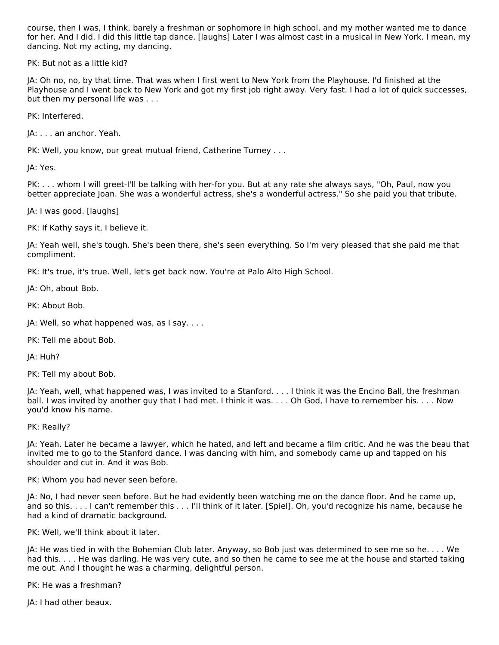course, then I was, I think, barely a freshman or sophomore in high school, and my mother wanted me to dance for her. And I did. I did this little tap dance. [laughs] Later I was almost cast in a musical in New York. I mean, my dancing. Not my acting, my dancing.

PK: But not as a little kid?

JA: Oh no, no, by that time. That was when I first went to New York from the Playhouse. I'd finished at the Playhouse and I went back to New York and got my first job right away. Very fast. I had a lot of quick successes, but then my personal life was . . .

PK: Interfered.

JA: . . . an anchor. Yeah.

PK: Well, you know, our great mutual friend, Catherine Turney . . .

JA: Yes.

PK: . . . whom I will greet-I'll be talking with her-for you. But at any rate she always says, "Oh, Paul, now you better appreciate Joan. She was a wonderful actress, she's a wonderful actress." So she paid you that tribute.

JA: I was good. [laughs]

PK: If Kathy says it, I believe it.

JA: Yeah well, she's tough. She's been there, she's seen everything. So I'm very pleased that she paid me that compliment.

PK: It's true, it's true. Well, let's get back now. You're at Palo Alto High School.

JA: Oh, about Bob.

PK: About Bob.

JA: Well, so what happened was, as I say. . . .

PK: Tell me about Bob.

JA: Huh?

PK: Tell my about Bob.

JA: Yeah, well, what happened was, I was invited to a Stanford. . . . I think it was the Encino Ball, the freshman ball. I was invited by another guy that I had met. I think it was. . . . Oh God, I have to remember his. . . . Now you'd know his name.

PK: Really?

JA: Yeah. Later he became a lawyer, which he hated, and left and became a film critic. And he was the beau that invited me to go to the Stanford dance. I was dancing with him, and somebody came up and tapped on his shoulder and cut in. And it was Bob.

PK: Whom you had never seen before.

JA: No, I had never seen before. But he had evidently been watching me on the dance floor. And he came up, and so this. . . . I can't remember this . . . I'll think of it later. [Spiel]. Oh, you'd recognize his name, because he had a kind of dramatic background.

PK: Well, we'll think about it later.

JA: He was tied in with the Bohemian Club later. Anyway, so Bob just was determined to see me so he. . . . We had this. . . . He was darling. He was very cute, and so then he came to see me at the house and started taking me out. And I thought he was a charming, delightful person.

PK: He was a freshman?

JA: I had other beaux.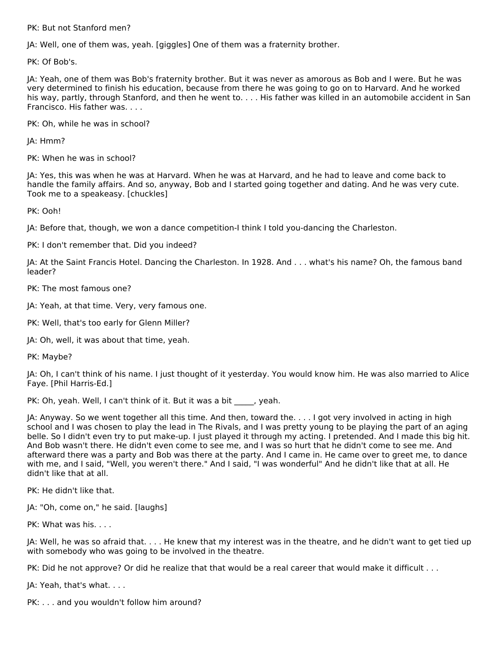PK: But not Stanford men?

JA: Well, one of them was, yeah. [giggles] One of them was a fraternity brother.

PK: Of Bob's.

JA: Yeah, one of them was Bob's fraternity brother. But it was never as amorous as Bob and I were. But he was very determined to finish his education, because from there he was going to go on to Harvard. And he worked his way, partly, through Stanford, and then he went to. . . . His father was killed in an automobile accident in San Francisco. His father was. . . .

PK: Oh, while he was in school?

JA: Hmm?

PK: When he was in school?

JA: Yes, this was when he was at Harvard. When he was at Harvard, and he had to leave and come back to handle the family affairs. And so, anyway, Bob and I started going together and dating. And he was very cute. Took me to a speakeasy. [chuckles]

PK: Ooh!

JA: Before that, though, we won a dance competition-I think I told you-dancing the Charleston.

PK: I don't remember that. Did you indeed?

JA: At the Saint Francis Hotel. Dancing the Charleston. In 1928. And . . . what's his name? Oh, the famous band leader?

PK: The most famous one?

JA: Yeah, at that time. Very, very famous one.

PK: Well, that's too early for Glenn Miller?

JA: Oh, well, it was about that time, yeah.

PK: Maybe?

JA: Oh, I can't think of his name. I just thought of it yesterday. You would know him. He was also married to Alice Faye. [Phil Harris-Ed.]

PK: Oh, yeah. Well, I can't think of it. But it was a bit , yeah.

JA: Anyway. So we went together all this time. And then, toward the. . . . I got very involved in acting in high school and I was chosen to play the lead in The Rivals, and I was pretty young to be playing the part of an aging belle. So I didn't even try to put make-up. I just played it through my acting. I pretended. And I made this big hit. And Bob wasn't there. He didn't even come to see me, and I was so hurt that he didn't come to see me. And afterward there was a party and Bob was there at the party. And I came in. He came over to greet me, to dance with me, and I said, "Well, you weren't there." And I said, "I was wonderful" And he didn't like that at all. He didn't like that at all.

PK: He didn't like that.

JA: "Oh, come on," he said. [laughs]

PK: What was his. . . .

JA: Well, he was so afraid that. . . . He knew that my interest was in the theatre, and he didn't want to get tied up with somebody who was going to be involved in the theatre.

PK: Did he not approve? Or did he realize that that would be a real career that would make it difficult . . .

JA: Yeah, that's what. . . .

PK: . . . and you wouldn't follow him around?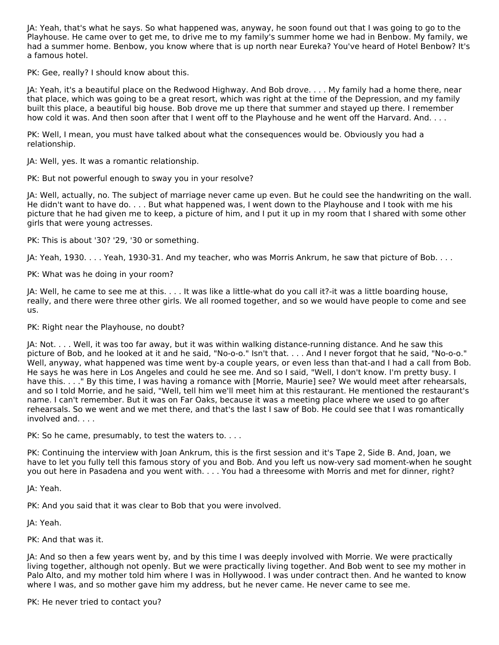JA: Yeah, that's what he says. So what happened was, anyway, he soon found out that I was going to go to the Playhouse. He came over to get me, to drive me to my family's summer home we had in Benbow. My family, we had a summer home. Benbow, you know where that is up north near Eureka? You've heard of Hotel Benbow? It's a famous hotel.

PK: Gee, really? I should know about this.

JA: Yeah, it's a beautiful place on the Redwood Highway. And Bob drove. . . . My family had a home there, near that place, which was going to be a great resort, which was right at the time of the Depression, and my family built this place, a beautiful big house. Bob drove me up there that summer and stayed up there. I remember how cold it was. And then soon after that I went off to the Playhouse and he went off the Harvard. And. . . .

PK: Well, I mean, you must have talked about what the consequences would be. Obviously you had a relationship.

JA: Well, yes. It was a romantic relationship.

PK: But not powerful enough to sway you in your resolve?

JA: Well, actually, no. The subject of marriage never came up even. But he could see the handwriting on the wall. He didn't want to have do. . . . But what happened was, I went down to the Playhouse and I took with me his picture that he had given me to keep, a picture of him, and I put it up in my room that I shared with some other girls that were young actresses.

PK: This is about '30? '29, '30 or something.

JA: Yeah, 1930. . . . Yeah, 1930-31. And my teacher, who was Morris Ankrum, he saw that picture of Bob. . . .

PK: What was he doing in your room?

JA: Well, he came to see me at this. . . . It was like a little-what do you call it?-it was a little boarding house, really, and there were three other girls. We all roomed together, and so we would have people to come and see us.

PK: Right near the Playhouse, no doubt?

JA: Not. . . . Well, it was too far away, but it was within walking distance-running distance. And he saw this picture of Bob, and he looked at it and he said, "No-o-o." Isn't that. . . . And I never forgot that he said, "No-o-o." Well, anyway, what happened was time went by-a couple years, or even less than that-and I had a call from Bob. He says he was here in Los Angeles and could he see me. And so I said, "Well, I don't know. I'm pretty busy. I have this. . . ." By this time, I was having a romance with [Morrie, Maurie] see? We would meet after rehearsals, and so I told Morrie, and he said, "Well, tell him we'll meet him at this restaurant. He mentioned the restaurant's name. I can't remember. But it was on Far Oaks, because it was a meeting place where we used to go after rehearsals. So we went and we met there, and that's the last I saw of Bob. He could see that I was romantically involved and. . . .

PK: So he came, presumably, to test the waters to. . . .

PK: Continuing the interview with Joan Ankrum, this is the first session and it's Tape 2, Side B. And, Joan, we have to let you fully tell this famous story of you and Bob. And you left us now-very sad moment-when he sought you out here in Pasadena and you went with. . . . You had a threesome with Morris and met for dinner, right?

JA: Yeah.

PK: And you said that it was clear to Bob that you were involved.

JA: Yeah.

PK: And that was it.

JA: And so then a few years went by, and by this time I was deeply involved with Morrie. We were practically living together, although not openly. But we were practically living together. And Bob went to see my mother in Palo Alto, and my mother told him where I was in Hollywood. I was under contract then. And he wanted to know where I was, and so mother gave him my address, but he never came. He never came to see me.

PK: He never tried to contact you?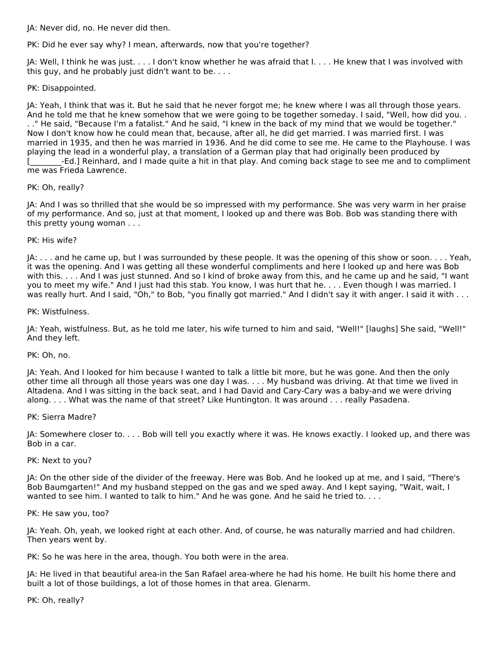JA: Never did, no. He never did then.

PK: Did he ever say why? I mean, afterwards, now that you're together?

JA: Well, I think he was just. . . . I don't know whether he was afraid that I. . . . He knew that I was involved with this guy, and he probably just didn't want to be. . . .

PK: Disappointed.

JA: Yeah, I think that was it. But he said that he never forgot me; he knew where I was all through those years. And he told me that he knew somehow that we were going to be together someday. I said, "Well, how did you. . . ." He said, "Because I'm a fatalist." And he said, "I knew in the back of my mind that we would be together." Now I don't know how he could mean that, because, after all, he did get married. I was married first. I was married in 1935, and then he was married in 1936. And he did come to see me. He came to the Playhouse. I was playing the lead in a wonderful play, a translation of a German play that had originally been produced by -Ed.] Reinhard, and I made quite a hit in that play. And coming back stage to see me and to compliment me was Frieda Lawrence.

#### PK: Oh, really?

JA: And I was so thrilled that she would be so impressed with my performance. She was very warm in her praise of my performance. And so, just at that moment, I looked up and there was Bob. Bob was standing there with this pretty young woman . . .

PK: His wife?

JA: . . . and he came up, but I was surrounded by these people. It was the opening of this show or soon. . . . Yeah, it was the opening. And I was getting all these wonderful compliments and here I looked up and here was Bob with this. . . . And I was just stunned. And so I kind of broke away from this, and he came up and he said, "I want you to meet my wife." And I just had this stab. You know, I was hurt that he. . . . Even though I was married. I was really hurt. And I said, "Oh," to Bob, "you finally got married." And I didn't say it with anger. I said it with . . .

PK: Wistfulness.

JA: Yeah, wistfulness. But, as he told me later, his wife turned to him and said, "Well!" [laughs] She said, "Well!" And they left.

PK: Oh, no.

JA: Yeah. And I looked for him because I wanted to talk a little bit more, but he was gone. And then the only other time all through all those years was one day I was. . . . My husband was driving. At that time we lived in Altadena. And I was sitting in the back seat, and I had David and Cary-Cary was a baby-and we were driving along. . . . What was the name of that street? Like Huntington. It was around . . . really Pasadena.

PK: Sierra Madre?

JA: Somewhere closer to. . . . Bob will tell you exactly where it was. He knows exactly. I looked up, and there was Bob in a car.

PK: Next to you?

JA: On the other side of the divider of the freeway. Here was Bob. And he looked up at me, and I said, "There's Bob Baumgarten!" And my husband stepped on the gas and we sped away. And I kept saying, "Wait, wait, I wanted to see him. I wanted to talk to him." And he was gone. And he said he tried to. . . .

PK: He saw you, too?

JA: Yeah. Oh, yeah, we looked right at each other. And, of course, he was naturally married and had children. Then years went by.

PK: So he was here in the area, though. You both were in the area.

JA: He lived in that beautiful area-in the San Rafael area-where he had his home. He built his home there and built a lot of those buildings, a lot of those homes in that area. Glenarm.

PK: Oh, really?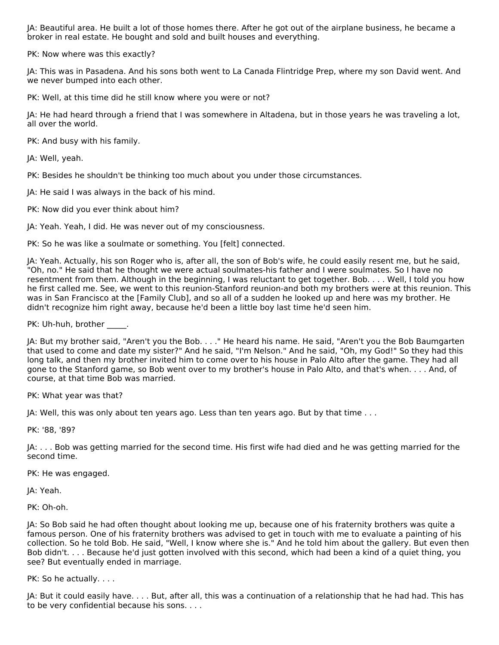JA: Beautiful area. He built a lot of those homes there. After he got out of the airplane business, he became a broker in real estate. He bought and sold and built houses and everything.

PK: Now where was this exactly?

JA: This was in Pasadena. And his sons both went to La Canada Flintridge Prep, where my son David went. And we never bumped into each other.

PK: Well, at this time did he still know where you were or not?

JA: He had heard through a friend that I was somewhere in Altadena, but in those years he was traveling a lot, all over the world.

PK: And busy with his family.

JA: Well, yeah.

PK: Besides he shouldn't be thinking too much about you under those circumstances.

JA: He said I was always in the back of his mind.

PK: Now did you ever think about him?

JA: Yeah. Yeah, I did. He was never out of my consciousness.

PK: So he was like a soulmate or something. You [felt] connected.

JA: Yeah. Actually, his son Roger who is, after all, the son of Bob's wife, he could easily resent me, but he said, "Oh, no." He said that he thought we were actual soulmates-his father and I were soulmates. So I have no resentment from them. Although in the beginning, I was reluctant to get together. Bob. . . . Well, I told you how he first called me. See, we went to this reunion-Stanford reunion-and both my brothers were at this reunion. This was in San Francisco at the [Family Club], and so all of a sudden he looked up and here was my brother. He didn't recognize him right away, because he'd been a little boy last time he'd seen him.

PK: Uh-huh, brother \_\_\_\_\_.

JA: But my brother said, "Aren't you the Bob. . . ." He heard his name. He said, "Aren't you the Bob Baumgarten that used to come and date my sister?" And he said, "I'm Nelson." And he said, "Oh, my God!" So they had this long talk, and then my brother invited him to come over to his house in Palo Alto after the game. They had all gone to the Stanford game, so Bob went over to my brother's house in Palo Alto, and that's when. . . . And, of course, at that time Bob was married.

PK: What year was that?

JA: Well, this was only about ten years ago. Less than ten years ago. But by that time . . .

PK: '88, '89?

JA: . . . Bob was getting married for the second time. His first wife had died and he was getting married for the second time.

PK: He was engaged.

JA: Yeah.

PK: Oh-oh.

JA: So Bob said he had often thought about looking me up, because one of his fraternity brothers was quite a famous person. One of his fraternity brothers was advised to get in touch with me to evaluate a painting of his collection. So he told Bob. He said, "Well, I know where she is." And he told him about the gallery. But even then Bob didn't. . . . Because he'd just gotten involved with this second, which had been a kind of a quiet thing, you see? But eventually ended in marriage.

PK: So he actually. . . .

JA: But it could easily have. . . . But, after all, this was a continuation of a relationship that he had had. This has to be very confidential because his sons. . . .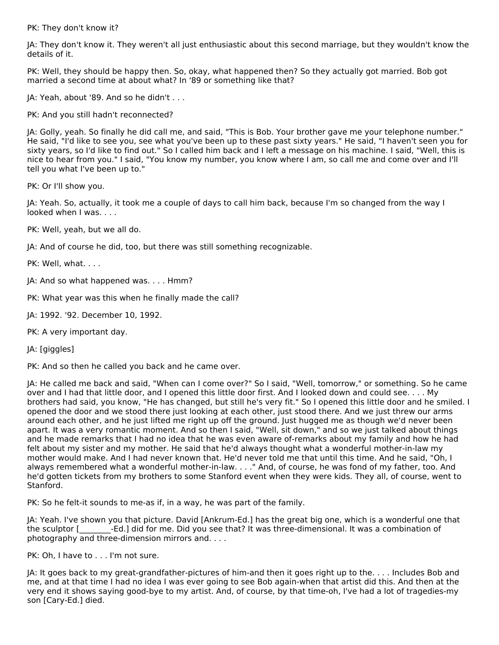PK: They don't know it?

JA: They don't know it. They weren't all just enthusiastic about this second marriage, but they wouldn't know the details of it.

PK: Well, they should be happy then. So, okay, what happened then? So they actually got married. Bob got married a second time at about what? In '89 or something like that?

JA: Yeah, about '89. And so he didn't . . .

PK: And you still hadn't reconnected?

JA: Golly, yeah. So finally he did call me, and said, "This is Bob. Your brother gave me your telephone number." He said, "I'd like to see you, see what you've been up to these past sixty years." He said, "I haven't seen you for sixty years, so I'd like to find out." So I called him back and I left a message on his machine. I said, "Well, this is nice to hear from you." I said, "You know my number, you know where I am, so call me and come over and I'll tell you what I've been up to."

PK: Or I'll show you.

JA: Yeah. So, actually, it took me a couple of days to call him back, because I'm so changed from the way I looked when I was. . . .

PK: Well, yeah, but we all do.

JA: And of course he did, too, but there was still something recognizable.

PK: Well, what. . . .

JA: And so what happened was. . . . Hmm?

PK: What year was this when he finally made the call?

JA: 1992. '92. December 10, 1992.

PK: A very important day.

JA: [giggles]

PK: And so then he called you back and he came over.

JA: He called me back and said, "When can I come over?" So I said, "Well, tomorrow," or something. So he came over and I had that little door, and I opened this little door first. And I looked down and could see. . . . My brothers had said, you know, "He has changed, but still he's very fit." So I opened this little door and he smiled. I opened the door and we stood there just looking at each other, just stood there. And we just threw our arms around each other, and he just lifted me right up off the ground. Just hugged me as though we'd never been apart. It was a very romantic moment. And so then I said, "Well, sit down," and so we just talked about things and he made remarks that I had no idea that he was even aware of-remarks about my family and how he had felt about my sister and my mother. He said that he'd always thought what a wonderful mother-in-law my mother would make. And I had never known that. He'd never told me that until this time. And he said, "Oh, I always remembered what a wonderful mother-in-law. . . ." And, of course, he was fond of my father, too. And he'd gotten tickets from my brothers to some Stanford event when they were kids. They all, of course, went to Stanford.

PK: So he felt-it sounds to me-as if, in a way, he was part of the family.

JA: Yeah. I've shown you that picture. David [Ankrum-Ed.] has the great big one, which is a wonderful one that the sculptor [\_\_\_\_\_\_\_\_-Ed.] did for me. Did you see that? It was three-dimensional. It was a combination of photography and three-dimension mirrors and. . . .

PK: Oh, I have to . . . I'm not sure.

JA: It goes back to my great-grandfather-pictures of him-and then it goes right up to the. . . . Includes Bob and me, and at that time I had no idea I was ever going to see Bob again-when that artist did this. And then at the very end it shows saying good-bye to my artist. And, of course, by that time-oh, I've had a lot of tragedies-my son [Cary-Ed.] died.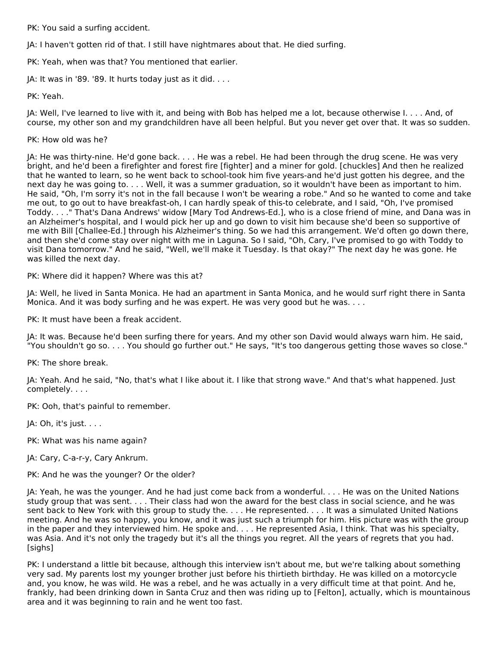PK: You said a surfing accident.

JA: I haven't gotten rid of that. I still have nightmares about that. He died surfing.

PK: Yeah, when was that? You mentioned that earlier.

 $|A:$  It was in '89. '89. It hurts today just as it did.  $\ldots$ 

PK: Yeah.

JA: Well, I've learned to live with it, and being with Bob has helped me a lot, because otherwise I. . . . And, of course, my other son and my grandchildren have all been helpful. But you never get over that. It was so sudden.

#### PK: How old was he?

JA: He was thirty-nine. He'd gone back. . . . He was a rebel. He had been through the drug scene. He was very bright, and he'd been a firefighter and forest fire [fighter] and a miner for gold. [chuckles] And then he realized that he wanted to learn, so he went back to school-took him five years-and he'd just gotten his degree, and the next day he was going to. . . . Well, it was a summer graduation, so it wouldn't have been as important to him. He said, "Oh, I'm sorry it's not in the fall because I won't be wearing a robe." And so he wanted to come and take me out, to go out to have breakfast-oh, I can hardly speak of this-to celebrate, and I said, "Oh, I've promised Toddy. . . ." That's Dana Andrews' widow [Mary Tod Andrews-Ed.], who is a close friend of mine, and Dana was in an Alzheimer's hospital, and I would pick her up and go down to visit him because she'd been so supportive of me with Bill [Challee-Ed.] through his Alzheimer's thing. So we had this arrangement. We'd often go down there, and then she'd come stay over night with me in Laguna. So I said, "Oh, Cary, I've promised to go with Toddy to visit Dana tomorrow." And he said, "Well, we'll make it Tuesday. Is that okay?" The next day he was gone. He was killed the next day.

PK: Where did it happen? Where was this at?

JA: Well, he lived in Santa Monica. He had an apartment in Santa Monica, and he would surf right there in Santa Monica. And it was body surfing and he was expert. He was very good but he was. . . .

PK: It must have been a freak accident.

JA: It was. Because he'd been surfing there for years. And my other son David would always warn him. He said, "You shouldn't go so. . . . You should go further out." He says, "It's too dangerous getting those waves so close."

PK: The shore break.

JA: Yeah. And he said, "No, that's what I like about it. I like that strong wave." And that's what happened. Just completely. . . .

PK: Ooh, that's painful to remember.

JA: Oh, it's just. . . .

PK: What was his name again?

JA: Cary, C-a-r-y, Cary Ankrum.

PK: And he was the younger? Or the older?

JA: Yeah, he was the younger. And he had just come back from a wonderful. . . . He was on the United Nations study group that was sent. . . . Their class had won the award for the best class in social science, and he was sent back to New York with this group to study the. . . . He represented. . . . It was a simulated United Nations meeting. And he was so happy, you know, and it was just such a triumph for him. His picture was with the group in the paper and they interviewed him. He spoke and. . . . He represented Asia, I think. That was his specialty, was Asia. And it's not only the tragedy but it's all the things you regret. All the years of regrets that you had. [sighs]

PK: I understand a little bit because, although this interview isn't about me, but we're talking about something very sad. My parents lost my younger brother just before his thirtieth birthday. He was killed on a motorcycle and, you know, he was wild. He was a rebel, and he was actually in a very difficult time at that point. And he, frankly, had been drinking down in Santa Cruz and then was riding up to [Felton], actually, which is mountainous area and it was beginning to rain and he went too fast.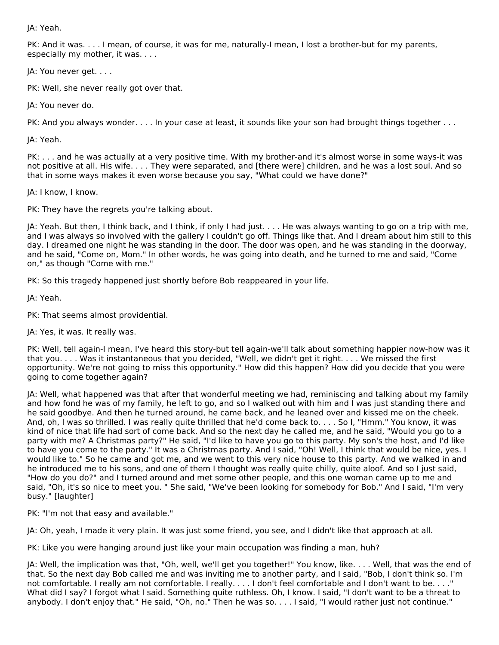JA: Yeah.

PK: And it was. . . . I mean, of course, it was for me, naturally-I mean, I lost a brother-but for my parents, especially my mother, it was. . . .

JA: You never get. . . .

PK: Well, she never really got over that.

JA: You never do.

PK: And you always wonder. . . . In your case at least, it sounds like your son had brought things together . . .

JA: Yeah.

PK: . . . and he was actually at a very positive time. With my brother-and it's almost worse in some ways-it was not positive at all. His wife. . . . They were separated, and [there were] children, and he was a lost soul. And so that in some ways makes it even worse because you say, "What could we have done?"

JA: I know, I know.

PK: They have the regrets you're talking about.

JA: Yeah. But then, I think back, and I think, if only I had just. . . . He was always wanting to go on a trip with me, and I was always so involved with the gallery I couldn't go off. Things like that. And I dream about him still to this day. I dreamed one night he was standing in the door. The door was open, and he was standing in the doorway, and he said, "Come on, Mom." In other words, he was going into death, and he turned to me and said, "Come on," as though "Come with me."

PK: So this tragedy happened just shortly before Bob reappeared in your life.

JA: Yeah.

PK: That seems almost providential.

JA: Yes, it was. It really was.

PK: Well, tell again-I mean, I've heard this story-but tell again-we'll talk about something happier now-how was it that you. . . . Was it instantaneous that you decided, "Well, we didn't get it right. . . . We missed the first opportunity. We're not going to miss this opportunity." How did this happen? How did you decide that you were going to come together again?

JA: Well, what happened was that after that wonderful meeting we had, reminiscing and talking about my family and how fond he was of my family, he left to go, and so I walked out with him and I was just standing there and he said goodbye. And then he turned around, he came back, and he leaned over and kissed me on the cheek. And, oh, I was so thrilled. I was really quite thrilled that he'd come back to. . . . So I, "Hmm." You know, it was kind of nice that life had sort of come back. And so the next day he called me, and he said, "Would you go to a party with me? A Christmas party?" He said, "I'd like to have you go to this party. My son's the host, and I'd like to have you come to the party." It was a Christmas party. And I said, "Oh! Well, I think that would be nice, yes. I would like to." So he came and got me, and we went to this very nice house to this party. And we walked in and he introduced me to his sons, and one of them I thought was really quite chilly, quite aloof. And so I just said, "How do you do?" and I turned around and met some other people, and this one woman came up to me and said, "Oh, it's so nice to meet you. " She said, "We've been looking for somebody for Bob." And I said, "I'm very busy." [laughter]

PK: "I'm not that easy and available."

JA: Oh, yeah, I made it very plain. It was just some friend, you see, and I didn't like that approach at all.

PK: Like you were hanging around just like your main occupation was finding a man, huh?

JA: Well, the implication was that, "Oh, well, we'll get you together!" You know, like. . . . Well, that was the end of that. So the next day Bob called me and was inviting me to another party, and I said, "Bob, I don't think so. I'm not comfortable. I really am not comfortable. I really. . . . I don't feel comfortable and I don't want to be. . . ." What did I say? I forgot what I said. Something quite ruthless. Oh, I know. I said, "I don't want to be a threat to anybody. I don't enjoy that." He said, "Oh, no." Then he was so. . . . I said, "I would rather just not continue."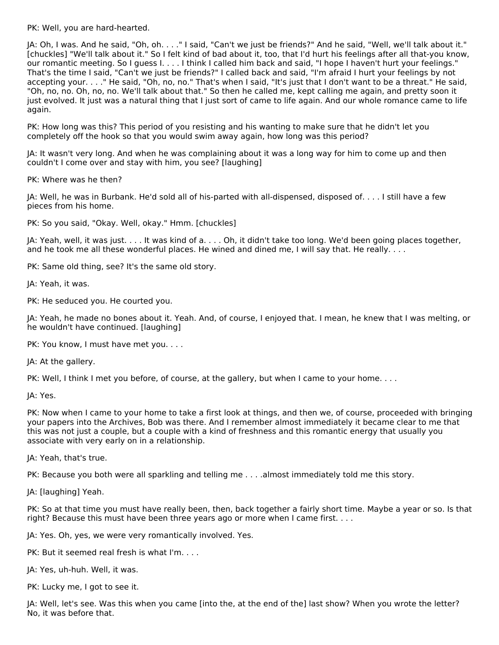PK: Well, you are hard-hearted.

JA: Oh, I was. And he said, "Oh, oh. . . ." I said, "Can't we just be friends?" And he said, "Well, we'll talk about it." [chuckles] "We'll talk about it." So I felt kind of bad about it, too, that I'd hurt his feelings after all that-you know, our romantic meeting. So I guess I. . . . I think I called him back and said, "I hope I haven't hurt your feelings." That's the time I said, "Can't we just be friends?" I called back and said, "I'm afraid I hurt your feelings by not accepting your. . . ." He said, "Oh, no, no." That's when I said, "It's just that I don't want to be a threat." He said, "Oh, no, no. Oh, no, no. We'll talk about that." So then he called me, kept calling me again, and pretty soon it just evolved. It just was a natural thing that I just sort of came to life again. And our whole romance came to life again.

PK: How long was this? This period of you resisting and his wanting to make sure that he didn't let you completely off the hook so that you would swim away again, how long was this period?

JA: It wasn't very long. And when he was complaining about it was a long way for him to come up and then couldn't I come over and stay with him, you see? [laughing]

PK: Where was he then?

JA: Well, he was in Burbank. He'd sold all of his-parted with all-dispensed, disposed of. . . . I still have a few pieces from his home.

PK: So you said, "Okay. Well, okay." Hmm. [chuckles]

JA: Yeah, well, it was just. . . . It was kind of a. . . . Oh, it didn't take too long. We'd been going places together, and he took me all these wonderful places. He wined and dined me, I will say that. He really. . . .

PK: Same old thing, see? It's the same old story.

JA: Yeah, it was.

PK: He seduced you. He courted you.

JA: Yeah, he made no bones about it. Yeah. And, of course, I enjoyed that. I mean, he knew that I was melting, or he wouldn't have continued. [laughing]

PK: You know, I must have met you. . . .

JA: At the gallery.

PK: Well, I think I met you before, of course, at the gallery, but when I came to your home. . . .

JA: Yes.

PK: Now when I came to your home to take a first look at things, and then we, of course, proceeded with bringing your papers into the Archives, Bob was there. And I remember almost immediately it became clear to me that this was not just a couple, but a couple with a kind of freshness and this romantic energy that usually you associate with very early on in a relationship.

JA: Yeah, that's true.

PK: Because you both were all sparkling and telling me . . . . almost immediately told me this story.

JA: [laughing] Yeah.

PK: So at that time you must have really been, then, back together a fairly short time. Maybe a year or so. Is that right? Because this must have been three years ago or more when I came first. . . .

JA: Yes. Oh, yes, we were very romantically involved. Yes.

PK: But it seemed real fresh is what I'm. . . .

JA: Yes, uh-huh. Well, it was.

PK: Lucky me, I got to see it.

JA: Well, let's see. Was this when you came [into the, at the end of the] last show? When you wrote the letter? No, it was before that.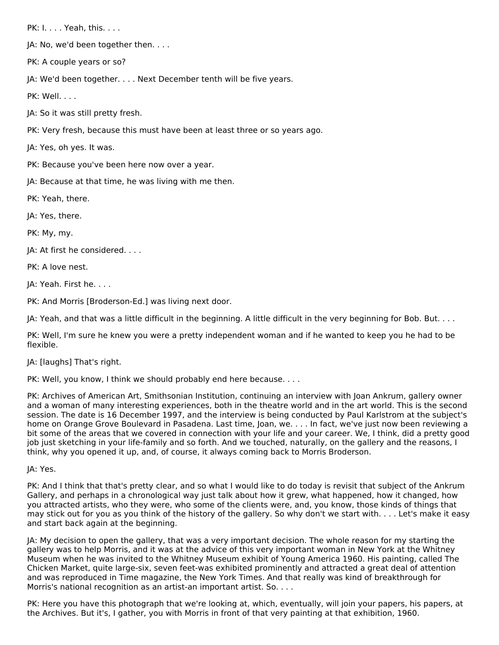PK: I. . . . Yeah, this. . . .

JA: No, we'd been together then. . . .

PK: A couple years or so?

JA: We'd been together. . . . Next December tenth will be five years.

PK: Well. . . .

JA: So it was still pretty fresh.

PK: Very fresh, because this must have been at least three or so years ago.

JA: Yes, oh yes. It was.

PK: Because you've been here now over a year.

JA: Because at that time, he was living with me then.

PK: Yeah, there.

JA: Yes, there.

PK: My, my.

JA: At first he considered. . . .

PK: A love nest.

JA: Yeah. First he. . . .

PK: And Morris [Broderson-Ed.] was living next door.

JA: Yeah, and that was a little difficult in the beginning. A little difficult in the very beginning for Bob. But. . . .

PK: Well, I'm sure he knew you were a pretty independent woman and if he wanted to keep you he had to be flexible.

JA: [laughs] That's right.

PK: Well, you know, I think we should probably end here because. . . .

PK: Archives of American Art, Smithsonian Institution, continuing an interview with Joan Ankrum, gallery owner and a woman of many interesting experiences, both in the theatre world and in the art world. This is the second session. The date is 16 December 1997, and the interview is being conducted by Paul Karlstrom at the subject's home on Orange Grove Boulevard in Pasadena. Last time, Joan, we. . . . In fact, we've just now been reviewing a bit some of the areas that we covered in connection with your life and your career. We, I think, did a pretty good job just sketching in your life-family and so forth. And we touched, naturally, on the gallery and the reasons, I think, why you opened it up, and, of course, it always coming back to Morris Broderson.

JA: Yes.

PK: And I think that that's pretty clear, and so what I would like to do today is revisit that subject of the Ankrum Gallery, and perhaps in a chronological way just talk about how it grew, what happened, how it changed, how you attracted artists, who they were, who some of the clients were, and, you know, those kinds of things that may stick out for you as you think of the history of the gallery. So why don't we start with. . . . Let's make it easy and start back again at the beginning.

JA: My decision to open the gallery, that was a very important decision. The whole reason for my starting the gallery was to help Morris, and it was at the advice of this very important woman in New York at the Whitney Museum when he was invited to the Whitney Museum exhibit of Young America 1960. His painting, called The Chicken Market, quite large-six, seven feet-was exhibited prominently and attracted a great deal of attention and was reproduced in Time magazine, the New York Times. And that really was kind of breakthrough for Morris's national recognition as an artist-an important artist. So. . . .

PK: Here you have this photograph that we're looking at, which, eventually, will join your papers, his papers, at the Archives. But it's, I gather, you with Morris in front of that very painting at that exhibition, 1960.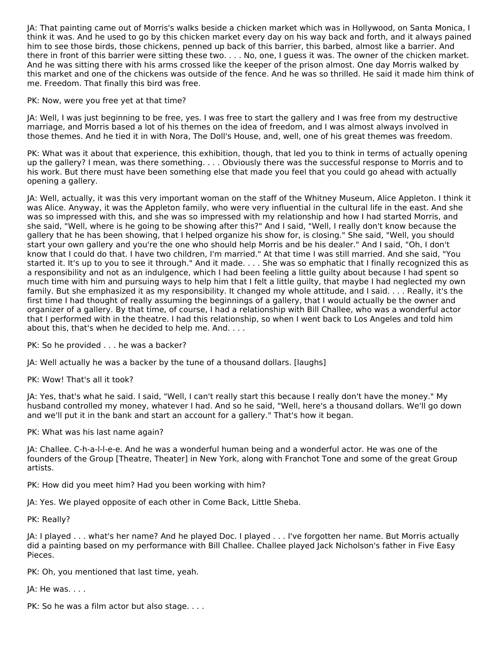JA: That painting came out of Morris's walks beside a chicken market which was in Hollywood, on Santa Monica, I think it was. And he used to go by this chicken market every day on his way back and forth, and it always pained him to see those birds, those chickens, penned up back of this barrier, this barbed, almost like a barrier. And there in front of this barrier were sitting these two. . . . No, one, I guess it was. The owner of the chicken market. And he was sitting there with his arms crossed like the keeper of the prison almost. One day Morris walked by this market and one of the chickens was outside of the fence. And he was so thrilled. He said it made him think of me. Freedom. That finally this bird was free.

PK: Now, were you free yet at that time?

JA: Well, I was just beginning to be free, yes. I was free to start the gallery and I was free from my destructive marriage, and Morris based a lot of his themes on the idea of freedom, and I was almost always involved in those themes. And he tied it in with Nora, The Doll's House, and, well, one of his great themes was freedom.

PK: What was it about that experience, this exhibition, though, that led you to think in terms of actually opening up the gallery? I mean, was there something. . . . Obviously there was the successful response to Morris and to his work. But there must have been something else that made you feel that you could go ahead with actually opening a gallery.

JA: Well, actually, it was this very important woman on the staff of the Whitney Museum, Alice Appleton. I think it was Alice. Anyway, it was the Appleton family, who were very influential in the cultural life in the east. And she was so impressed with this, and she was so impressed with my relationship and how I had started Morris, and she said, "Well, where is he going to be showing after this?" And I said, "Well, I really don't know because the gallery that he has been showing, that I helped organize his show for, is closing." She said, "Well, you should start your own gallery and you're the one who should help Morris and be his dealer." And I said, "Oh, I don't know that I could do that. I have two children, I'm married." At that time I was still married. And she said, "You started it. It's up to you to see it through." And it made. . . . She was so emphatic that I finally recognized this as a responsibility and not as an indulgence, which I had been feeling a little guilty about because I had spent so much time with him and pursuing ways to help him that I felt a little guilty, that maybe I had neglected my own family. But she emphasized it as my responsibility. It changed my whole attitude, and I said. . . . Really, it's the first time I had thought of really assuming the beginnings of a gallery, that I would actually be the owner and organizer of a gallery. By that time, of course, I had a relationship with Bill Challee, who was a wonderful actor that I performed with in the theatre. I had this relationship, so when I went back to Los Angeles and told him about this, that's when he decided to help me. And. . . .

PK: So he provided . . . he was a backer?

JA: Well actually he was a backer by the tune of a thousand dollars. [laughs]

PK: Wow! That's all it took?

JA: Yes, that's what he said. I said, "Well, I can't really start this because I really don't have the money." My husband controlled my money, whatever I had. And so he said, "Well, here's a thousand dollars. We'll go down and we'll put it in the bank and start an account for a gallery." That's how it began.

PK: What was his last name again?

JA: Challee. C-h-a-l-l-e-e. And he was a wonderful human being and a wonderful actor. He was one of the founders of the Group [Theatre, Theater] in New York, along with Franchot Tone and some of the great Group artists.

PK: How did you meet him? Had you been working with him?

JA: Yes. We played opposite of each other in Come Back, Little Sheba.

PK: Really?

JA: I played . . . what's her name? And he played Doc. I played . . . I've forgotten her name. But Morris actually did a painting based on my performance with Bill Challee. Challee played Jack Nicholson's father in Five Easy Pieces.

PK: Oh, you mentioned that last time, yeah.

 $IA: He was. . . .$ 

PK: So he was a film actor but also stage. . . .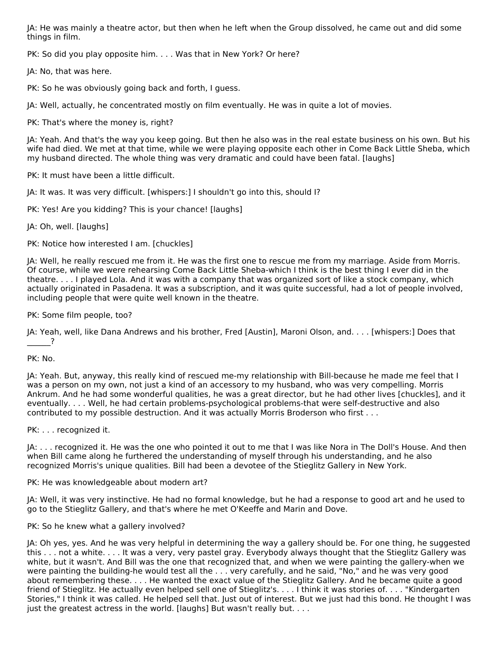JA: He was mainly a theatre actor, but then when he left when the Group dissolved, he came out and did some things in film.

PK: So did you play opposite him. . . . Was that in New York? Or here?

JA: No, that was here.

PK: So he was obviously going back and forth, I guess.

JA: Well, actually, he concentrated mostly on film eventually. He was in quite a lot of movies.

PK: That's where the money is, right?

JA: Yeah. And that's the way you keep going. But then he also was in the real estate business on his own. But his wife had died. We met at that time, while we were playing opposite each other in Come Back Little Sheba, which my husband directed. The whole thing was very dramatic and could have been fatal. [laughs]

PK: It must have been a little difficult.

JA: It was. It was very difficult. [whispers:] I shouldn't go into this, should I?

PK: Yes! Are you kidding? This is your chance! [laughs]

JA: Oh, well. [laughs]

PK: Notice how interested I am. [chuckles]

JA: Well, he really rescued me from it. He was the first one to rescue me from my marriage. Aside from Morris. Of course, while we were rehearsing Come Back Little Sheba-which I think is the best thing I ever did in the theatre. . . . I played Lola. And it was with a company that was organized sort of like a stock company, which actually originated in Pasadena. It was a subscription, and it was quite successful, had a lot of people involved, including people that were quite well known in the theatre.

PK: Some film people, too?

JA: Yeah, well, like Dana Andrews and his brother, Fred [Austin], Maroni Olson, and. . . . [whispers:] Does that  $\overline{\phantom{a}}$ 

PK: No.

JA: Yeah. But, anyway, this really kind of rescued me-my relationship with Bill-because he made me feel that I was a person on my own, not just a kind of an accessory to my husband, who was very compelling. Morris Ankrum. And he had some wonderful qualities, he was a great director, but he had other lives [chuckles], and it eventually. . . . Well, he had certain problems-psychological problems-that were self-destructive and also contributed to my possible destruction. And it was actually Morris Broderson who first . . .

PK: . . . recognized it.

JA: . . . recognized it. He was the one who pointed it out to me that I was like Nora in The Doll's House. And then when Bill came along he furthered the understanding of myself through his understanding, and he also recognized Morris's unique qualities. Bill had been a devotee of the Stieglitz Gallery in New York.

PK: He was knowledgeable about modern art?

JA: Well, it was very instinctive. He had no formal knowledge, but he had a response to good art and he used to go to the Stieglitz Gallery, and that's where he met O'Keeffe and Marin and Dove.

PK: So he knew what a gallery involved?

JA: Oh yes, yes. And he was very helpful in determining the way a gallery should be. For one thing, he suggested this . . . not a white. . . . It was a very, very pastel gray. Everybody always thought that the Stieglitz Gallery was white, but it wasn't. And Bill was the one that recognized that, and when we were painting the gallery-when we were painting the building-he would test all the . . . very carefully, and he said, "No," and he was very good about remembering these. . . . He wanted the exact value of the Stieglitz Gallery. And he became quite a good friend of Stieglitz. He actually even helped sell one of Stieglitz's. . . . I think it was stories of. . . . "Kindergarten Stories," I think it was called. He helped sell that. Just out of interest. But we just had this bond. He thought I was just the greatest actress in the world. [laughs] But wasn't really but. . . .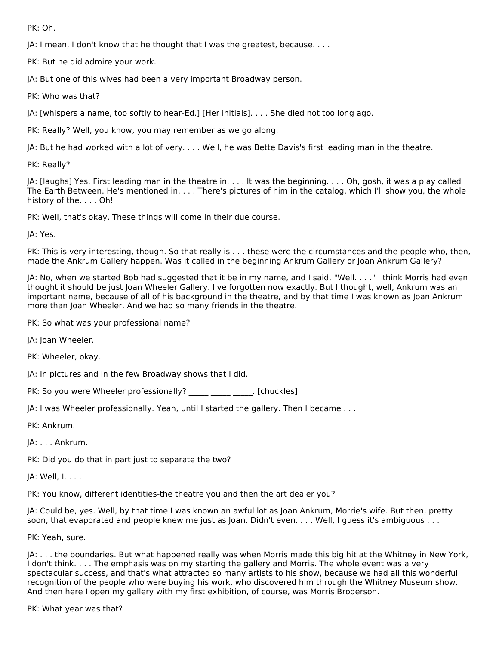PK: Oh.

JA: I mean, I don't know that he thought that I was the greatest, because. . . .

PK: But he did admire your work.

JA: But one of this wives had been a very important Broadway person.

PK: Who was that?

JA: [whispers a name, too softly to hear-Ed.] [Her initials]. . . . She died not too long ago.

PK: Really? Well, you know, you may remember as we go along.

JA: But he had worked with a lot of very. . . . Well, he was Bette Davis's first leading man in the theatre.

PK: Really?

JA: [laughs] Yes. First leading man in the theatre in. . . . It was the beginning. . . . Oh, gosh, it was a play called The Earth Between. He's mentioned in. . . . There's pictures of him in the catalog, which I'll show you, the whole history of the. . . . Oh!

PK: Well, that's okay. These things will come in their due course.

JA: Yes.

PK: This is very interesting, though. So that really is . . . these were the circumstances and the people who, then, made the Ankrum Gallery happen. Was it called in the beginning Ankrum Gallery or Joan Ankrum Gallery?

JA: No, when we started Bob had suggested that it be in my name, and I said, "Well. . . ." I think Morris had even thought it should be just Joan Wheeler Gallery. I've forgotten now exactly. But I thought, well, Ankrum was an important name, because of all of his background in the theatre, and by that time I was known as Joan Ankrum more than Joan Wheeler. And we had so many friends in the theatre.

PK: So what was your professional name?

JA: Joan Wheeler.

PK: Wheeler, okay.

JA: In pictures and in the few Broadway shows that I did.

PK: So you were Wheeler professionally? \_\_\_\_\_ \_\_\_\_\_ \_\_\_\_. [chuckles]

JA: I was Wheeler professionally. Yeah, until I started the gallery. Then I became . . .

PK: Ankrum.

JA: . . . Ankrum.

PK: Did you do that in part just to separate the two?

JA: Well, I. . . .

PK: You know, different identities-the theatre you and then the art dealer you?

JA: Could be, yes. Well, by that time I was known an awful lot as Joan Ankrum, Morrie's wife. But then, pretty soon, that evaporated and people knew me just as Joan. Didn't even. . . . Well, I guess it's ambiguous . . .

PK: Yeah, sure.

JA: . . . the boundaries. But what happened really was when Morris made this big hit at the Whitney in New York, I don't think. . . . The emphasis was on my starting the gallery and Morris. The whole event was a very spectacular success, and that's what attracted so many artists to his show, because we had all this wonderful recognition of the people who were buying his work, who discovered him through the Whitney Museum show. And then here I open my gallery with my first exhibition, of course, was Morris Broderson.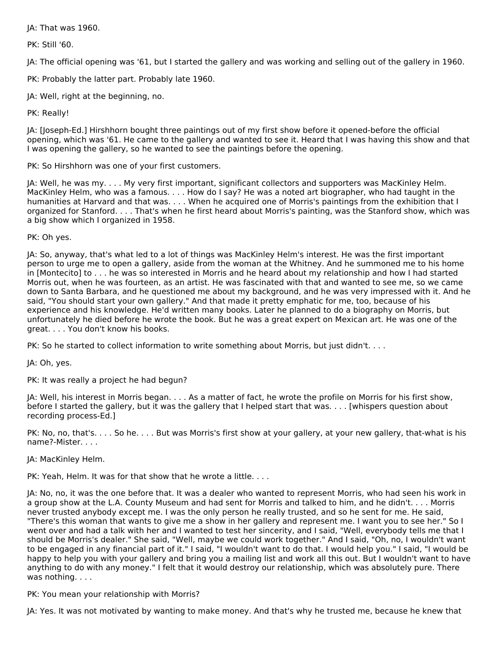JA: That was 1960.

PK: Still '60.

JA: The official opening was '61, but I started the gallery and was working and selling out of the gallery in 1960.

PK: Probably the latter part. Probably late 1960.

JA: Well, right at the beginning, no.

PK: Really!

JA: [Joseph-Ed.] Hirshhorn bought three paintings out of my first show before it opened-before the official opening, which was '61. He came to the gallery and wanted to see it. Heard that I was having this show and that I was opening the gallery, so he wanted to see the paintings before the opening.

PK: So Hirshhorn was one of your first customers.

JA: Well, he was my. . . . My very first important, significant collectors and supporters was MacKinley Helm. MacKinley Helm, who was a famous. . . . How do I say? He was a noted art biographer, who had taught in the humanities at Harvard and that was. . . . When he acquired one of Morris's paintings from the exhibition that I organized for Stanford. . . . That's when he first heard about Morris's painting, was the Stanford show, which was a big show which I organized in 1958.

PK: Oh yes.

JA: So, anyway, that's what led to a lot of things was MacKinley Helm's interest. He was the first important person to urge me to open a gallery, aside from the woman at the Whitney. And he summoned me to his home in [Montecito] to . . . he was so interested in Morris and he heard about my relationship and how I had started Morris out, when he was fourteen, as an artist. He was fascinated with that and wanted to see me, so we came down to Santa Barbara, and he questioned me about my background, and he was very impressed with it. And he said, "You should start your own gallery." And that made it pretty emphatic for me, too, because of his experience and his knowledge. He'd written many books. Later he planned to do a biography on Morris, but unfortunately he died before he wrote the book. But he was a great expert on Mexican art. He was one of the great. . . . You don't know his books.

PK: So he started to collect information to write something about Morris, but just didn't. . . .

JA: Oh, yes.

PK: It was really a project he had begun?

JA: Well, his interest in Morris began. . . . As a matter of fact, he wrote the profile on Morris for his first show, before I started the gallery, but it was the gallery that I helped start that was. . . . [whispers question about recording process-Ed.]

PK: No, no, that's. . . . So he. . . . But was Morris's first show at your gallery, at your new gallery, that-what is his name?-Mister. . . .

JA: MacKinley Helm.

PK: Yeah. Helm. It was for that show that he wrote a little. . . .

JA: No, no, it was the one before that. It was a dealer who wanted to represent Morris, who had seen his work in a group show at the L.A. County Museum and had sent for Morris and talked to him, and he didn't. . . . Morris never trusted anybody except me. I was the only person he really trusted, and so he sent for me. He said, "There's this woman that wants to give me a show in her gallery and represent me. I want you to see her." So I went over and had a talk with her and I wanted to test her sincerity, and I said, "Well, everybody tells me that I should be Morris's dealer." She said, "Well, maybe we could work together." And I said, "Oh, no, I wouldn't want to be engaged in any financial part of it." I said, "I wouldn't want to do that. I would help you." I said, "I would be happy to help you with your gallery and bring you a mailing list and work all this out. But I wouldn't want to have anything to do with any money." I felt that it would destroy our relationship, which was absolutely pure. There was nothing. . . .

PK: You mean your relationship with Morris?

JA: Yes. It was not motivated by wanting to make money. And that's why he trusted me, because he knew that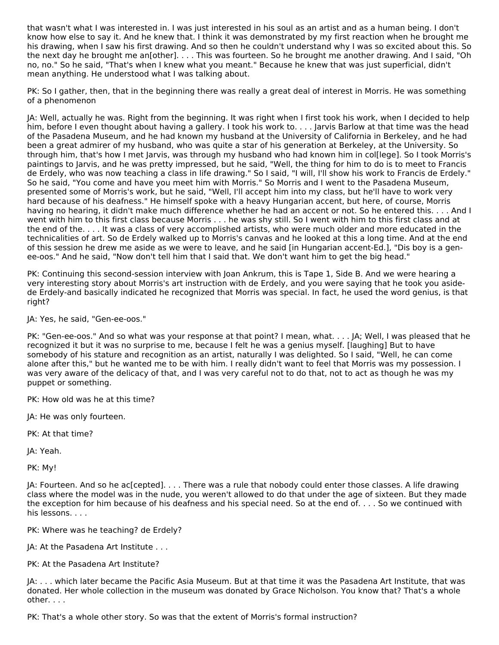that wasn't what I was interested in. I was just interested in his soul as an artist and as a human being. I don't know how else to say it. And he knew that. I think it was demonstrated by my first reaction when he brought me his drawing, when I saw his first drawing. And so then he couldn't understand why I was so excited about this. So the next day he brought me an[other]. . . . This was fourteen. So he brought me another drawing. And I said, "Oh no, no." So he said, "That's when I knew what you meant." Because he knew that was just superficial, didn't mean anything. He understood what I was talking about.

PK: So I gather, then, that in the beginning there was really a great deal of interest in Morris. He was something of a phenomenon

JA: Well, actually he was. Right from the beginning. It was right when I first took his work, when I decided to help him, before I even thought about having a gallery. I took his work to. . . . Jarvis Barlow at that time was the head of the Pasadena Museum, and he had known my husband at the University of California in Berkeley, and he had been a great admirer of my husband, who was quite a star of his generation at Berkeley, at the University. So through him, that's how I met Jarvis, was through my husband who had known him in col[lege]. So I took Morris's paintings to Jarvis, and he was pretty impressed, but he said, "Well, the thing for him to do is to meet to Francis de Erdely, who was now teaching a class in life drawing." So I said, "I will, I'll show his work to Francis de Erdely." So he said, "You come and have you meet him with Morris." So Morris and I went to the Pasadena Museum, presented some of Morris's work, but he said, "Well, I'll accept him into my class, but he'll have to work very hard because of his deafness." He himself spoke with a heavy Hungarian accent, but here, of course, Morris having no hearing, it didn't make much difference whether he had an accent or not. So he entered this. . . . And I went with him to this first class because Morris . . . he was shy still. So I went with him to this first class and at the end of the. . . . It was a class of very accomplished artists, who were much older and more educated in the technicalities of art. So de Erdely walked up to Morris's canvas and he looked at this a long time. And at the end of this session he drew me aside as we were to leave, and he said [in Hungarian accent-Ed.], "Dis boy is a genee-oos." And he said, "Now don't tell him that I said that. We don't want him to get the big head."

PK: Continuing this second-session interview with Joan Ankrum, this is Tape 1, Side B. And we were hearing a very interesting story about Morris's art instruction with de Erdely, and you were saying that he took you asidede Erdely-and basically indicated he recognized that Morris was special. In fact, he used the word genius, is that right?

JA: Yes, he said, "Gen-ee-oos."

PK: "Gen-ee-oos." And so what was your response at that point? I mean, what. . . . JA; Well, I was pleased that he recognized it but it was no surprise to me, because I felt he was a genius myself. [laughing] But to have somebody of his stature and recognition as an artist, naturally I was delighted. So I said, "Well, he can come alone after this," but he wanted me to be with him. I really didn't want to feel that Morris was my possession. I was very aware of the delicacy of that, and I was very careful not to do that, not to act as though he was my puppet or something.

PK: How old was he at this time?

JA: He was only fourteen.

PK: At that time?

JA: Yeah.

PK: My!

JA: Fourteen. And so he ac[cepted]. . . . There was a rule that nobody could enter those classes. A life drawing class where the model was in the nude, you weren't allowed to do that under the age of sixteen. But they made the exception for him because of his deafness and his special need. So at the end of. . . . So we continued with his lessons. . . .

PK: Where was he teaching? de Erdely?

JA: At the Pasadena Art Institute . . .

PK: At the Pasadena Art Institute?

JA: . . . which later became the Pacific Asia Museum. But at that time it was the Pasadena Art Institute, that was donated. Her whole collection in the museum was donated by Grace Nicholson. You know that? That's a whole other. . . .

PK: That's a whole other story. So was that the extent of Morris's formal instruction?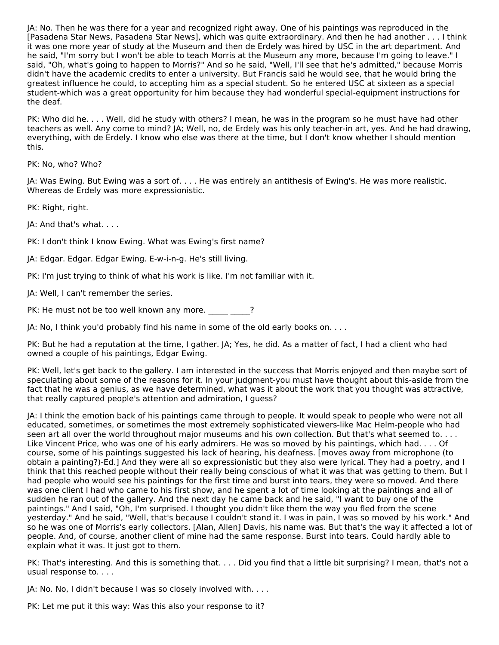JA: No. Then he was there for a year and recognized right away. One of his paintings was reproduced in the [Pasadena Star News, Pasadena Star News], which was quite extraordinary. And then he had another . . . I think it was one more year of study at the Museum and then de Erdely was hired by USC in the art department. And he said, "I'm sorry but I won't be able to teach Morris at the Museum any more, because I'm going to leave." I said, "Oh, what's going to happen to Morris?" And so he said, "Well, I'll see that he's admitted," because Morris didn't have the academic credits to enter a university. But Francis said he would see, that he would bring the greatest influence he could, to accepting him as a special student. So he entered USC at sixteen as a special student-which was a great opportunity for him because they had wonderful special-equipment instructions for the deaf.

PK: Who did he. . . . Well, did he study with others? I mean, he was in the program so he must have had other teachers as well. Any come to mind? JA; Well, no, de Erdely was his only teacher-in art, yes. And he had drawing, everything, with de Erdely. I know who else was there at the time, but I don't know whether I should mention this.

PK: No, who? Who?

JA: Was Ewing. But Ewing was a sort of. . . . He was entirely an antithesis of Ewing's. He was more realistic. Whereas de Erdely was more expressionistic.

PK: Right, right.

JA: And that's what. . . .

PK: I don't think I know Ewing. What was Ewing's first name?

JA: Edgar. Edgar. Edgar Ewing. E-w-i-n-g. He's still living.

PK: I'm just trying to think of what his work is like. I'm not familiar with it.

JA: Well, I can't remember the series.

PK: He must not be too well known any more.  $\overline{\phantom{a}}$  ?

JA: No, I think you'd probably find his name in some of the old early books on. . . .

PK: But he had a reputation at the time, I gather. JA; Yes, he did. As a matter of fact, I had a client who had owned a couple of his paintings, Edgar Ewing.

PK: Well, let's get back to the gallery. I am interested in the success that Morris enjoyed and then maybe sort of speculating about some of the reasons for it. In your judgment-you must have thought about this-aside from the fact that he was a genius, as we have determined, what was it about the work that you thought was attractive, that really captured people's attention and admiration, I guess?

JA: I think the emotion back of his paintings came through to people. It would speak to people who were not all educated, sometimes, or sometimes the most extremely sophisticated viewers-like Mac Helm-people who had seen art all over the world throughout major museums and his own collection. But that's what seemed to.... Like Vincent Price, who was one of his early admirers. He was so moved by his paintings, which had. . . . Of course, some of his paintings suggested his lack of hearing, his deafness. [moves away from microphone (to obtain a painting?)-Ed.] And they were all so expressionistic but they also were lyrical. They had a poetry, and I think that this reached people without their really being conscious of what it was that was getting to them. But I had people who would see his paintings for the first time and burst into tears, they were so moved. And there was one client I had who came to his first show, and he spent a lot of time looking at the paintings and all of sudden he ran out of the gallery. And the next day he came back and he said, "I want to buy one of the paintings." And I said, "Oh, I'm surprised. I thought you didn't like them the way you fled from the scene yesterday." And he said, "Well, that's because I couldn't stand it. I was in pain, I was so moved by his work." And so he was one of Morris's early collectors. [Alan, Allen] Davis, his name was. But that's the way it affected a lot of people. And, of course, another client of mine had the same response. Burst into tears. Could hardly able to explain what it was. It just got to them.

PK: That's interesting. And this is something that. . . . Did you find that a little bit surprising? I mean, that's not a usual response to. . . .

JA: No. No, I didn't because I was so closely involved with. . . .

PK: Let me put it this way: Was this also your response to it?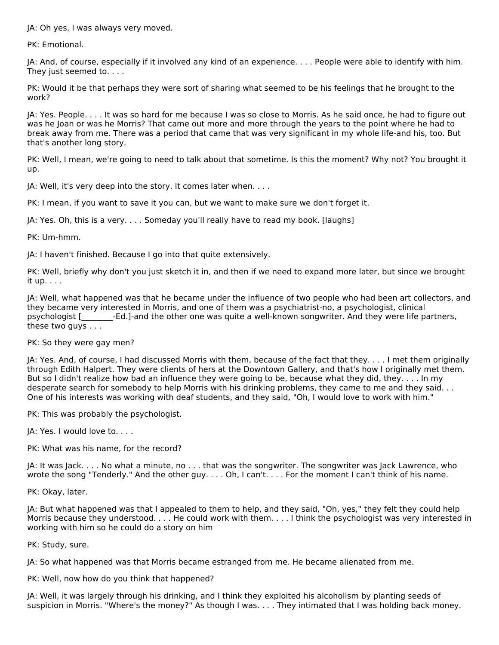JA: Oh yes, I was always very moved.

PK: Emotional.

JA: And, of course, especially if it involved any kind of an experience. . . . People were able to identify with him. They just seemed to. . . .

PK: Would it be that perhaps they were sort of sharing what seemed to be his feelings that he brought to the work?

JA: Yes. People. . . . It was so hard for me because I was so close to Morris. As he said once, he had to figure out was he Joan or was he Morris? That came out more and more through the years to the point where he had to break away from me. There was a period that came that was very significant in my whole life-and his, too. But that's another long story.

PK: Well, I mean, we're going to need to talk about that sometime. Is this the moment? Why not? You brought it up.

JA: Well, it's very deep into the story. It comes later when. . . .

PK: I mean, if you want to save it you can, but we want to make sure we don't forget it.

JA: Yes. Oh, this is a very. . . . Someday you'll really have to read my book. [laughs]

PK: Um-hmm.

JA: I haven't finished. Because I go into that quite extensively.

PK: Well, briefly why don't you just sketch it in, and then if we need to expand more later, but since we brought it up. . . .

JA: Well, what happened was that he became under the influence of two people who had been art collectors, and they became very interested in Morris, and one of them was a psychiatrist-no, a psychologist, clinical psychologist [\_\_\_\_\_\_\_\_-Ed.]-and the other one was quite a well-known songwriter. And they were life partners, these two guys . . .

### PK: So they were gay men?

JA: Yes. And, of course, I had discussed Morris with them, because of the fact that they. . . . I met them originally through Edith Halpert. They were clients of hers at the Downtown Gallery, and that's how I originally met them. But so I didn't realize how bad an influence they were going to be, because what they did, they. . . . In my desperate search for somebody to help Morris with his drinking problems, they came to me and they said. . . One of his interests was working with deaf students, and they said, "Oh, I would love to work with him."

PK: This was probably the psychologist.

JA: Yes. I would love to. . . .

PK: What was his name, for the record?

JA: It was Jack. . . . No what a minute, no . . . that was the songwriter. The songwriter was Jack Lawrence, who wrote the song "Tenderly." And the other guy. . . . Oh, I can't. . . . For the moment I can't think of his name.

PK: Okay, later.

JA: But what happened was that I appealed to them to help, and they said, "Oh, yes," they felt they could help Morris because they understood. . . . He could work with them. . . . I think the psychologist was very interested in working with him so he could do a story on him

PK: Study, sure.

JA: So what happened was that Morris became estranged from me. He became alienated from me.

PK: Well, now how do you think that happened?

JA: Well, it was largely through his drinking, and I think they exploited his alcoholism by planting seeds of suspicion in Morris. "Where's the money?" As though I was. . . . They intimated that I was holding back money.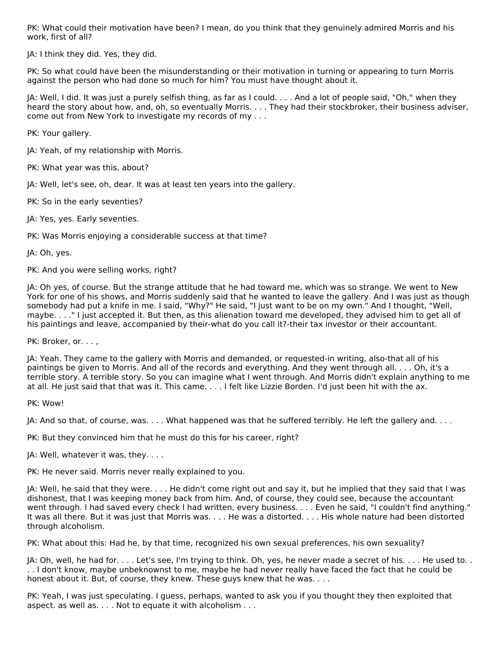PK: What could their motivation have been? I mean, do you think that they genuinely admired Morris and his work, first of all?

JA: I think they did. Yes, they did.

PK: So what could have been the misunderstanding or their motivation in turning or appearing to turn Morris against the person who had done so much for him? You must have thought about it.

JA: Well, I did. It was just a purely selfish thing, as far as I could. . . . And a lot of people said, "Oh," when they heard the story about how, and, oh, so eventually Morris. . . . They had their stockbroker, their business adviser, come out from New York to investigate my records of my . . .

PK: Your gallery.

JA: Yeah, of my relationship with Morris.

PK: What year was this, about?

JA: Well, let's see, oh, dear. It was at least ten years into the gallery.

PK: So in the early seventies?

JA: Yes, yes. Early seventies.

PK: Was Morris enjoying a considerable success at that time?

JA: Oh, yes.

PK: And you were selling works, right?

JA: Oh yes, of course. But the strange attitude that he had toward me, which was so strange. We went to New York for one of his shows, and Morris suddenly said that he wanted to leave the gallery. And I was just as though somebody had put a knife in me. I said, "Why?" He said, "I just want to be on my own." And I thought, "Well, maybe. . . ." I just accepted it. But then, as this alienation toward me developed, they advised him to get all of his paintings and leave, accompanied by their-what do you call it?-their tax investor or their accountant.

PK: Broker, or. . . ,

JA: Yeah. They came to the gallery with Morris and demanded, or requested-in writing, also-that all of his paintings be given to Morris. And all of the records and everything. And they went through all. . . . Oh, it's a terrible story. A terrible story. So you can imagine what I went through. And Morris didn't explain anything to me at all. He just said that that was it. This came. . . . I felt like Lizzie Borden. I'd just been hit with the ax.

PK: Wow!

JA: And so that, of course, was. . . . What happened was that he suffered terribly. He left the gallery and. . . .

PK: But they convinced him that he must do this for his career, right?

JA: Well, whatever it was, they. . . .

PK: He never said. Morris never really explained to you.

JA: Well, he said that they were. . . . He didn't come right out and say it, but he implied that they said that I was dishonest, that I was keeping money back from him. And, of course, they could see, because the accountant went through. I had saved every check I had written, every business. . . . Even he said, "I couldn't find anything." It was all there. But it was just that Morris was. . . . He was a distorted. . . . His whole nature had been distorted through alcoholism.

PK: What about this: Had he, by that time, recognized his own sexual preferences, his own sexuality?

JA: Oh, well, he had for. . . . Let's see, I'm trying to think. Oh, yes, he never made a secret of his. . . . He used to. . . . I don't know, maybe unbeknownst to me, maybe he had never really have faced the fact that he could be honest about it. But, of course, they knew. These guys knew that he was. . . .

PK: Yeah, I was just speculating. I guess, perhaps, wanted to ask you if you thought they then exploited that aspect. as well as. . . . Not to equate it with alcoholism . . .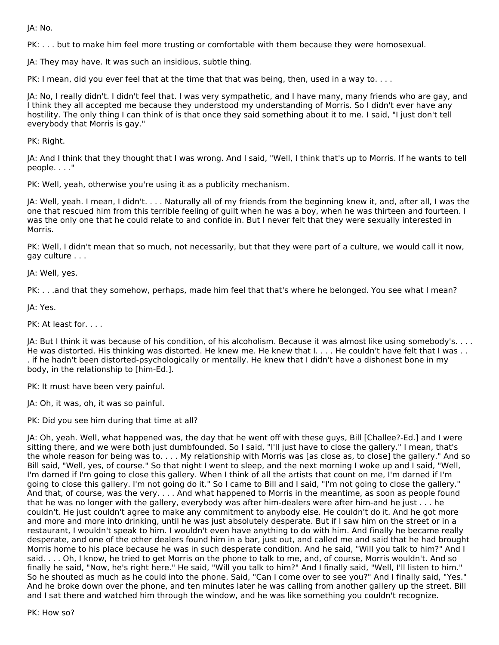JA: No.

PK: . . . but to make him feel more trusting or comfortable with them because they were homosexual.

JA: They may have. It was such an insidious, subtle thing.

PK: I mean, did you ever feel that at the time that that was being, then, used in a way to. . . .

JA: No, I really didn't. I didn't feel that. I was very sympathetic, and I have many, many friends who are gay, and I think they all accepted me because they understood my understanding of Morris. So I didn't ever have any hostility. The only thing I can think of is that once they said something about it to me. I said, "I just don't tell everybody that Morris is gay."

PK: Right.

JA: And I think that they thought that I was wrong. And I said, "Well, I think that's up to Morris. If he wants to tell people. . . ."

PK: Well, yeah, otherwise you're using it as a publicity mechanism.

JA: Well, yeah. I mean, I didn't. . . . Naturally all of my friends from the beginning knew it, and, after all, I was the one that rescued him from this terrible feeling of guilt when he was a boy, when he was thirteen and fourteen. I was the only one that he could relate to and confide in. But I never felt that they were sexually interested in Morris.

PK: Well, I didn't mean that so much, not necessarily, but that they were part of a culture, we would call it now, gay culture . . .

JA: Well, yes.

PK: . . .and that they somehow, perhaps, made him feel that that's where he belonged. You see what I mean?

JA: Yes.

PK: At least for. . . .

JA: But I think it was because of his condition, of his alcoholism. Because it was almost like using somebody's. . . . He was distorted. His thinking was distorted. He knew me. He knew that I. . . . He couldn't have felt that I was . . . if he hadn't been distorted-psychologically or mentally. He knew that I didn't have a dishonest bone in my body, in the relationship to [him-Ed.].

PK: It must have been very painful.

JA: Oh, it was, oh, it was so painful.

PK: Did you see him during that time at all?

JA: Oh, yeah. Well, what happened was, the day that he went off with these guys, Bill [Challee?-Ed.] and I were sitting there, and we were both just dumbfounded. So I said, "I'll just have to close the gallery." I mean, that's the whole reason for being was to. . . . My relationship with Morris was [as close as, to close] the gallery." And so Bill said, "Well, yes, of course." So that night I went to sleep, and the next morning I woke up and I said, "Well, I'm darned if I'm going to close this gallery. When I think of all the artists that count on me, I'm darned if I'm going to close this gallery. I'm not going do it." So I came to Bill and I said, "I'm not going to close the gallery." And that, of course, was the very. . . . And what happened to Morris in the meantime, as soon as people found that he was no longer with the gallery, everybody was after him-dealers were after him-and he just . . . he couldn't. He just couldn't agree to make any commitment to anybody else. He couldn't do it. And he got more and more and more into drinking, until he was just absolutely desperate. But if I saw him on the street or in a restaurant, I wouldn't speak to him. I wouldn't even have anything to do with him. And finally he became really desperate, and one of the other dealers found him in a bar, just out, and called me and said that he had brought Morris home to his place because he was in such desperate condition. And he said, "Will you talk to him?" And I said. . . . Oh, I know, he tried to get Morris on the phone to talk to me, and, of course, Morris wouldn't. And so finally he said, "Now, he's right here." He said, "Will you talk to him?" And I finally said, "Well, I'll listen to him." So he shouted as much as he could into the phone. Said, "Can I come over to see you?" And I finally said, "Yes." And he broke down over the phone, and ten minutes later he was calling from another gallery up the street. Bill and I sat there and watched him through the window, and he was like something you couldn't recognize.

PK: How so?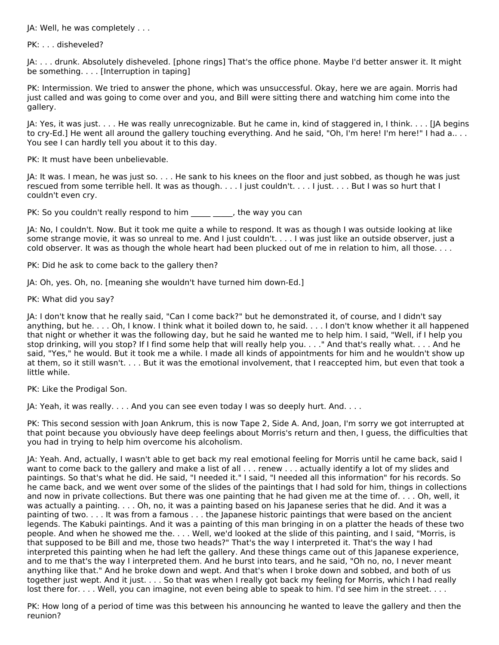JA: Well, he was completely . . .

PK: . . . disheveled?

JA: . . . drunk. Absolutely disheveled. [phone rings] That's the office phone. Maybe I'd better answer it. It might be something. . . . [Interruption in taping]

PK: Intermission. We tried to answer the phone, which was unsuccessful. Okay, here we are again. Morris had just called and was going to come over and you, and Bill were sitting there and watching him come into the gallery.

JA: Yes, it was just. . . . He was really unrecognizable. But he came in, kind of staggered in, I think. . . . [JA begins to cry-Ed.] He went all around the gallery touching everything. And he said, "Oh, I'm here! I'm here!" I had a.... You see I can hardly tell you about it to this day.

PK: It must have been unbelievable.

JA: It was. I mean, he was just so. . . . He sank to his knees on the floor and just sobbed, as though he was just rescued from some terrible hell. It was as though. . . . I just couldn't. . . . I just. . . . But I was so hurt that I couldn't even cry.

PK: So you couldn't really respond to him example the way you can

JA: No, I couldn't. Now. But it took me quite a while to respond. It was as though I was outside looking at like some strange movie, it was so unreal to me. And I just couldn't. . . . I was just like an outside observer, just a cold observer. It was as though the whole heart had been plucked out of me in relation to him, all those. . . .

PK: Did he ask to come back to the gallery then?

JA: Oh, yes. Oh, no. [meaning she wouldn't have turned him down-Ed.]

PK: What did you say?

JA: I don't know that he really said, "Can I come back?" but he demonstrated it, of course, and I didn't say anything, but he. . . . Oh, I know. I think what it boiled down to, he said. . . . I don't know whether it all happened that night or whether it was the following day, but he said he wanted me to help him. I said, "Well, if I help you stop drinking, will you stop? If I find some help that will really help you. . . ." And that's really what. . . . And he said, "Yes," he would. But it took me a while. I made all kinds of appointments for him and he wouldn't show up at them, so it still wasn't. . . . But it was the emotional involvement, that I reaccepted him, but even that took a little while.

PK: Like the Prodigal Son.

JA: Yeah, it was really. . . . And you can see even today I was so deeply hurt. And. . . .

PK: This second session with Joan Ankrum, this is now Tape 2, Side A. And, Joan, I'm sorry we got interrupted at that point because you obviously have deep feelings about Morris's return and then, I guess, the difficulties that you had in trying to help him overcome his alcoholism.

JA: Yeah. And, actually, I wasn't able to get back my real emotional feeling for Morris until he came back, said I want to come back to the gallery and make a list of all . . . renew . . . actually identify a lot of my slides and paintings. So that's what he did. He said, "I needed it." I said, "I needed all this information" for his records. So he came back, and we went over some of the slides of the paintings that I had sold for him, things in collections and now in private collections. But there was one painting that he had given me at the time of. . . . Oh, well, it was actually a painting. . . . Oh, no, it was a painting based on his Japanese series that he did. And it was a painting of two. . . . It was from a famous . . . the Japanese historic paintings that were based on the ancient legends. The Kabuki paintings. And it was a painting of this man bringing in on a platter the heads of these two people. And when he showed me the. . . . Well, we'd looked at the slide of this painting, and I said, "Morris, is that supposed to be Bill and me, those two heads?" That's the way I interpreted it. That's the way I had interpreted this painting when he had left the gallery. And these things came out of this Japanese experience, and to me that's the way I interpreted them. And he burst into tears, and he said, "Oh no, no, I never meant anything like that." And he broke down and wept. And that's when I broke down and sobbed, and both of us together just wept. And it just. . . . So that was when I really got back my feeling for Morris, which I had really lost there for. . . . Well, you can imagine, not even being able to speak to him. I'd see him in the street. . . .

PK: How long of a period of time was this between his announcing he wanted to leave the gallery and then the reunion?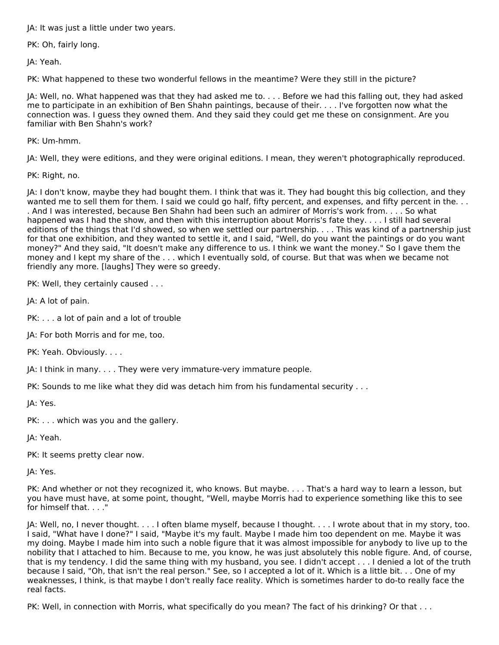JA: It was just a little under two years.

PK: Oh, fairly long.

JA: Yeah.

PK: What happened to these two wonderful fellows in the meantime? Were they still in the picture?

JA: Well, no. What happened was that they had asked me to. . . . Before we had this falling out, they had asked me to participate in an exhibition of Ben Shahn paintings, because of their. . . . I've forgotten now what the connection was. I guess they owned them. And they said they could get me these on consignment. Are you familiar with Ben Shahn's work?

PK: Um-hmm.

JA: Well, they were editions, and they were original editions. I mean, they weren't photographically reproduced.

PK: Right, no.

JA: I don't know, maybe they had bought them. I think that was it. They had bought this big collection, and they wanted me to sell them for them. I said we could go half, fifty percent, and expenses, and fifty percent in the. . . . And I was interested, because Ben Shahn had been such an admirer of Morris's work from. . . . So what happened was I had the show, and then with this interruption about Morris's fate they. . . . I still had several editions of the things that I'd showed, so when we settled our partnership. . . . This was kind of a partnership just for that one exhibition, and they wanted to settle it, and I said, "Well, do you want the paintings or do you want money?" And they said, "It doesn't make any difference to us. I think we want the money." So I gave them the money and I kept my share of the . . . which I eventually sold, of course. But that was when we became not friendly any more. [laughs] They were so greedy.

PK: Well, they certainly caused . . .

JA: A lot of pain.

PK: . . . a lot of pain and a lot of trouble

JA: For both Morris and for me, too.

PK: Yeah. Obviously. . . .

JA: I think in many. . . . They were very immature-very immature people.

PK: Sounds to me like what they did was detach him from his fundamental security . . .

JA: Yes.

PK: . . . which was you and the gallery.

JA: Yeah.

PK: It seems pretty clear now.

JA: Yes.

PK: And whether or not they recognized it, who knows. But maybe. . . . That's a hard way to learn a lesson, but you have must have, at some point, thought, "Well, maybe Morris had to experience something like this to see for himself that. . . ."

JA: Well, no, I never thought. . . . I often blame myself, because I thought. . . . I wrote about that in my story, too. I said, "What have I done?" I said, "Maybe it's my fault. Maybe I made him too dependent on me. Maybe it was my doing. Maybe I made him into such a noble figure that it was almost impossible for anybody to live up to the nobility that I attached to him. Because to me, you know, he was just absolutely this noble figure. And, of course, that is my tendency. I did the same thing with my husband, you see. I didn't accept . . . I denied a lot of the truth because I said, "Oh, that isn't the real person." See, so I accepted a lot of it. Which is a little bit. . . One of my weaknesses, I think, is that maybe I don't really face reality. Which is sometimes harder to do-to really face the real facts.

PK: Well, in connection with Morris, what specifically do you mean? The fact of his drinking? Or that . . .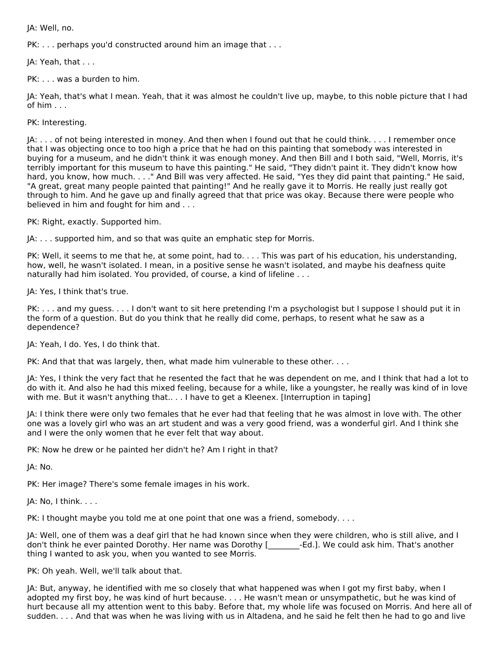JA: Well, no.

PK: . . . perhaps you'd constructed around him an image that . . .

JA: Yeah, that . . .

PK: . . . was a burden to him.

JA: Yeah, that's what I mean. Yeah, that it was almost he couldn't live up, maybe, to this noble picture that I had of him . . .

PK: Interesting.

JA: . . . of not being interested in money. And then when I found out that he could think. . . . I remember once that I was objecting once to too high a price that he had on this painting that somebody was interested in buying for a museum, and he didn't think it was enough money. And then Bill and I both said, "Well, Morris, it's terribly important for this museum to have this painting." He said, "They didn't paint it. They didn't know how hard, you know, how much. . . . " And Bill was very affected. He said, "Yes they did paint that painting." He said, "A great, great many people painted that painting!" And he really gave it to Morris. He really just really got through to him. And he gave up and finally agreed that that price was okay. Because there were people who believed in him and fought for him and . . .

PK: Right, exactly. Supported him.

JA: . . . supported him, and so that was quite an emphatic step for Morris.

PK: Well, it seems to me that he, at some point, had to. . . . This was part of his education, his understanding, how, well, he wasn't isolated. I mean, in a positive sense he wasn't isolated, and maybe his deafness quite naturally had him isolated. You provided, of course, a kind of lifeline . . .

JA: Yes, I think that's true.

PK: . . . and my guess. . . . I don't want to sit here pretending I'm a psychologist but I suppose I should put it in the form of a question. But do you think that he really did come, perhaps, to resent what he saw as a dependence?

JA: Yeah, I do. Yes, I do think that.

PK: And that that was largely, then, what made him vulnerable to these other. . . .

JA: Yes, I think the very fact that he resented the fact that he was dependent on me, and I think that had a lot to do with it. And also he had this mixed feeling, because for a while, like a youngster, he really was kind of in love with me. But it wasn't anything that.. . . I have to get a Kleenex. [Interruption in taping]

JA: I think there were only two females that he ever had that feeling that he was almost in love with. The other one was a lovely girl who was an art student and was a very good friend, was a wonderful girl. And I think she and I were the only women that he ever felt that way about.

PK: Now he drew or he painted her didn't he? Am I right in that?

JA: No.

PK: Her image? There's some female images in his work.

JA: No, I think. . . .

PK: I thought maybe you told me at one point that one was a friend, somebody. . . .

JA: Well, one of them was a deaf girl that he had known since when they were children, who is still alive, and I don't think he ever painted Dorothy. Her name was Dorothy [excluibled]. We could ask him. That's another thing I wanted to ask you, when you wanted to see Morris.

PK: Oh yeah. Well, we'll talk about that.

JA: But, anyway, he identified with me so closely that what happened was when I got my first baby, when I adopted my first boy, he was kind of hurt because. . . . He wasn't mean or unsympathetic, but he was kind of hurt because all my attention went to this baby. Before that, my whole life was focused on Morris. And here all of sudden. . . . And that was when he was living with us in Altadena, and he said he felt then he had to go and live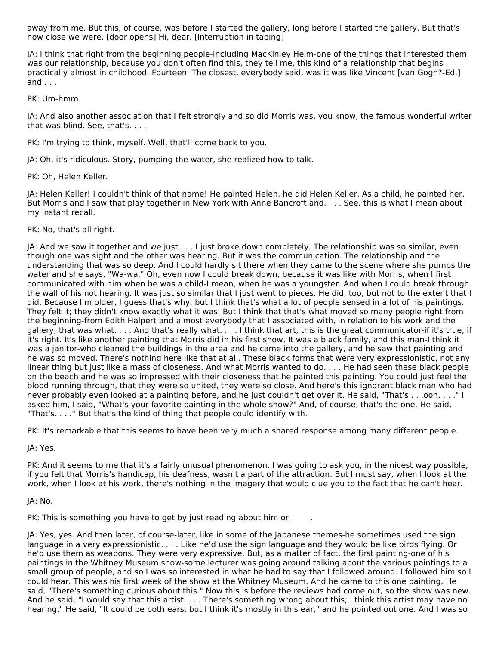away from me. But this, of course, was before I started the gallery, long before I started the gallery. But that's how close we were. [door opens] Hi, dear. [Interruption in taping]

JA: I think that right from the beginning people-including MacKinley Helm-one of the things that interested them was our relationship, because you don't often find this, they tell me, this kind of a relationship that begins practically almost in childhood. Fourteen. The closest, everybody said, was it was like Vincent [van Gogh?-Ed.] and . . .

PK: Um-hmm.

JA: And also another association that I felt strongly and so did Morris was, you know, the famous wonderful writer that was blind. See, that's. . . .

PK: I'm trying to think, myself. Well, that'll come back to you.

JA: Oh, it's ridiculous. Story, pumping the water, she realized how to talk.

PK: Oh, Helen Keller.

JA: Helen Keller! I couldn't think of that name! He painted Helen, he did Helen Keller. As a child, he painted her. But Morris and I saw that play together in New York with Anne Bancroft and. . . . See, this is what I mean about my instant recall.

PK: No, that's all right.

JA: And we saw it together and we just . . . I just broke down completely. The relationship was so similar, even though one was sight and the other was hearing. But it was the communication. The relationship and the understanding that was so deep. And I could hardly sit there when they came to the scene where she pumps the water and she says, "Wa-wa." Oh, even now I could break down, because it was like with Morris, when I first communicated with him when he was a child-I mean, when he was a youngster. And when I could break through the wall of his not hearing. It was just so similar that I just went to pieces. He did, too, but not to the extent that I did. Because I'm older, I guess that's why, but I think that's what a lot of people sensed in a lot of his paintings. They felt it; they didn't know exactly what it was. But I think that that's what moved so many people right from the beginning-from Edith Halpert and almost everybody that I associated with, in relation to his work and the gallery, that was what. . . . And that's really what. . . . I think that art, this is the great communicator-if it's true, if it's right. It's like another painting that Morris did in his first show. It was a black family, and this man-I think it was a janitor-who cleaned the buildings in the area and he came into the gallery, and he saw that painting and he was so moved. There's nothing here like that at all. These black forms that were very expressionistic, not any linear thing but just like a mass of closeness. And what Morris wanted to do. . . . He had seen these black people on the beach and he was so impressed with their closeness that he painted this painting. You could just feel the blood running through, that they were so united, they were so close. And here's this ignorant black man who had never probably even looked at a painting before, and he just couldn't get over it. He said, "That's . . .ooh. . . ." I asked him, I said, "What's your favorite painting in the whole show?" And, of course, that's the one. He said, "That's. . . ." But that's the kind of thing that people could identify with.

PK: It's remarkable that this seems to have been very much a shared response among many different people.

JA: Yes.

PK: And it seems to me that it's a fairly unusual phenomenon. I was going to ask you, in the nicest way possible, if you felt that Morris's handicap, his deafness, wasn't a part of the attraction. But I must say, when I look at the work, when I look at his work, there's nothing in the imagery that would clue you to the fact that he can't hear.

JA: No.

PK: This is something you have to get by just reading about him or  $\qquad \qquad$ .

JA: Yes, yes. And then later, of course-later, like in some of the Japanese themes-he sometimes used the sign language in a very expressionistic. . . . Like he'd use the sign language and they would be like birds flying. Or he'd use them as weapons. They were very expressive. But, as a matter of fact, the first painting-one of his paintings in the Whitney Museum show-some lecturer was going around talking about the various paintings to a small group of people, and so I was so interested in what he had to say that I followed around. I followed him so I could hear. This was his first week of the show at the Whitney Museum. And he came to this one painting. He said, "There's something curious about this." Now this is before the reviews had come out, so the show was new. And he said, "I would say that this artist. . . . There's something wrong about this; I think this artist may have no hearing." He said, "It could be both ears, but I think it's mostly in this ear," and he pointed out one. And I was so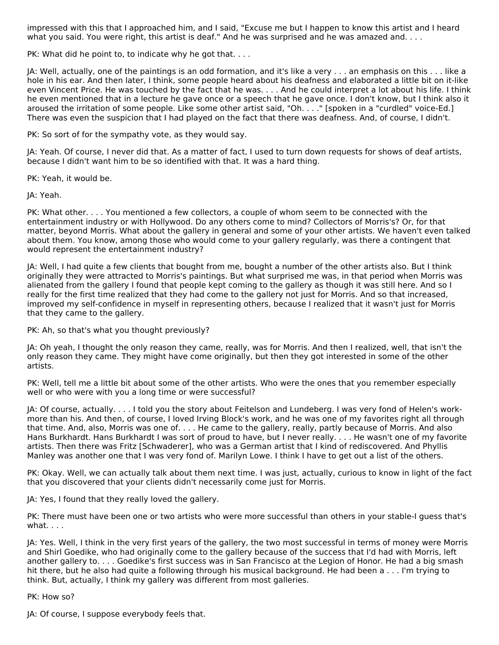impressed with this that I approached him, and I said, "Excuse me but I happen to know this artist and I heard what you said. You were right, this artist is deaf." And he was surprised and he was amazed and. . . .

PK: What did he point to, to indicate why he got that. . . .

JA: Well, actually, one of the paintings is an odd formation, and it's like a very . . . an emphasis on this . . . like a hole in his ear. And then later, I think, some people heard about his deafness and elaborated a little bit on it-like even Vincent Price. He was touched by the fact that he was. . . . And he could interpret a lot about his life. I think he even mentioned that in a lecture he gave once or a speech that he gave once. I don't know, but I think also it aroused the irritation of some people. Like some other artist said, "Oh. . . ." [spoken in a "curdled" voice-Ed.] There was even the suspicion that I had played on the fact that there was deafness. And, of course, I didn't.

PK: So sort of for the sympathy vote, as they would say.

JA: Yeah. Of course, I never did that. As a matter of fact, I used to turn down requests for shows of deaf artists, because I didn't want him to be so identified with that. It was a hard thing.

PK: Yeah, it would be.

JA: Yeah.

PK: What other. . . . You mentioned a few collectors, a couple of whom seem to be connected with the entertainment industry or with Hollywood. Do any others come to mind? Collectors of Morris's? Or, for that matter, beyond Morris. What about the gallery in general and some of your other artists. We haven't even talked about them. You know, among those who would come to your gallery regularly, was there a contingent that would represent the entertainment industry?

JA: Well, I had quite a few clients that bought from me, bought a number of the other artists also. But I think originally they were attracted to Morris's paintings. But what surprised me was, in that period when Morris was alienated from the gallery I found that people kept coming to the gallery as though it was still here. And so I really for the first time realized that they had come to the gallery not just for Morris. And so that increased, improved my self-confidence in myself in representing others, because I realized that it wasn't just for Morris that they came to the gallery.

PK: Ah, so that's what you thought previously?

JA: Oh yeah, I thought the only reason they came, really, was for Morris. And then I realized, well, that isn't the only reason they came. They might have come originally, but then they got interested in some of the other artists.

PK: Well, tell me a little bit about some of the other artists. Who were the ones that you remember especially well or who were with you a long time or were successful?

JA: Of course, actually. . . . I told you the story about Feitelson and Lundeberg. I was very fond of Helen's work more than his. And then, of course, I loved Irving Block's work, and he was one of my favorites right all through that time. And, also, Morris was one of. . . . He came to the gallery, really, partly because of Morris. And also Hans Burkhardt. Hans Burkhardt I was sort of proud to have, but I never really. . . . He wasn't one of my favorite artists. Then there was Fritz [Schwaderer], who was a German artist that I kind of rediscovered. And Phyllis Manley was another one that I was very fond of. Marilyn Lowe. I think I have to get out a list of the others.

PK: Okay. Well, we can actually talk about them next time. I was just, actually, curious to know in light of the fact that you discovered that your clients didn't necessarily come just for Morris.

JA: Yes, I found that they really loved the gallery.

PK: There must have been one or two artists who were more successful than others in your stable-I guess that's what. . . .

JA: Yes. Well, I think in the very first years of the gallery, the two most successful in terms of money were Morris and Shirl Goedike, who had originally come to the gallery because of the success that I'd had with Morris, left another gallery to. . . . Goedike's first success was in San Francisco at the Legion of Honor. He had a big smash hit there, but he also had quite a following through his musical background. He had been a . . . I'm trying to think. But, actually, I think my gallery was different from most galleries.

### PK: How so?

JA: Of course, I suppose everybody feels that.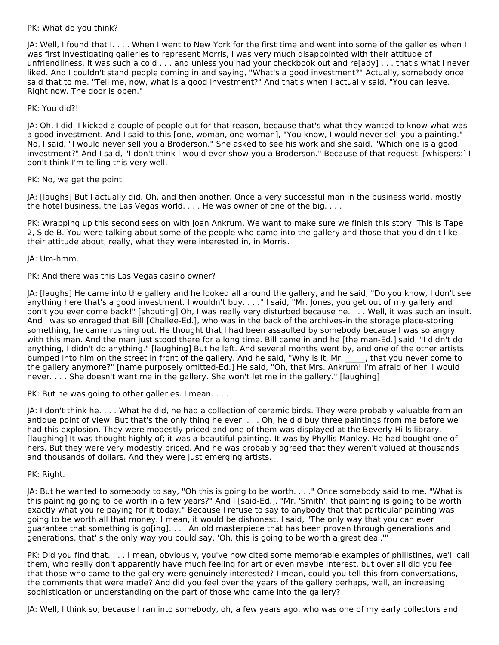### PK: What do you think?

JA: Well, I found that I. . . . When I went to New York for the first time and went into some of the galleries when I was first investigating galleries to represent Morris, I was very much disappointed with their attitude of unfriendliness. It was such a cold . . . and unless you had your checkbook out and re[ady] . . . that's what I never liked. And I couldn't stand people coming in and saying, "What's a good investment?" Actually, somebody once said that to me. "Tell me, now, what is a good investment?" And that's when I actually said, "You can leave. Right now. The door is open."

# PK: You did?!

JA: Oh, I did. I kicked a couple of people out for that reason, because that's what they wanted to know-what was a good investment. And I said to this [one, woman, one woman], "You know, I would never sell you a painting." No, I said, "I would never sell you a Broderson." She asked to see his work and she said, "Which one is a good investment?" And I said, "I don't think I would ever show you a Broderson." Because of that request. [whispers:] I don't think I'm telling this very well.

# PK: No, we get the point.

JA: [laughs] But I actually did. Oh, and then another. Once a very successful man in the business world, mostly the hotel business, the Las Vegas world. . . . He was owner of one of the big. . . .

PK: Wrapping up this second session with Joan Ankrum. We want to make sure we finish this story. This is Tape 2, Side B. You were talking about some of the people who came into the gallery and those that you didn't like their attitude about, really, what they were interested in, in Morris.

JA: Um-hmm.

# PK: And there was this Las Vegas casino owner?

JA: [laughs] He came into the gallery and he looked all around the gallery, and he said, "Do you know, I don't see anything here that's a good investment. I wouldn't buy. . . ." I said, "Mr. Jones, you get out of my gallery and don't you ever come back!" [shouting] Oh, I was really very disturbed because he. . . . Well, it was such an insult. And I was so enraged that Bill [Challee-Ed.], who was in the back of the archives-in the storage place-storing something, he came rushing out. He thought that I had been assaulted by somebody because I was so angry with this man. And the man just stood there for a long time. Bill came in and he [the man-Ed.] said, "I didn't do anything, I didn't do anything." [laughing] But he left. And several months went by, and one of the other artists bumped into him on the street in front of the gallery. And he said, "Why is it, Mr. \_\_\_\_\_, that you never come to the gallery anymore?" [name purposely omitted-Ed.] He said, "Oh, that Mrs. Ankrum! I'm afraid of her. I would never. . . . She doesn't want me in the gallery. She won't let me in the gallery." [laughing]

PK: But he was going to other galleries. I mean. . . .

JA: I don't think he. . . . What he did, he had a collection of ceramic birds. They were probably valuable from an antique point of view. But that's the only thing he ever. . . . Oh, he did buy three paintings from me before we had this explosion. They were modestly priced and one of them was displayed at the Beverly Hills library. [laughing] It was thought highly of; it was a beautiful painting. It was by Phyllis Manley. He had bought one of hers. But they were very modestly priced. And he was probably agreed that they weren't valued at thousands and thousands of dollars. And they were just emerging artists.

### PK: Right.

JA: But he wanted to somebody to say, "Oh this is going to be worth. . . ." Once somebody said to me, "What is this painting going to be worth in a few years?" And I [said-Ed.], "Mr. 'Smith', that painting is going to be worth exactly what you're paying for it today." Because I refuse to say to anybody that that particular painting was going to be worth all that money. I mean, it would be dishonest. I said, "The only way that you can ever guarantee that something is go[ing]. . . . An old masterpiece that has been proven through generations and generations, that' s the only way you could say, 'Oh, this is going to be worth a great deal.'"

PK: Did you find that. . . . I mean, obviously, you've now cited some memorable examples of philistines, we'll call them, who really don't apparently have much feeling for art or even maybe interest, but over all did you feel that those who came to the gallery were genuinely interested? I mean, could you tell this from conversations, the comments that were made? And did you feel over the years of the gallery perhaps, well, an increasing sophistication or understanding on the part of those who came into the gallery?

JA: Well, I think so, because I ran into somebody, oh, a few years ago, who was one of my early collectors and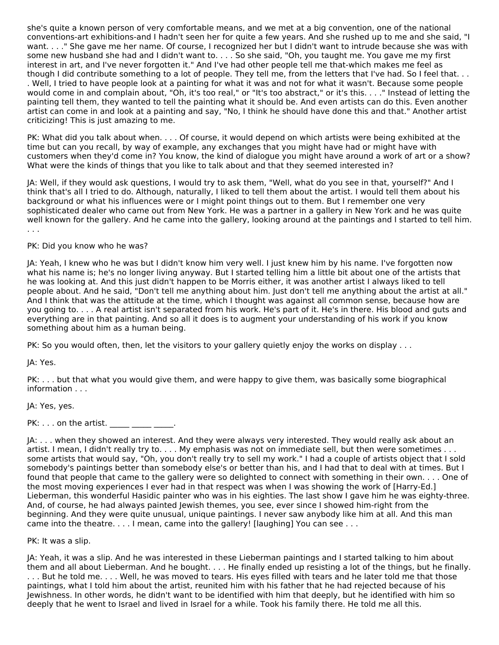she's quite a known person of very comfortable means, and we met at a big convention, one of the national conventions-art exhibitions-and I hadn't seen her for quite a few years. And she rushed up to me and she said, "I want. . . ." She gave me her name. Of course, I recognized her but I didn't want to intrude because she was with some new husband she had and I didn't want to. . . . So she said, "Oh, you taught me. You gave me my first interest in art, and I've never forgotten it." And I've had other people tell me that-which makes me feel as though I did contribute something to a lot of people. They tell me, from the letters that I've had. So I feel that. . . . Well, I tried to have people look at a painting for what it was and not for what it wasn't. Because some people would come in and complain about, "Oh, it's too real," or "It's too abstract," or it's this. . . ." Instead of letting the painting tell them, they wanted to tell the painting what it should be. And even artists can do this. Even another artist can come in and look at a painting and say, "No, I think he should have done this and that." Another artist criticizing! This is just amazing to me.

PK: What did you talk about when. . . . Of course, it would depend on which artists were being exhibited at the time but can you recall, by way of example, any exchanges that you might have had or might have with customers when they'd come in? You know, the kind of dialogue you might have around a work of art or a show? What were the kinds of things that you like to talk about and that they seemed interested in?

JA: Well, if they would ask questions, I would try to ask them, "Well, what do you see in that, yourself?" And I think that's all I tried to do. Although, naturally, I liked to tell them about the artist. I would tell them about his background or what his influences were or I might point things out to them. But I remember one very sophisticated dealer who came out from New York. He was a partner in a gallery in New York and he was quite well known for the gallery. And he came into the gallery, looking around at the paintings and I started to tell him. . . .

# PK: Did you know who he was?

JA: Yeah, I knew who he was but I didn't know him very well. I just knew him by his name. I've forgotten now what his name is; he's no longer living anyway. But I started telling him a little bit about one of the artists that he was looking at. And this just didn't happen to be Morris either, it was another artist I always liked to tell people about. And he said, "Don't tell me anything about him. Just don't tell me anything about the artist at all." And I think that was the attitude at the time, which I thought was against all common sense, because how are you going to. . . . A real artist isn't separated from his work. He's part of it. He's in there. His blood and guts and everything are in that painting. And so all it does is to augment your understanding of his work if you know something about him as a human being.

PK: So you would often, then, let the visitors to your gallery quietly enjoy the works on display . . .

JA: Yes.

PK: . . . but that what you would give them, and were happy to give them, was basically some biographical information . . .

JA: Yes, yes.

 $PK: . . .$  on the artist.

JA: . . . when they showed an interest. And they were always very interested. They would really ask about an artist. I mean, I didn't really try to. . . . My emphasis was not on immediate sell, but then were sometimes . . . some artists that would say, "Oh, you don't really try to sell my work." I had a couple of artists object that I sold somebody's paintings better than somebody else's or better than his, and I had that to deal with at times. But I found that people that came to the gallery were so delighted to connect with something in their own. . . . One of the most moving experiences I ever had in that respect was when I was showing the work of [Harry-Ed.] Lieberman, this wonderful Hasidic painter who was in his eighties. The last show I gave him he was eighty-three. And, of course, he had always painted Jewish themes, you see, ever since I showed him-right from the beginning. And they were quite unusual, unique paintings. I never saw anybody like him at all. And this man came into the theatre. . . . I mean, came into the gallery! [laughing] You can see . . .

### PK: It was a slip.

JA: Yeah, it was a slip. And he was interested in these Lieberman paintings and I started talking to him about them and all about Lieberman. And he bought. . . . He finally ended up resisting a lot of the things, but he finally. . . . But he told me. . . . Well, he was moved to tears. His eyes filled with tears and he later told me that those paintings, what I told him about the artist, reunited him with his father that he had rejected because of his Jewishness. In other words, he didn't want to be identified with him that deeply, but he identified with him so deeply that he went to Israel and lived in Israel for a while. Took his family there. He told me all this.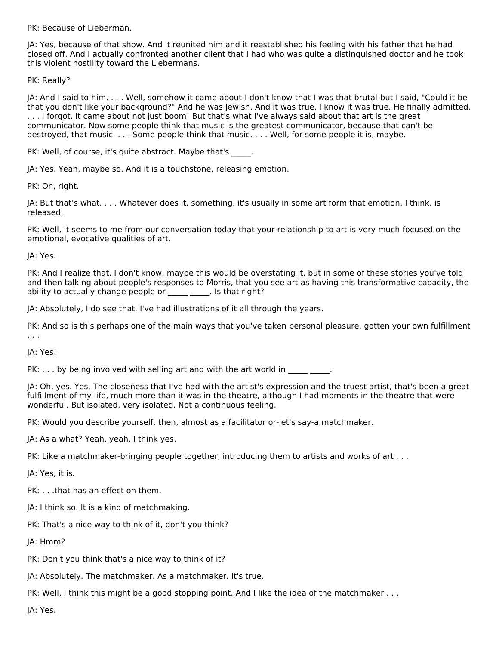PK: Because of Lieberman.

JA: Yes, because of that show. And it reunited him and it reestablished his feeling with his father that he had closed off. And I actually confronted another client that I had who was quite a distinguished doctor and he took this violent hostility toward the Liebermans.

PK: Really?

JA: And I said to him. . . . Well, somehow it came about-I don't know that I was that brutal-but I said, "Could it be that you don't like your background?" And he was Jewish. And it was true. I know it was true. He finally admitted. . . . I forgot. It came about not just boom! But that's what I've always said about that art is the great communicator. Now some people think that music is the greatest communicator, because that can't be destroyed, that music. . . . Some people think that music. . . . Well, for some people it is, maybe.

PK: Well, of course, it's quite abstract. Maybe that's ...

JA: Yes. Yeah, maybe so. And it is a touchstone, releasing emotion.

PK: Oh, right.

JA: But that's what. . . . Whatever does it, something, it's usually in some art form that emotion, I think, is released.

PK: Well, it seems to me from our conversation today that your relationship to art is very much focused on the emotional, evocative qualities of art.

JA: Yes.

PK: And I realize that, I don't know, maybe this would be overstating it, but in some of these stories you've told and then talking about people's responses to Morris, that you see art as having this transformative capacity, the ability to actually change people or **all as in the set of the set of the set of the set of the set of the set o** 

JA: Absolutely, I do see that. I've had illustrations of it all through the years.

PK: And so is this perhaps one of the main ways that you've taken personal pleasure, gotten your own fulfillment . . .

JA: Yes!

PK: . . . by being involved with selling art and with the art world in  $\blacksquare$ 

JA: Oh, yes. Yes. The closeness that I've had with the artist's expression and the truest artist, that's been a great fulfillment of my life, much more than it was in the theatre, although I had moments in the theatre that were wonderful. But isolated, very isolated. Not a continuous feeling.

PK: Would you describe yourself, then, almost as a facilitator or-let's say-a matchmaker.

JA: As a what? Yeah, yeah. I think yes.

PK: Like a matchmaker-bringing people together, introducing them to artists and works of art . . .

JA: Yes, it is.

PK: . . . that has an effect on them.

JA: I think so. It is a kind of matchmaking.

PK: That's a nice way to think of it, don't you think?

JA: Hmm?

PK: Don't you think that's a nice way to think of it?

JA: Absolutely. The matchmaker. As a matchmaker. It's true.

PK: Well, I think this might be a good stopping point. And I like the idea of the matchmaker . . .

JA: Yes.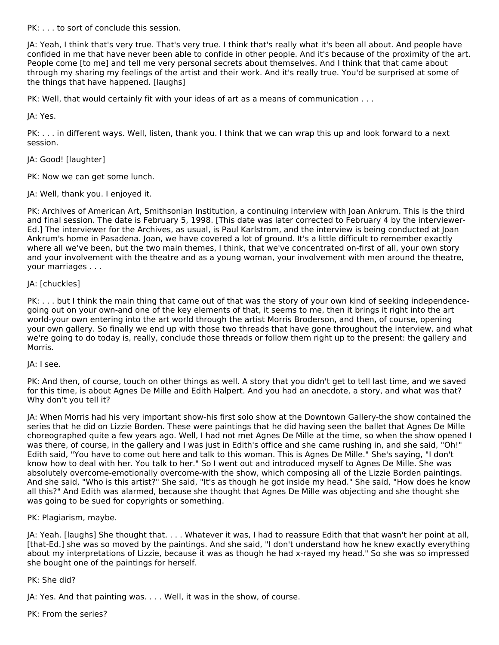PK: . . . to sort of conclude this session.

JA: Yeah, I think that's very true. That's very true. I think that's really what it's been all about. And people have confided in me that have never been able to confide in other people. And it's because of the proximity of the art. People come [to me] and tell me very personal secrets about themselves. And I think that that came about through my sharing my feelings of the artist and their work. And it's really true. You'd be surprised at some of the things that have happened. [laughs]

PK: Well, that would certainly fit with your ideas of art as a means of communication . . .

JA: Yes.

PK: . . . in different ways. Well, listen, thank you. I think that we can wrap this up and look forward to a next session.

JA: Good! [laughter]

PK: Now we can get some lunch.

JA: Well, thank you. I enjoyed it.

PK: Archives of American Art, Smithsonian Institution, a continuing interview with Joan Ankrum. This is the third and final session. The date is February 5, 1998. [This date was later corrected to February 4 by the interviewer-Ed.] The interviewer for the Archives, as usual, is Paul Karlstrom, and the interview is being conducted at Joan Ankrum's home in Pasadena. Joan, we have covered a lot of ground. It's a little difficult to remember exactly where all we've been, but the two main themes, I think, that we've concentrated on-first of all, your own story and your involvement with the theatre and as a young woman, your involvement with men around the theatre, your marriages . . .

# JA: [chuckles]

PK: . . . but I think the main thing that came out of that was the story of your own kind of seeking independencegoing out on your own-and one of the key elements of that, it seems to me, then it brings it right into the art world-your own entering into the art world through the artist Morris Broderson, and then, of course, opening your own gallery. So finally we end up with those two threads that have gone throughout the interview, and what we're going to do today is, really, conclude those threads or follow them right up to the present: the gallery and Morris.

### JA: I see.

PK: And then, of course, touch on other things as well. A story that you didn't get to tell last time, and we saved for this time, is about Agnes De Mille and Edith Halpert. And you had an anecdote, a story, and what was that? Why don't you tell it?

JA: When Morris had his very important show-his first solo show at the Downtown Gallery-the show contained the series that he did on Lizzie Borden. These were paintings that he did having seen the ballet that Agnes De Mille choreographed quite a few years ago. Well, I had not met Agnes De Mille at the time, so when the show opened I was there, of course, in the gallery and I was just in Edith's office and she came rushing in, and she said, "Oh!" Edith said, "You have to come out here and talk to this woman. This is Agnes De Mille." She's saying, "I don't know how to deal with her. You talk to her." So I went out and introduced myself to Agnes De Mille. She was absolutely overcome-emotionally overcome-with the show, which composing all of the Lizzie Borden paintings. And she said, "Who is this artist?" She said, "It's as though he got inside my head." She said, "How does he know all this?" And Edith was alarmed, because she thought that Agnes De Mille was objecting and she thought she was going to be sued for copyrights or something.

PK: Plagiarism, maybe.

JA: Yeah. [laughs] She thought that. . . . Whatever it was, I had to reassure Edith that that wasn't her point at all, [that-Ed.] she was so moved by the paintings. And she said, "I don't understand how he knew exactly everything about my interpretations of Lizzie, because it was as though he had x-rayed my head." So she was so impressed she bought one of the paintings for herself.

### PK: She did?

JA: Yes. And that painting was. . . . Well, it was in the show, of course.

PK: From the series?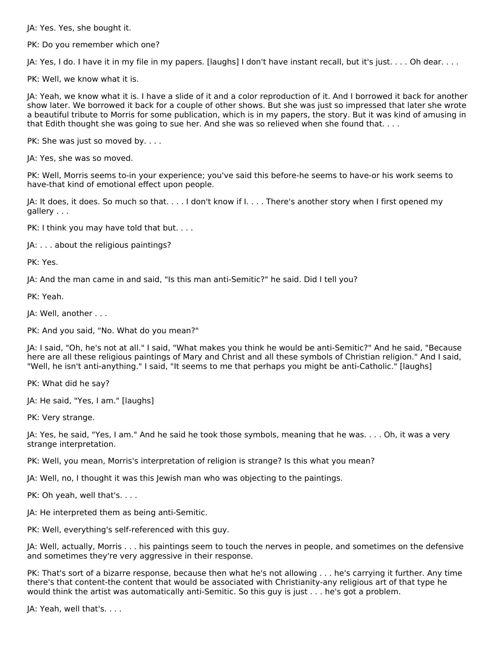JA: Yes. Yes, she bought it.

PK: Do you remember which one?

JA: Yes, I do. I have it in my file in my papers. [laughs] I don't have instant recall, but it's just. . . . Oh dear. . . .

PK: Well, we know what it is.

JA: Yeah, we know what it is. I have a slide of it and a color reproduction of it. And I borrowed it back for another show later. We borrowed it back for a couple of other shows. But she was just so impressed that later she wrote a beautiful tribute to Morris for some publication, which is in my papers, the story. But it was kind of amusing in that Edith thought she was going to sue her. And she was so relieved when she found that. . . .

PK: She was just so moved by. . . .

JA: Yes, she was so moved.

PK: Well, Morris seems to-in your experience; you've said this before-he seems to have-or his work seems to have-that kind of emotional effect upon people.

JA: It does, it does. So much so that. . . . I don't know if I. . . . There's another story when I first opened my gallery . . .

PK: I think you may have told that but. . . .

JA: . . . about the religious paintings?

PK: Yes.

JA: And the man came in and said, "Is this man anti-Semitic?" he said. Did I tell you?

PK: Yeah.

JA: Well, another . . .

PK: And you said, "No. What do you mean?"

JA: I said, "Oh, he's not at all." I said, "What makes you think he would be anti-Semitic?" And he said, "Because here are all these religious paintings of Mary and Christ and all these symbols of Christian religion." And I said, "Well, he isn't anti-anything." I said, "It seems to me that perhaps you might be anti-Catholic." [laughs]

PK: What did he say?

JA: He said, "Yes, I am." [laughs]

PK: Very strange.

JA: Yes, he said, "Yes, I am." And he said he took those symbols, meaning that he was. . . . Oh, it was a very strange interpretation.

PK: Well, you mean, Morris's interpretation of religion is strange? Is this what you mean?

JA: Well, no, I thought it was this Jewish man who was objecting to the paintings.

PK: Oh yeah, well that's. . . .

JA: He interpreted them as being anti-Semitic.

PK: Well, everything's self-referenced with this guy.

JA: Well, actually, Morris . . . his paintings seem to touch the nerves in people, and sometimes on the defensive and sometimes they're very aggressive in their response.

PK: That's sort of a bizarre response, because then what he's not allowing . . . he's carrying it further. Any time there's that content-the content that would be associated with Christianity-any religious art of that type he would think the artist was automatically anti-Semitic. So this guy is just . . . he's got a problem.

JA: Yeah, well that's. . . .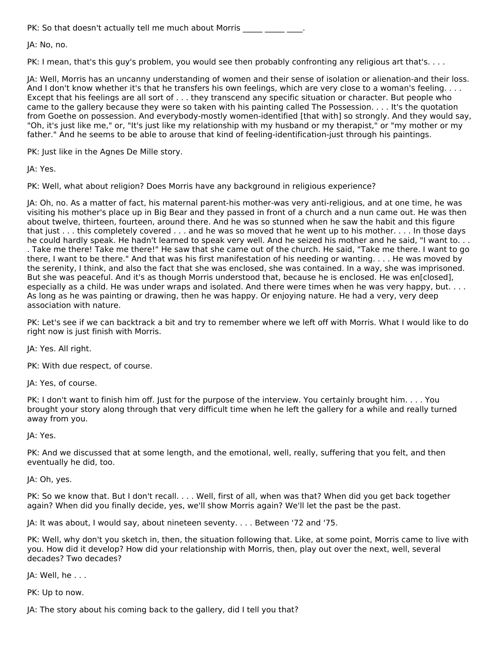PK: So that doesn't actually tell me much about Morris Theorem 2011.

JA: No, no.

PK: I mean, that's this guy's problem, you would see then probably confronting any religious art that's. . . .

JA: Well, Morris has an uncanny understanding of women and their sense of isolation or alienation-and their loss. And I don't know whether it's that he transfers his own feelings, which are very close to a woman's feeling. . . . Except that his feelings are all sort of . . . they transcend any specific situation or character. But people who came to the gallery because they were so taken with his painting called The Possession. . . . It's the quotation from Goethe on possession. And everybody-mostly women-identified [that with] so strongly. And they would say, "Oh, it's just like me," or, "It's just like my relationship with my husband or my therapist," or "my mother or my father." And he seems to be able to arouse that kind of feeling-identification-just through his paintings.

PK: Just like in the Agnes De Mille story.

JA: Yes.

PK: Well, what about religion? Does Morris have any background in religious experience?

JA: Oh, no. As a matter of fact, his maternal parent-his mother-was very anti-religious, and at one time, he was visiting his mother's place up in Big Bear and they passed in front of a church and a nun came out. He was then about twelve, thirteen, fourteen, around there. And he was so stunned when he saw the habit and this figure that just . . . this completely covered . . . and he was so moved that he went up to his mother. . . . In those days he could hardly speak. He hadn't learned to speak very well. And he seized his mother and he said, "I want to. . . . Take me there! Take me there!" He saw that she came out of the church. He said, "Take me there. I want to go there, I want to be there." And that was his first manifestation of his needing or wanting. . . . He was moved by the serenity, I think, and also the fact that she was enclosed, she was contained. In a way, she was imprisoned. But she was peaceful. And it's as though Morris understood that, because he is enclosed. He was en[closed], especially as a child. He was under wraps and isolated. And there were times when he was very happy, but. . . . As long as he was painting or drawing, then he was happy. Or enjoying nature. He had a very, very deep association with nature.

PK: Let's see if we can backtrack a bit and try to remember where we left off with Morris. What I would like to do right now is just finish with Morris.

JA: Yes. All right.

PK: With due respect, of course.

JA: Yes, of course.

PK: I don't want to finish him off. Just for the purpose of the interview. You certainly brought him. . . . You brought your story along through that very difficult time when he left the gallery for a while and really turned away from you.

JA: Yes.

PK: And we discussed that at some length, and the emotional, well, really, suffering that you felt, and then eventually he did, too.

JA: Oh, yes.

PK: So we know that. But I don't recall. . . . Well, first of all, when was that? When did you get back together again? When did you finally decide, yes, we'll show Morris again? We'll let the past be the past.

JA: It was about, I would say, about nineteen seventy. . . . Between '72 and '75.

PK: Well, why don't you sketch in, then, the situation following that. Like, at some point, Morris came to live with you. How did it develop? How did your relationship with Morris, then, play out over the next, well, several decades? Two decades?

JA: Well, he . . .

PK: Up to now.

JA: The story about his coming back to the gallery, did I tell you that?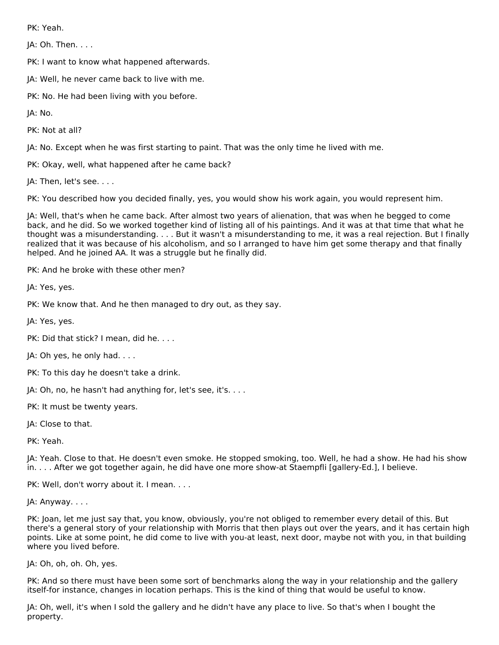PK: Yeah.

JA: Oh. Then. . . .

PK: I want to know what happened afterwards.

JA: Well, he never came back to live with me.

PK: No. He had been living with you before.

JA: No.

PK: Not at all?

JA: No. Except when he was first starting to paint. That was the only time he lived with me.

PK: Okay, well, what happened after he came back?

JA: Then, let's see. . . .

PK: You described how you decided finally, yes, you would show his work again, you would represent him.

JA: Well, that's when he came back. After almost two years of alienation, that was when he begged to come back, and he did. So we worked together kind of listing all of his paintings. And it was at that time that what he thought was a misunderstanding. . . . But it wasn't a misunderstanding to me, it was a real rejection. But I finally realized that it was because of his alcoholism, and so I arranged to have him get some therapy and that finally helped. And he joined AA. It was a struggle but he finally did.

PK: And he broke with these other men?

JA: Yes, yes.

PK: We know that. And he then managed to dry out, as they say.

JA: Yes, yes.

PK: Did that stick? I mean, did he. . . .

JA: Oh yes, he only had. . . .

PK: To this day he doesn't take a drink.

JA: Oh, no, he hasn't had anything for, let's see, it's. . . .

PK: It must be twenty years.

JA: Close to that.

PK: Yeah.

JA: Yeah. Close to that. He doesn't even smoke. He stopped smoking, too. Well, he had a show. He had his show in. . . . After we got together again, he did have one more show-at Staempfli [gallery-Ed.], I believe.

PK: Well, don't worry about it. I mean. . . .

JA: Anyway. . . .

PK: Joan, let me just say that, you know, obviously, you're not obliged to remember every detail of this. But there's a general story of your relationship with Morris that then plays out over the years, and it has certain high points. Like at some point, he did come to live with you-at least, next door, maybe not with you, in that building where you lived before.

JA: Oh, oh, oh. Oh, yes.

PK: And so there must have been some sort of benchmarks along the way in your relationship and the gallery itself-for instance, changes in location perhaps. This is the kind of thing that would be useful to know.

JA: Oh, well, it's when I sold the gallery and he didn't have any place to live. So that's when I bought the property.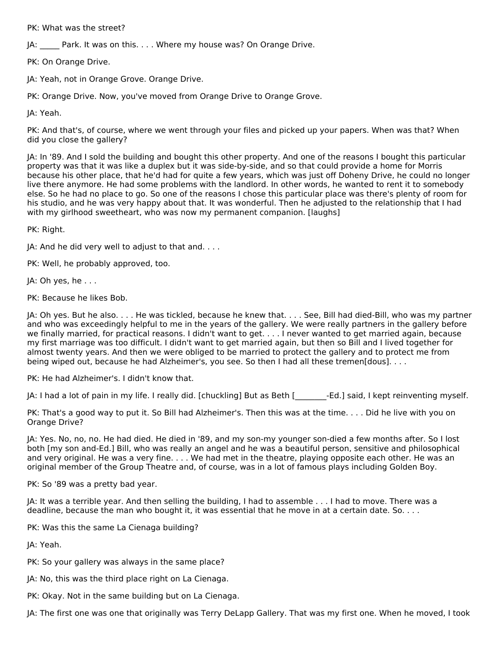PK: What was the street?

JA: Park. It was on this. . . . Where my house was? On Orange Drive.

PK: On Orange Drive.

JA: Yeah, not in Orange Grove. Orange Drive.

PK: Orange Drive. Now, you've moved from Orange Drive to Orange Grove.

JA: Yeah.

PK: And that's, of course, where we went through your files and picked up your papers. When was that? When did you close the gallery?

JA: In '89. And I sold the building and bought this other property. And one of the reasons I bought this particular property was that it was like a duplex but it was side-by-side, and so that could provide a home for Morris because his other place, that he'd had for quite a few years, which was just off Doheny Drive, he could no longer live there anymore. He had some problems with the landlord. In other words, he wanted to rent it to somebody else. So he had no place to go. So one of the reasons I chose this particular place was there's plenty of room for his studio, and he was very happy about that. It was wonderful. Then he adjusted to the relationship that I had with my girlhood sweetheart, who was now my permanent companion. [laughs]

PK: Right.

JA: And he did very well to adjust to that and. . . .

PK: Well, he probably approved, too.

JA: Oh yes, he . . .

PK: Because he likes Bob.

JA: Oh yes. But he also. . . . He was tickled, because he knew that. . . . See, Bill had died-Bill, who was my partner and who was exceedingly helpful to me in the years of the gallery. We were really partners in the gallery before we finally married, for practical reasons. I didn't want to get. . . . I never wanted to get married again, because my first marriage was too difficult. I didn't want to get married again, but then so Bill and I lived together for almost twenty years. And then we were obliged to be married to protect the gallery and to protect me from being wiped out, because he had Alzheimer's, you see. So then I had all these tremen[dous]. . . .

PK: He had Alzheimer's. I didn't know that.

JA: I had a lot of pain in my life. I really did. [chuckling] But as Beth [\_\_\_\_\_\_\_\_-Ed.] said, I kept reinventing myself.

PK: That's a good way to put it. So Bill had Alzheimer's. Then this was at the time. . . . Did he live with you on Orange Drive?

JA: Yes. No, no, no. He had died. He died in '89, and my son-my younger son-died a few months after. So I lost both [my son and-Ed.] Bill, who was really an angel and he was a beautiful person, sensitive and philosophical and very original. He was a very fine. . . . We had met in the theatre, playing opposite each other. He was an original member of the Group Theatre and, of course, was in a lot of famous plays including Golden Boy.

PK: So '89 was a pretty bad year.

JA: It was a terrible year. And then selling the building, I had to assemble . . . I had to move. There was a deadline, because the man who bought it, it was essential that he move in at a certain date. So. . . .

PK: Was this the same La Cienaga building?

JA: Yeah.

PK: So your gallery was always in the same place?

JA: No, this was the third place right on La Cienaga.

PK: Okay. Not in the same building but on La Cienaga.

JA: The first one was one that originally was Terry DeLapp Gallery. That was my first one. When he moved, I took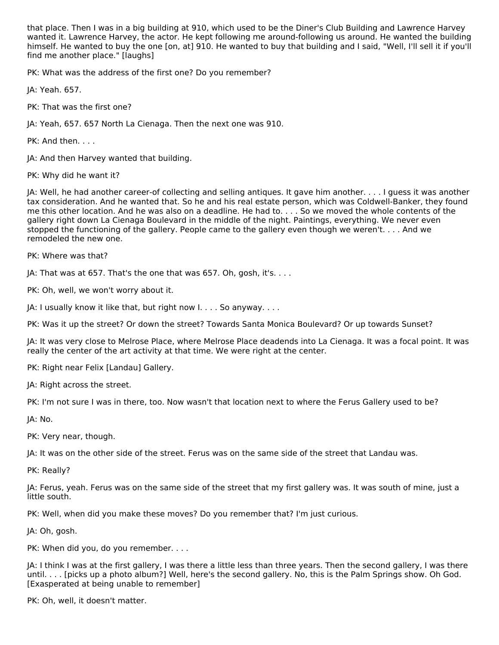that place. Then I was in a big building at 910, which used to be the Diner's Club Building and Lawrence Harvey wanted it. Lawrence Harvey, the actor. He kept following me around-following us around. He wanted the building himself. He wanted to buy the one [on, at] 910. He wanted to buy that building and I said, "Well, I'll sell it if you'll find me another place." [laughs]

PK: What was the address of the first one? Do you remember?

JA: Yeah. 657.

PK: That was the first one?

JA: Yeah, 657. 657 North La Cienaga. Then the next one was 910.

PK: And then. . . .

JA: And then Harvey wanted that building.

PK: Why did he want it?

JA: Well, he had another career-of collecting and selling antiques. It gave him another. . . . I guess it was another tax consideration. And he wanted that. So he and his real estate person, which was Coldwell-Banker, they found me this other location. And he was also on a deadline. He had to. . . . So we moved the whole contents of the gallery right down La Cienaga Boulevard in the middle of the night. Paintings, everything. We never even stopped the functioning of the gallery. People came to the gallery even though we weren't. . . . And we remodeled the new one.

PK: Where was that?

JA: That was at 657. That's the one that was 657. Oh, gosh, it's. . . .

PK: Oh, well, we won't worry about it.

JA: I usually know it like that, but right now I. . . . So anyway. . . .

PK: Was it up the street? Or down the street? Towards Santa Monica Boulevard? Or up towards Sunset?

JA: It was very close to Melrose Place, where Melrose Place deadends into La Cienaga. It was a focal point. It was really the center of the art activity at that time. We were right at the center.

PK: Right near Felix [Landau] Gallery.

JA: Right across the street.

PK: I'm not sure I was in there, too. Now wasn't that location next to where the Ferus Gallery used to be?

JA: No.

PK: Very near, though.

JA: It was on the other side of the street. Ferus was on the same side of the street that Landau was.

PK: Really?

JA: Ferus, yeah. Ferus was on the same side of the street that my first gallery was. It was south of mine, just a little south.

PK: Well, when did you make these moves? Do you remember that? I'm just curious.

JA: Oh, gosh.

PK: When did you, do you remember. . . .

JA: I think I was at the first gallery, I was there a little less than three years. Then the second gallery, I was there until. . . . [picks up a photo album?] Well, here's the second gallery. No, this is the Palm Springs show. Oh God. [Exasperated at being unable to remember]

PK: Oh, well, it doesn't matter.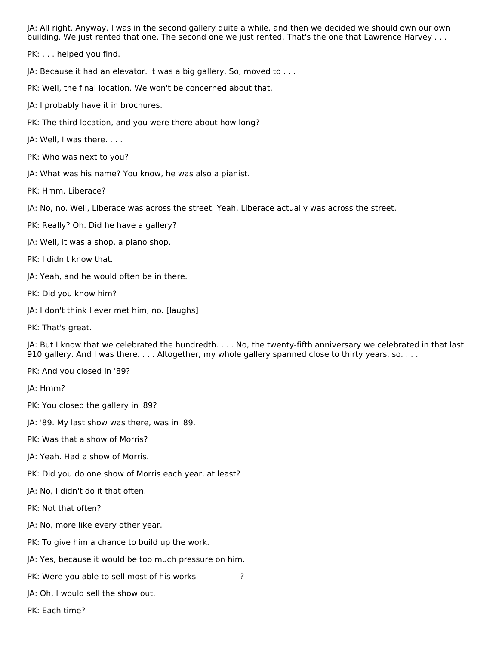JA: All right. Anyway, I was in the second gallery quite a while, and then we decided we should own our own building. We just rented that one. The second one we just rented. That's the one that Lawrence Harvey . . .

PK: . . . helped you find.

JA: Because it had an elevator. It was a big gallery. So, moved to . . .

PK: Well, the final location. We won't be concerned about that.

- JA: I probably have it in brochures.
- PK: The third location, and you were there about how long?

JA: Well, I was there. . . .

- PK: Who was next to you?
- JA: What was his name? You know, he was also a pianist.
- PK: Hmm. Liberace?
- JA: No, no. Well, Liberace was across the street. Yeah, Liberace actually was across the street.
- PK: Really? Oh. Did he have a gallery?
- JA: Well, it was a shop, a piano shop.
- PK: I didn't know that.
- JA: Yeah, and he would often be in there.
- PK: Did you know him?
- JA: I don't think I ever met him, no. [laughs]
- PK: That's great.

JA: But I know that we celebrated the hundredth. . . . No, the twenty-fifth anniversary we celebrated in that last 910 gallery. And I was there. . . . Altogether, my whole gallery spanned close to thirty years, so. . . .

PK: And you closed in '89?

JA: Hmm?

- PK: You closed the gallery in '89?
- JA: '89. My last show was there, was in '89.
- PK: Was that a show of Morris?
- JA: Yeah. Had a show of Morris.
- PK: Did you do one show of Morris each year, at least?
- JA: No, I didn't do it that often.
- PK: Not that often?
- JA: No, more like every other year.
- PK: To give him a chance to build up the work.
- JA: Yes, because it would be too much pressure on him.
- PK: Were you able to sell most of his works \_\_\_\_\_\_\_\_?
- JA: Oh, I would sell the show out.
- PK: Each time?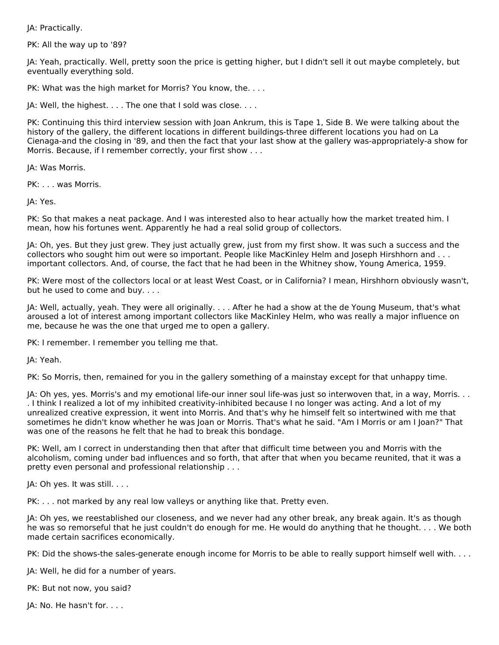JA: Practically.

PK: All the way up to '89?

JA: Yeah, practically. Well, pretty soon the price is getting higher, but I didn't sell it out maybe completely, but eventually everything sold.

PK: What was the high market for Morris? You know, the. . . .

JA: Well, the highest. . . . The one that I sold was close. . . .

PK: Continuing this third interview session with Joan Ankrum, this is Tape 1, Side B. We were talking about the history of the gallery, the different locations in different buildings-three different locations you had on La Cienaga-and the closing in '89, and then the fact that your last show at the gallery was-appropriately-a show for Morris. Because, if I remember correctly, your first show . . .

JA: Was Morris.

PK: . . . was Morris.

JA: Yes.

PK: So that makes a neat package. And I was interested also to hear actually how the market treated him. I mean, how his fortunes went. Apparently he had a real solid group of collectors.

JA: Oh, yes. But they just grew. They just actually grew, just from my first show. It was such a success and the collectors who sought him out were so important. People like MacKinley Helm and Joseph Hirshhorn and . . . important collectors. And, of course, the fact that he had been in the Whitney show, Young America, 1959.

PK: Were most of the collectors local or at least West Coast, or in California? I mean, Hirshhorn obviously wasn't, but he used to come and buy. . . .

JA: Well, actually, yeah. They were all originally. . . . After he had a show at the de Young Museum, that's what aroused a lot of interest among important collectors like MacKinley Helm, who was really a major influence on me, because he was the one that urged me to open a gallery.

PK: I remember. I remember you telling me that.

JA: Yeah.

PK: So Morris, then, remained for you in the gallery something of a mainstay except for that unhappy time.

JA: Oh yes, yes. Morris's and my emotional life-our inner soul life-was just so interwoven that, in a way, Morris. . . . I think I realized a lot of my inhibited creativity-inhibited because I no longer was acting. And a lot of my unrealized creative expression, it went into Morris. And that's why he himself felt so intertwined with me that sometimes he didn't know whether he was Joan or Morris. That's what he said. "Am I Morris or am I Joan?" That was one of the reasons he felt that he had to break this bondage.

PK: Well, am I correct in understanding then that after that difficult time between you and Morris with the alcoholism, coming under bad influences and so forth, that after that when you became reunited, that it was a pretty even personal and professional relationship . . .

JA: Oh yes. It was still. . . .

PK: . . . not marked by any real low valleys or anything like that. Pretty even.

JA: Oh yes, we reestablished our closeness, and we never had any other break, any break again. It's as though he was so remorseful that he just couldn't do enough for me. He would do anything that he thought. . . . We both made certain sacrifices economically.

PK: Did the shows-the sales-generate enough income for Morris to be able to really support himself well with. . . .

JA: Well, he did for a number of years.

PK: But not now, you said?

JA: No. He hasn't for. . . .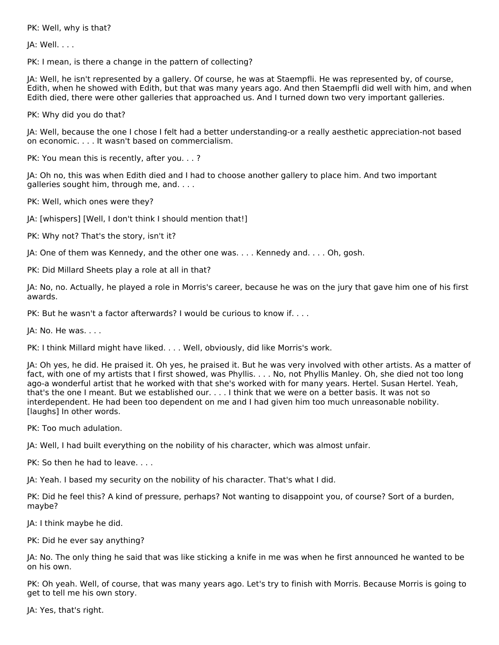PK: Well, why is that?

JA: Well. . . .

PK: I mean, is there a change in the pattern of collecting?

JA: Well, he isn't represented by a gallery. Of course, he was at Staempfli. He was represented by, of course, Edith, when he showed with Edith, but that was many years ago. And then Staempfli did well with him, and when Edith died, there were other galleries that approached us. And I turned down two very important galleries.

PK: Why did you do that?

JA: Well, because the one I chose I felt had a better understanding-or a really aesthetic appreciation-not based on economic. . . . It wasn't based on commercialism.

PK: You mean this is recently, after you. . . ?

JA: Oh no, this was when Edith died and I had to choose another gallery to place him. And two important galleries sought him, through me, and. . . .

PK: Well, which ones were they?

JA: [whispers] [Well, I don't think I should mention that!]

PK: Why not? That's the story, isn't it?

JA: One of them was Kennedy, and the other one was. . . . Kennedy and. . . . Oh, gosh.

PK: Did Millard Sheets play a role at all in that?

JA: No, no. Actually, he played a role in Morris's career, because he was on the jury that gave him one of his first awards.

PK: But he wasn't a factor afterwards? I would be curious to know if. . . .

JA: No. He was. . . .

PK: I think Millard might have liked. . . . Well, obviously, did like Morris's work.

JA: Oh yes, he did. He praised it. Oh yes, he praised it. But he was very involved with other artists. As a matter of fact, with one of my artists that I first showed, was Phyllis. . . . No, not Phyllis Manley. Oh, she died not too long ago-a wonderful artist that he worked with that she's worked with for many years. Hertel. Susan Hertel. Yeah, that's the one I meant. But we established our. . . . I think that we were on a better basis. It was not so interdependent. He had been too dependent on me and I had given him too much unreasonable nobility. [laughs] In other words.

PK: Too much adulation.

JA: Well, I had built everything on the nobility of his character, which was almost unfair.

PK: So then he had to leave. . . .

JA: Yeah. I based my security on the nobility of his character. That's what I did.

PK: Did he feel this? A kind of pressure, perhaps? Not wanting to disappoint you, of course? Sort of a burden, maybe?

JA: I think maybe he did.

PK: Did he ever say anything?

JA: No. The only thing he said that was like sticking a knife in me was when he first announced he wanted to be on his own.

PK: Oh yeah. Well, of course, that was many years ago. Let's try to finish with Morris. Because Morris is going to get to tell me his own story.

JA: Yes, that's right.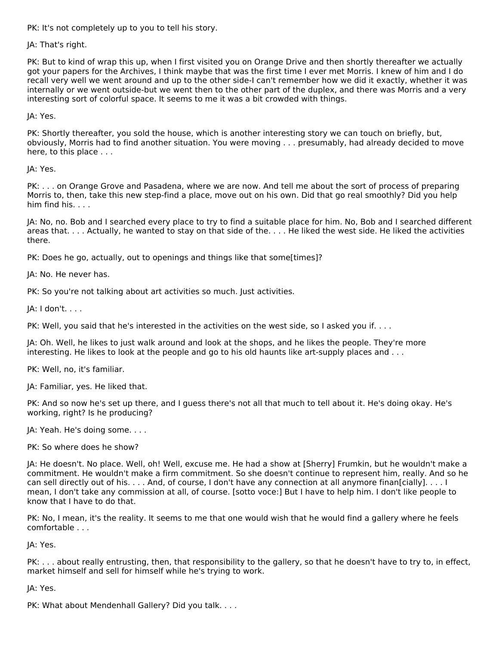PK: It's not completely up to you to tell his story.

JA: That's right.

PK: But to kind of wrap this up, when I first visited you on Orange Drive and then shortly thereafter we actually got your papers for the Archives, I think maybe that was the first time I ever met Morris. I knew of him and I do recall very well we went around and up to the other side-I can't remember how we did it exactly, whether it was internally or we went outside-but we went then to the other part of the duplex, and there was Morris and a very interesting sort of colorful space. It seems to me it was a bit crowded with things.

JA: Yes.

PK: Shortly thereafter, you sold the house, which is another interesting story we can touch on briefly, but, obviously, Morris had to find another situation. You were moving . . . presumably, had already decided to move here, to this place . . .

JA: Yes.

PK: . . . on Orange Grove and Pasadena, where we are now. And tell me about the sort of process of preparing Morris to, then, take this new step-find a place, move out on his own. Did that go real smoothly? Did you help him find his.  $\ldots$ 

JA: No, no. Bob and I searched every place to try to find a suitable place for him. No, Bob and I searched different areas that. . . . Actually, he wanted to stay on that side of the. . . . He liked the west side. He liked the activities there.

PK: Does he go, actually, out to openings and things like that some[times]?

JA: No. He never has.

PK: So you're not talking about art activities so much. Just activities.

JA: I don't. . . .

PK: Well, you said that he's interested in the activities on the west side, so I asked you if. . . .

JA: Oh. Well, he likes to just walk around and look at the shops, and he likes the people. They're more interesting. He likes to look at the people and go to his old haunts like art-supply places and . . .

PK: Well, no, it's familiar.

JA: Familiar, yes. He liked that.

PK: And so now he's set up there, and I guess there's not all that much to tell about it. He's doing okay. He's working, right? Is he producing?

JA: Yeah. He's doing some. . . .

PK: So where does he show?

JA: He doesn't. No place. Well, oh! Well, excuse me. He had a show at [Sherry] Frumkin, but he wouldn't make a commitment. He wouldn't make a firm commitment. So she doesn't continue to represent him, really. And so he can sell directly out of his. . . . And, of course, I don't have any connection at all anymore finan[cially]. . . . I mean, I don't take any commission at all, of course. [sotto voce:] But I have to help him. I don't like people to know that I have to do that.

PK: No, I mean, it's the reality. It seems to me that one would wish that he would find a gallery where he feels comfortable . . .

JA: Yes.

PK: . . . about really entrusting, then, that responsibility to the gallery, so that he doesn't have to try to, in effect, market himself and sell for himself while he's trying to work.

JA: Yes.

PK: What about Mendenhall Gallery? Did you talk. . . .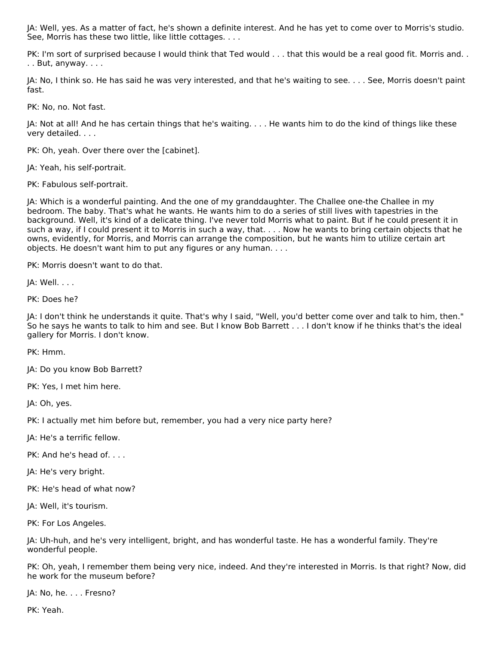JA: Well, yes. As a matter of fact, he's shown a definite interest. And he has yet to come over to Morris's studio. See, Morris has these two little, like little cottages. . . .

PK: I'm sort of surprised because I would think that Ted would . . . that this would be a real good fit. Morris and. . . . But, anyway. . . .

JA: No, I think so. He has said he was very interested, and that he's waiting to see. . . . See, Morris doesn't paint fast.

PK: No, no. Not fast.

JA: Not at all! And he has certain things that he's waiting. . . . He wants him to do the kind of things like these very detailed. . . .

PK: Oh, yeah. Over there over the [cabinet].

JA: Yeah, his self-portrait.

PK: Fabulous self-portrait.

JA: Which is a wonderful painting. And the one of my granddaughter. The Challee one-the Challee in my bedroom. The baby. That's what he wants. He wants him to do a series of still lives with tapestries in the background. Well, it's kind of a delicate thing. I've never told Morris what to paint. But if he could present it in such a way, if I could present it to Morris in such a way, that. . . . Now he wants to bring certain objects that he owns, evidently, for Morris, and Morris can arrange the composition, but he wants him to utilize certain art objects. He doesn't want him to put any figures or any human. . . .

PK: Morris doesn't want to do that.

JA: Well. . . .

PK: Does he?

JA: I don't think he understands it quite. That's why I said, "Well, you'd better come over and talk to him, then." So he says he wants to talk to him and see. But I know Bob Barrett . . . I don't know if he thinks that's the ideal gallery for Morris. I don't know.

PK: Hmm.

JA: Do you know Bob Barrett?

PK: Yes, I met him here.

JA: Oh, yes.

PK: I actually met him before but, remember, you had a very nice party here?

JA: He's a terrific fellow.

PK: And he's head of....

JA: He's very bright.

PK: He's head of what now?

JA: Well, it's tourism.

PK: For Los Angeles.

JA: Uh-huh, and he's very intelligent, bright, and has wonderful taste. He has a wonderful family. They're wonderful people.

PK: Oh, yeah, I remember them being very nice, indeed. And they're interested in Morris. Is that right? Now, did he work for the museum before?

JA: No, he. . . . Fresno?

PK: Yeah.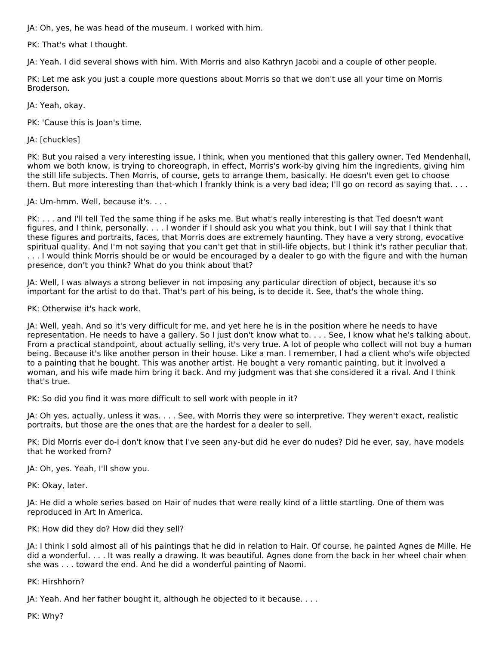JA: Oh, yes, he was head of the museum. I worked with him.

PK: That's what I thought.

JA: Yeah. I did several shows with him. With Morris and also Kathryn Jacobi and a couple of other people.

PK: Let me ask you just a couple more questions about Morris so that we don't use all your time on Morris Broderson.

JA: Yeah, okay.

PK: 'Cause this is Joan's time.

JA: [chuckles]

PK: But you raised a very interesting issue, I think, when you mentioned that this gallery owner, Ted Mendenhall, whom we both know, is trying to choreograph, in effect, Morris's work-by giving him the ingredients, giving him the still life subjects. Then Morris, of course, gets to arrange them, basically. He doesn't even get to choose them. But more interesting than that-which I frankly think is a very bad idea; I'll go on record as saying that. . . .

JA: Um-hmm. Well, because it's. . . .

PK: . . . and I'll tell Ted the same thing if he asks me. But what's really interesting is that Ted doesn't want figures, and I think, personally. . . . I wonder if I should ask you what you think, but I will say that I think that these figures and portraits, faces, that Morris does are extremely haunting. They have a very strong, evocative spiritual quality. And I'm not saying that you can't get that in still-life objects, but I think it's rather peculiar that. . . . I would think Morris should be or would be encouraged by a dealer to go with the figure and with the human presence, don't you think? What do you think about that?

JA: Well, I was always a strong believer in not imposing any particular direction of object, because it's so important for the artist to do that. That's part of his being, is to decide it. See, that's the whole thing.

PK: Otherwise it's hack work.

JA: Well, yeah. And so it's very difficult for me, and yet here he is in the position where he needs to have representation. He needs to have a gallery. So I just don't know what to. . . . See, I know what he's talking about. From a practical standpoint, about actually selling, it's very true. A lot of people who collect will not buy a human being. Because it's like another person in their house. Like a man. I remember, I had a client who's wife objected to a painting that he bought. This was another artist. He bought a very romantic painting, but it involved a woman, and his wife made him bring it back. And my judgment was that she considered it a rival. And I think that's true.

PK: So did you find it was more difficult to sell work with people in it?

JA: Oh yes, actually, unless it was. . . . See, with Morris they were so interpretive. They weren't exact, realistic portraits, but those are the ones that are the hardest for a dealer to sell.

PK: Did Morris ever do-I don't know that I've seen any-but did he ever do nudes? Did he ever, say, have models that he worked from?

JA: Oh, yes. Yeah, I'll show you.

PK: Okay, later.

JA: He did a whole series based on Hair of nudes that were really kind of a little startling. One of them was reproduced in Art In America.

PK: How did they do? How did they sell?

JA: I think I sold almost all of his paintings that he did in relation to Hair. Of course, he painted Agnes de Mille. He did a wonderful. . . . It was really a drawing. It was beautiful. Agnes done from the back in her wheel chair when she was . . . toward the end. And he did a wonderful painting of Naomi.

PK: Hirshhorn?

JA: Yeah. And her father bought it, although he objected to it because. . . .

PK: Why?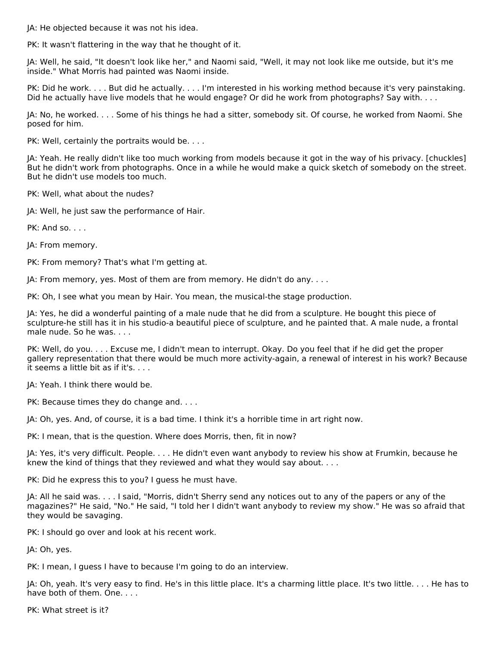JA: He objected because it was not his idea.

PK: It wasn't flattering in the way that he thought of it.

JA: Well, he said, "It doesn't look like her," and Naomi said, "Well, it may not look like me outside, but it's me inside." What Morris had painted was Naomi inside.

PK: Did he work. . . . But did he actually. . . . I'm interested in his working method because it's very painstaking. Did he actually have live models that he would engage? Or did he work from photographs? Say with. . . .

JA: No, he worked. . . . Some of his things he had a sitter, somebody sit. Of course, he worked from Naomi. She posed for him.

PK: Well, certainly the portraits would be. . . .

JA: Yeah. He really didn't like too much working from models because it got in the way of his privacy. [chuckles] But he didn't work from photographs. Once in a while he would make a quick sketch of somebody on the street. But he didn't use models too much.

PK: Well, what about the nudes?

JA: Well, he just saw the performance of Hair.

PK: And so. . . .

JA: From memory.

PK: From memory? That's what I'm getting at.

JA: From memory, yes. Most of them are from memory. He didn't do any. . . .

PK: Oh, I see what you mean by Hair. You mean, the musical-the stage production.

JA: Yes, he did a wonderful painting of a male nude that he did from a sculpture. He bought this piece of sculpture-he still has it in his studio-a beautiful piece of sculpture, and he painted that. A male nude, a frontal male nude. So he was. . . .

PK: Well, do you. . . . Excuse me, I didn't mean to interrupt. Okay. Do you feel that if he did get the proper gallery representation that there would be much more activity-again, a renewal of interest in his work? Because it seems a little bit as if it's. . . .

JA: Yeah. I think there would be.

PK: Because times they do change and. . . .

JA: Oh, yes. And, of course, it is a bad time. I think it's a horrible time in art right now.

PK: I mean, that is the question. Where does Morris, then, fit in now?

JA: Yes, it's very difficult. People. . . . He didn't even want anybody to review his show at Frumkin, because he knew the kind of things that they reviewed and what they would say about. . . .

PK: Did he express this to you? I guess he must have.

JA: All he said was. . . . I said, "Morris, didn't Sherry send any notices out to any of the papers or any of the magazines?" He said, "No." He said, "I told her I didn't want anybody to review my show." He was so afraid that they would be savaging.

PK: I should go over and look at his recent work.

JA: Oh, yes.

PK: I mean, I guess I have to because I'm going to do an interview.

JA: Oh, yeah. It's very easy to find. He's in this little place. It's a charming little place. It's two little. . . . He has to have both of them. One. . . .

PK: What street is it?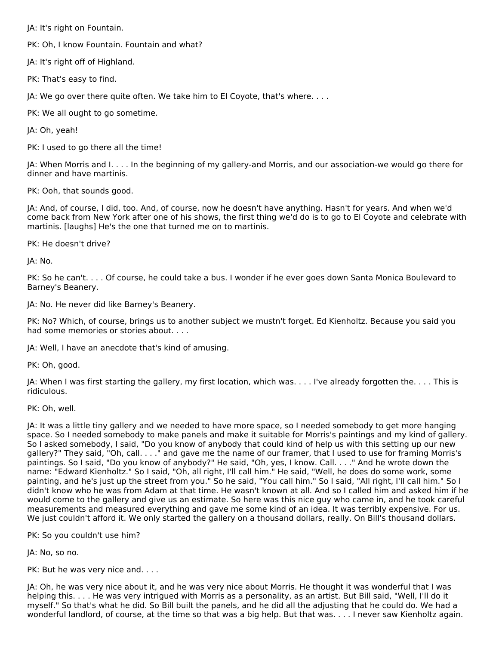JA: It's right on Fountain.

PK: Oh, I know Fountain. Fountain and what?

JA: It's right off of Highland.

PK: That's easy to find.

JA: We go over there quite often. We take him to El Coyote, that's where. . . .

PK: We all ought to go sometime.

JA: Oh, yeah!

PK: I used to go there all the time!

JA: When Morris and I. . . . In the beginning of my gallery-and Morris, and our association-we would go there for dinner and have martinis.

PK: Ooh, that sounds good.

JA: And, of course, I did, too. And, of course, now he doesn't have anything. Hasn't for years. And when we'd come back from New York after one of his shows, the first thing we'd do is to go to El Coyote and celebrate with martinis. [laughs] He's the one that turned me on to martinis.

PK: He doesn't drive?

JA: No.

PK: So he can't. . . . Of course, he could take a bus. I wonder if he ever goes down Santa Monica Boulevard to Barney's Beanery.

JA: No. He never did like Barney's Beanery.

PK: No? Which, of course, brings us to another subject we mustn't forget. Ed Kienholtz. Because you said you had some memories or stories about. . . .

JA: Well, I have an anecdote that's kind of amusing.

PK: Oh, good.

JA: When I was first starting the gallery, my first location, which was. . . . I've already forgotten the. . . . This is ridiculous.

PK: Oh, well.

JA: It was a little tiny gallery and we needed to have more space, so I needed somebody to get more hanging space. So I needed somebody to make panels and make it suitable for Morris's paintings and my kind of gallery. So I asked somebody, I said, "Do you know of anybody that could kind of help us with this setting up our new gallery?" They said, "Oh, call. . . ." and gave me the name of our framer, that I used to use for framing Morris's paintings. So I said, "Do you know of anybody?" He said, "Oh, yes, I know. Call. . . ." And he wrote down the name: "Edward Kienholtz." So I said, "Oh, all right, I'll call him." He said, "Well, he does do some work, some painting, and he's just up the street from you." So he said, "You call him." So I said, "All right, I'll call him." So I didn't know who he was from Adam at that time. He wasn't known at all. And so I called him and asked him if he would come to the gallery and give us an estimate. So here was this nice guy who came in, and he took careful measurements and measured everything and gave me some kind of an idea. It was terribly expensive. For us. We just couldn't afford it. We only started the gallery on a thousand dollars, really. On Bill's thousand dollars.

PK: So you couldn't use him?

JA: No, so no.

PK: But he was very nice and. . . .

JA: Oh, he was very nice about it, and he was very nice about Morris. He thought it was wonderful that I was helping this. . . . He was very intrigued with Morris as a personality, as an artist. But Bill said, "Well, I'll do it myself." So that's what he did. So Bill built the panels, and he did all the adjusting that he could do. We had a wonderful landlord, of course, at the time so that was a big help. But that was. . . . I never saw Kienholtz again.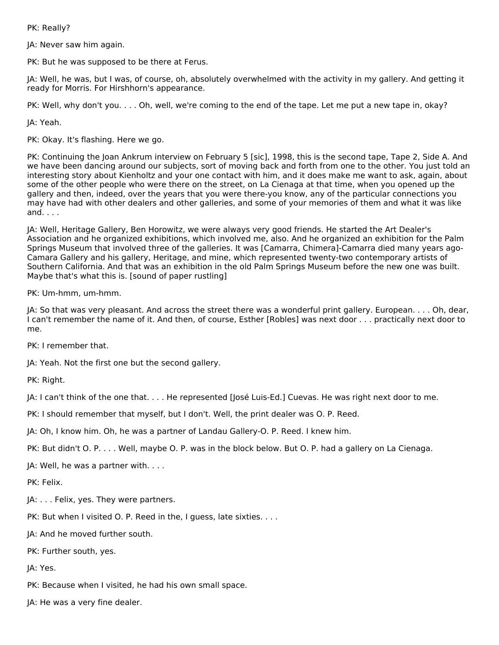PK: Really?

JA: Never saw him again.

PK: But he was supposed to be there at Ferus.

JA: Well, he was, but I was, of course, oh, absolutely overwhelmed with the activity in my gallery. And getting it ready for Morris. For Hirshhorn's appearance.

PK: Well, why don't you. . . . Oh, well, we're coming to the end of the tape. Let me put a new tape in, okay?

JA: Yeah.

PK: Okay. It's flashing. Here we go.

PK: Continuing the Joan Ankrum interview on February 5 [sic], 1998, this is the second tape, Tape 2, Side A. And we have been dancing around our subjects, sort of moving back and forth from one to the other. You just told an interesting story about Kienholtz and your one contact with him, and it does make me want to ask, again, about some of the other people who were there on the street, on La Cienaga at that time, when you opened up the gallery and then, indeed, over the years that you were there-you know, any of the particular connections you may have had with other dealers and other galleries, and some of your memories of them and what it was like and. . . .

JA: Well, Heritage Gallery, Ben Horowitz, we were always very good friends. He started the Art Dealer's Association and he organized exhibitions, which involved me, also. And he organized an exhibition for the Palm Springs Museum that involved three of the galleries. It was [Camarra, Chimera]-Camarra died many years ago-Camara Gallery and his gallery, Heritage, and mine, which represented twenty-two contemporary artists of Southern California. And that was an exhibition in the old Palm Springs Museum before the new one was built. Maybe that's what this is. [sound of paper rustling]

PK: Um-hmm, um-hmm.

JA: So that was very pleasant. And across the street there was a wonderful print gallery. European. . . . Oh, dear, I can't remember the name of it. And then, of course, Esther [Robles] was next door . . . practically next door to me.

PK: I remember that.

JA: Yeah. Not the first one but the second gallery.

PK: Right.

JA: I can't think of the one that. . . . He represented [José Luis-Ed.] Cuevas. He was right next door to me.

PK: I should remember that myself, but I don't. Well, the print dealer was O. P. Reed.

JA: Oh, I know him. Oh, he was a partner of Landau Gallery-O. P. Reed. I knew him.

PK: But didn't O. P. . . . Well, maybe O. P. was in the block below. But O. P. had a gallery on La Cienaga.

JA: Well, he was a partner with. . . .

PK: Felix.

JA: . . . Felix, yes. They were partners.

PK: But when I visited O. P. Reed in the, I guess, late sixties. . . .

JA: And he moved further south.

PK: Further south, yes.

JA: Yes.

PK: Because when I visited, he had his own small space.

JA: He was a very fine dealer.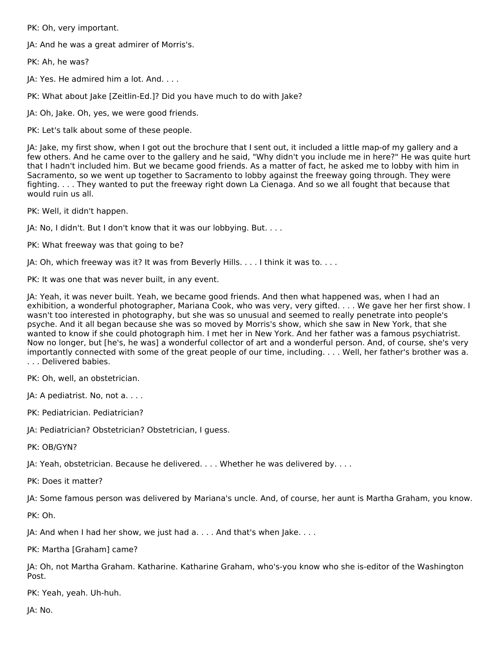PK: Oh, very important.

JA: And he was a great admirer of Morris's.

PK: Ah, he was?

JA: Yes. He admired him a lot. And. . . .

PK: What about Jake [Zeitlin-Ed.]? Did you have much to do with Jake?

JA: Oh, Jake. Oh, yes, we were good friends.

PK: Let's talk about some of these people.

JA: Jake, my first show, when I got out the brochure that I sent out, it included a little map-of my gallery and a few others. And he came over to the gallery and he said, "Why didn't you include me in here?" He was quite hurt that I hadn't included him. But we became good friends. As a matter of fact, he asked me to lobby with him in Sacramento, so we went up together to Sacramento to lobby against the freeway going through. They were fighting. . . . They wanted to put the freeway right down La Cienaga. And so we all fought that because that would ruin us all.

PK: Well, it didn't happen.

JA: No, I didn't. But I don't know that it was our lobbying. But. . . .

PK: What freeway was that going to be?

JA: Oh, which freeway was it? It was from Beverly Hills. . . . I think it was to. . . .

PK: It was one that was never built, in any event.

JA: Yeah, it was never built. Yeah, we became good friends. And then what happened was, when I had an exhibition, a wonderful photographer, Mariana Cook, who was very, very gifted. . . . We gave her her first show. I wasn't too interested in photography, but she was so unusual and seemed to really penetrate into people's psyche. And it all began because she was so moved by Morris's show, which she saw in New York, that she wanted to know if she could photograph him. I met her in New York. And her father was a famous psychiatrist. Now no longer, but [he's, he was] a wonderful collector of art and a wonderful person. And, of course, she's very importantly connected with some of the great people of our time, including. . . . Well, her father's brother was a. . . . Delivered babies.

PK: Oh, well, an obstetrician.

JA: A pediatrist. No, not a. . . .

PK: Pediatrician. Pediatrician?

JA: Pediatrician? Obstetrician? Obstetrician, I guess.

PK: OB/GYN?

JA: Yeah, obstetrician. Because he delivered. . . . Whether he was delivered by. . . .

PK: Does it matter?

JA: Some famous person was delivered by Mariana's uncle. And, of course, her aunt is Martha Graham, you know.

PK: Oh.

JA: And when I had her show, we just had a. . . . And that's when Jake. . . .

PK: Martha [Graham] came?

JA: Oh, not Martha Graham. Katharine. Katharine Graham, who's-you know who she is-editor of the Washington Post.

PK: Yeah, yeah. Uh-huh.

JA: No.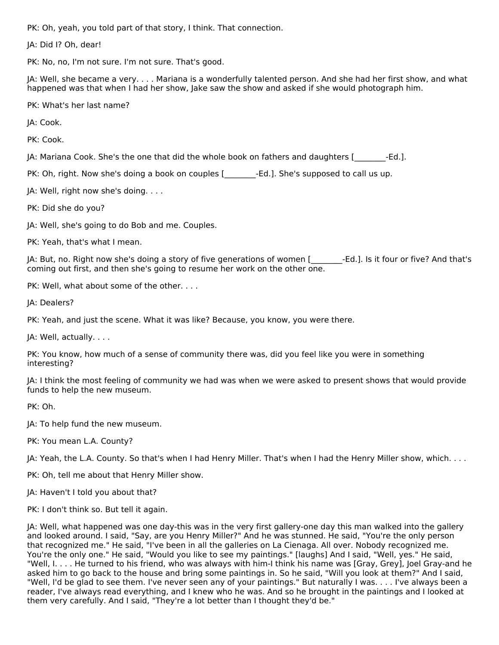PK: Oh, yeah, you told part of that story, I think. That connection.

JA: Did I? Oh, dear!

PK: No, no, I'm not sure. I'm not sure. That's good.

JA: Well, she became a very. . . . Mariana is a wonderfully talented person. And she had her first show, and what happened was that when I had her show, Jake saw the show and asked if she would photograph him.

PK: What's her last name?

JA: Cook.

PK: Cook.

JA: Mariana Cook. She's the one that did the whole book on fathers and daughters [\_\_\_\_\_\_\_\_-Ed.].

PK: Oh, right. Now she's doing a book on couples [\_\_\_\_\_\_\_\_-Ed.]. She's supposed to call us up.

JA: Well, right now she's doing. . . .

PK: Did she do you?

JA: Well, she's going to do Bob and me. Couples.

PK: Yeah, that's what I mean.

JA: But, no. Right now she's doing a story of five generations of women [\_\_\_\_\_\_\_\_-Ed.]. Is it four or five? And that's coming out first, and then she's going to resume her work on the other one.

PK: Well, what about some of the other. . . .

JA: Dealers?

PK: Yeah, and just the scene. What it was like? Because, you know, you were there.

JA: Well, actually. . . .

PK: You know, how much of a sense of community there was, did you feel like you were in something interesting?

JA: I think the most feeling of community we had was when we were asked to present shows that would provide funds to help the new museum.

PK: Oh.

JA: To help fund the new museum.

PK: You mean L.A. County?

JA: Yeah, the L.A. County. So that's when I had Henry Miller. That's when I had the Henry Miller show, which. . . .

PK: Oh, tell me about that Henry Miller show.

JA: Haven't I told you about that?

PK: I don't think so. But tell it again.

JA: Well, what happened was one day-this was in the very first gallery-one day this man walked into the gallery and looked around. I said, "Say, are you Henry Miller?" And he was stunned. He said, "You're the only person that recognized me." He said, "I've been in all the galleries on La Cienaga. All over. Nobody recognized me. You're the only one." He said, "Would you like to see my paintings." [laughs] And I said, "Well, yes." He said, "Well, I. . . . He turned to his friend, who was always with him-I think his name was [Gray, Grey], Joel Gray-and he asked him to go back to the house and bring some paintings in. So he said, "Will you look at them?" And I said, "Well, I'd be glad to see them. I've never seen any of your paintings." But naturally I was. . . . I've always been a reader, I've always read everything, and I knew who he was. And so he brought in the paintings and I looked at them very carefully. And I said, "They're a lot better than I thought they'd be."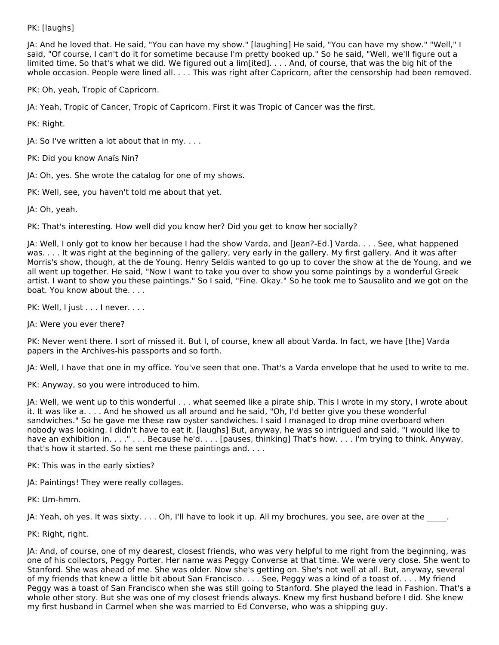PK: [laughs]

JA: And he loved that. He said, "You can have my show." [laughing] He said, "You can have my show." "Well," I said, "Of course, I can't do it for sometime because I'm pretty booked up." So he said, "Well, we'll figure out a limited time. So that's what we did. We figured out a lim[ited]. . . . And, of course, that was the big hit of the whole occasion. People were lined all. . . . This was right after Capricorn, after the censorship had been removed.

PK: Oh, yeah, Tropic of Capricorn.

JA: Yeah, Tropic of Cancer, Tropic of Capricorn. First it was Tropic of Cancer was the first.

PK: Right.

JA: So I've written a lot about that in my. . . .

PK: Did you know Anaïs Nin?

JA: Oh, yes. She wrote the catalog for one of my shows.

PK: Well, see, you haven't told me about that yet.

JA: Oh, yeah.

PK: That's interesting. How well did you know her? Did you get to know her socially?

JA: Well, I only got to know her because I had the show Varda, and [Jean?-Ed.] Varda. . . . See, what happened was. . . . It was right at the beginning of the gallery, very early in the gallery. My first gallery. And it was after Morris's show, though, at the de Young. Henry Seldis wanted to go up to cover the show at the de Young, and we all went up together. He said, "Now I want to take you over to show you some paintings by a wonderful Greek artist. I want to show you these paintings." So I said, "Fine. Okay." So he took me to Sausalito and we got on the boat. You know about the. . . .

PK: Well, I just . . . I never. . . .

JA: Were you ever there?

PK: Never went there. I sort of missed it. But I, of course, knew all about Varda. In fact, we have [the] Varda papers in the Archives-his passports and so forth.

JA: Well, I have that one in my office. You've seen that one. That's a Varda envelope that he used to write to me.

PK: Anyway, so you were introduced to him.

JA: Well, we went up to this wonderful . . . what seemed like a pirate ship. This I wrote in my story, I wrote about it. It was like a. . . . And he showed us all around and he said, "Oh, I'd better give you these wonderful sandwiches." So he gave me these raw oyster sandwiches. I said I managed to drop mine overboard when nobody was looking. I didn't have to eat it. [laughs] But, anyway, he was so intrigued and said, "I would like to have an exhibition in. . . . " . . . Because he'd. . . . [pauses, thinking] That's how. . . . I'm trying to think. Anyway, that's how it started. So he sent me these paintings and. . . .

PK: This was in the early sixties?

JA: Paintings! They were really collages.

PK: Um-hmm.

JA: Yeah, oh yes. It was sixty.  $\dots$  Oh, I'll have to look it up. All my brochures, you see, are over at the  $\dots$ 

PK: Right, right.

JA: And, of course, one of my dearest, closest friends, who was very helpful to me right from the beginning, was one of his collectors, Peggy Porter. Her name was Peggy Converse at that time. We were very close. She went to Stanford. She was ahead of me. She was older. Now she's getting on. She's not well at all. But, anyway, several of my friends that knew a little bit about San Francisco. . . . See, Peggy was a kind of a toast of. . . . My friend Peggy was a toast of San Francisco when she was still going to Stanford. She played the lead in Fashion. That's a whole other story. But she was one of my closest friends always. Knew my first husband before I did. She knew my first husband in Carmel when she was married to Ed Converse, who was a shipping guy.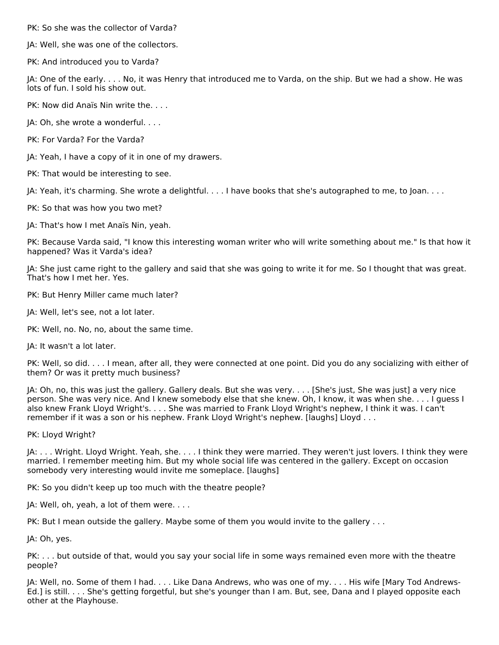PK: So she was the collector of Varda?

JA: Well, she was one of the collectors.

PK: And introduced you to Varda?

JA: One of the early. . . . No, it was Henry that introduced me to Varda, on the ship. But we had a show. He was lots of fun. I sold his show out.

PK: Now did Anaïs Nin write the. . . .

JA: Oh, she wrote a wonderful. . . .

PK: For Varda? For the Varda?

JA: Yeah, I have a copy of it in one of my drawers.

PK: That would be interesting to see.

JA: Yeah, it's charming. She wrote a delightful. . . . I have books that she's autographed to me, to Joan. . . .

PK: So that was how you two met?

JA: That's how I met Anaïs Nin, yeah.

PK: Because Varda said, "I know this interesting woman writer who will write something about me." Is that how it happened? Was it Varda's idea?

JA: She just came right to the gallery and said that she was going to write it for me. So I thought that was great. That's how I met her. Yes.

PK: But Henry Miller came much later?

JA: Well, let's see, not a lot later.

PK: Well, no. No, no, about the same time.

JA: It wasn't a lot later.

PK: Well, so did. . . . I mean, after all, they were connected at one point. Did you do any socializing with either of them? Or was it pretty much business?

JA: Oh, no, this was just the gallery. Gallery deals. But she was very. . . . [She's just, She was just] a very nice person. She was very nice. And I knew somebody else that she knew. Oh, I know, it was when she. . . . I guess I also knew Frank Lloyd Wright's. . . . She was married to Frank Lloyd Wright's nephew, I think it was. I can't remember if it was a son or his nephew. Frank Lloyd Wright's nephew. [laughs] Lloyd . . .

PK: Lloyd Wright?

JA: . . . Wright. Lloyd Wright. Yeah, she. . . . I think they were married. They weren't just lovers. I think they were married. I remember meeting him. But my whole social life was centered in the gallery. Except on occasion somebody very interesting would invite me someplace. [laughs]

PK: So you didn't keep up too much with the theatre people?

JA: Well, oh, yeah, a lot of them were. . . .

PK: But I mean outside the gallery. Maybe some of them you would invite to the gallery . . .

JA: Oh, yes.

PK: . . . but outside of that, would you say your social life in some ways remained even more with the theatre people?

JA: Well, no. Some of them I had. . . . Like Dana Andrews, who was one of my. . . . His wife [Mary Tod Andrews-Ed.] is still. . . . She's getting forgetful, but she's younger than I am. But, see, Dana and I played opposite each other at the Playhouse.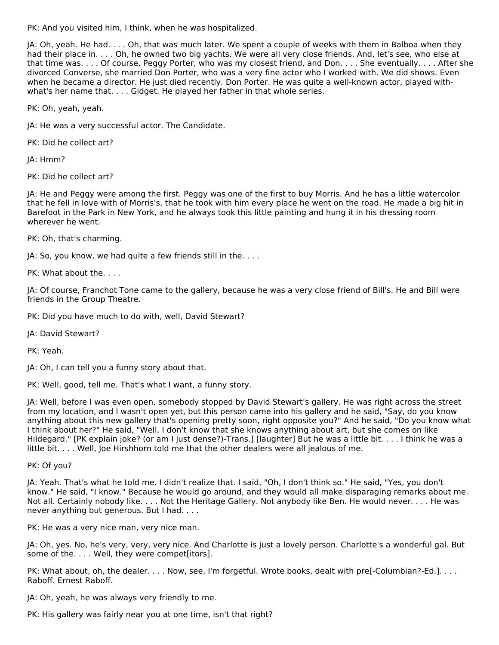PK: And you visited him, I think, when he was hospitalized.

JA: Oh, yeah. He had. . . . Oh, that was much later. We spent a couple of weeks with them in Balboa when they had their place in. . . . Oh, he owned two big yachts. We were all very close friends. And, let's see, who else at that time was. . . . Of course, Peggy Porter, who was my closest friend, and Don. . . . She eventually. . . . After she divorced Converse, she married Don Porter, who was a very fine actor who I worked with. We did shows. Even when he became a director. He just died recently. Don Porter. He was quite a well-known actor, played withwhat's her name that. . . . Gidget. He played her father in that whole series.

PK: Oh, yeah, yeah.

JA: He was a very successful actor. The Candidate.

PK: Did he collect art?

JA: Hmm?

PK: Did he collect art?

JA: He and Peggy were among the first. Peggy was one of the first to buy Morris. And he has a little watercolor that he fell in love with of Morris's, that he took with him every place he went on the road. He made a big hit in Barefoot in the Park in New York, and he always took this little painting and hung it in his dressing room wherever he went.

PK: Oh, that's charming.

JA: So, you know, we had quite a few friends still in the. . . .

PK: What about the. . . .

JA: Of course, Franchot Tone came to the gallery, because he was a very close friend of Bill's. He and Bill were friends in the Group Theatre.

PK: Did you have much to do with, well, David Stewart?

JA: David Stewart?

PK: Yeah.

JA: Oh, I can tell you a funny story about that.

PK: Well, good, tell me. That's what I want, a funny story.

JA: Well, before I was even open, somebody stopped by David Stewart's gallery. He was right across the street from my location, and I wasn't open yet, but this person came into his gallery and he said, "Say, do you know anything about this new gallery that's opening pretty soon, right opposite you?" And he said, "Do you know what I think about her?" He said, "Well, I don't know that she knows anything about art, but she comes on like Hildegard." [PK explain joke? (or am I just dense?)-Trans.] [laughter] But he was a little bit. . . . I think he was a little bit. . . . Well, Joe Hirshhorn told me that the other dealers were all jealous of me.

PK: Of you?

JA: Yeah. That's what he told me. I didn't realize that. I said, "Oh, I don't think so." He said, "Yes, you don't know." He said, "I know." Because he would go around, and they would all make disparaging remarks about me. Not all. Certainly nobody like. . . . Not the Heritage Gallery. Not anybody like Ben. He would never. . . . He was never anything but generous. But I had. . . .

PK: He was a very nice man, very nice man.

JA: Oh, yes. No, he's very, very, very nice. And Charlotte is just a lovely person. Charlotte's a wonderful gal. But some of the. . . . Well, they were compet[itors].

PK: What about, oh, the dealer. . . . Now, see, I'm forgetful. Wrote books, dealt with pre[-Columbian?-Ed.]. . . . Raboff. Ernest Raboff.

JA: Oh, yeah, he was always very friendly to me.

PK: His gallery was fairly near you at one time, isn't that right?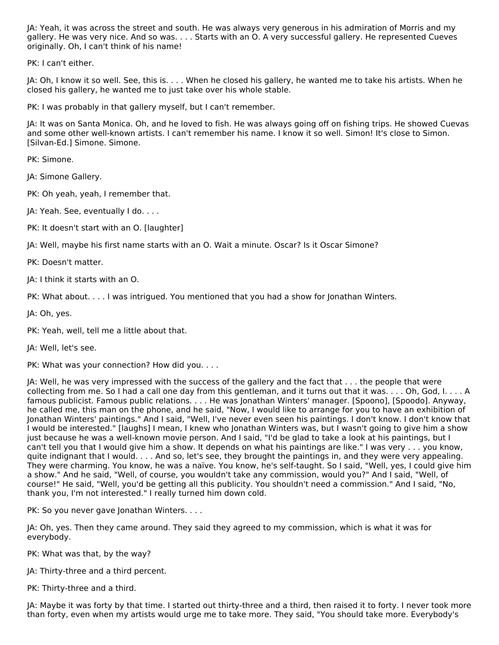JA: Yeah, it was across the street and south. He was always very generous in his admiration of Morris and my gallery. He was very nice. And so was. . . . Starts with an O. A very successful gallery. He represented Cueves originally. Oh, I can't think of his name!

PK: I can't either.

JA: Oh, I know it so well. See, this is. . . . When he closed his gallery, he wanted me to take his artists. When he closed his gallery, he wanted me to just take over his whole stable.

PK: I was probably in that gallery myself, but I can't remember.

JA: It was on Santa Monica. Oh, and he loved to fish. He was always going off on fishing trips. He showed Cuevas and some other well-known artists. I can't remember his name. I know it so well. Simon! It's close to Simon. [Silvan-Ed.] Simone. Simone.

PK: Simone.

JA: Simone Gallery.

PK: Oh yeah, yeah, I remember that.

- JA: Yeah. See, eventually I do. . . .
- PK: It doesn't start with an O. [laughter]
- JA: Well, maybe his first name starts with an O. Wait a minute. Oscar? Is it Oscar Simone?

PK: Doesn't matter.

JA: I think it starts with an O.

PK: What about. . . . I was intrigued. You mentioned that you had a show for Jonathan Winters.

JA: Oh, yes.

PK: Yeah, well, tell me a little about that.

JA: Well, let's see.

PK: What was your connection? How did you. . . .

JA: Well, he was very impressed with the success of the gallery and the fact that . . . the people that were collecting from me. So I had a call one day from this gentleman, and it turns out that it was. . . . Oh, God, I. . . . A famous publicist. Famous public relations. . . . He was Jonathan Winters' manager. [Spoono], [Spoodo]. Anyway, he called me, this man on the phone, and he said, "Now, I would like to arrange for you to have an exhibition of Jonathan Winters' paintings." And I said, "Well, I've never even seen his paintings. I don't know. I don't know that I would be interested." [laughs] I mean, I knew who Jonathan Winters was, but I wasn't going to give him a show just because he was a well-known movie person. And I said, "I'd be glad to take a look at his paintings, but I can't tell you that I would give him a show. It depends on what his paintings are like." I was very . . . you know, quite indignant that I would. . . . And so, let's see, they brought the paintings in, and they were very appealing. They were charming. You know, he was a naïve. You know, he's self-taught. So I said, "Well, yes, I could give him a show." And he said, "Well, of course, you wouldn't take any commission, would you?" And I said, "Well, of course!" He said, "Well, you'd be getting all this publicity. You shouldn't need a commission." And I said, "No, thank you, I'm not interested." I really turned him down cold.

PK: So you never gave Jonathan Winters. . . .

JA: Oh, yes. Then they came around. They said they agreed to my commission, which is what it was for everybody.

PK: What was that, by the way?

JA: Thirty-three and a third percent.

PK: Thirty-three and a third.

JA: Maybe it was forty by that time. I started out thirty-three and a third, then raised it to forty. I never took more than forty, even when my artists would urge me to take more. They said, "You should take more. Everybody's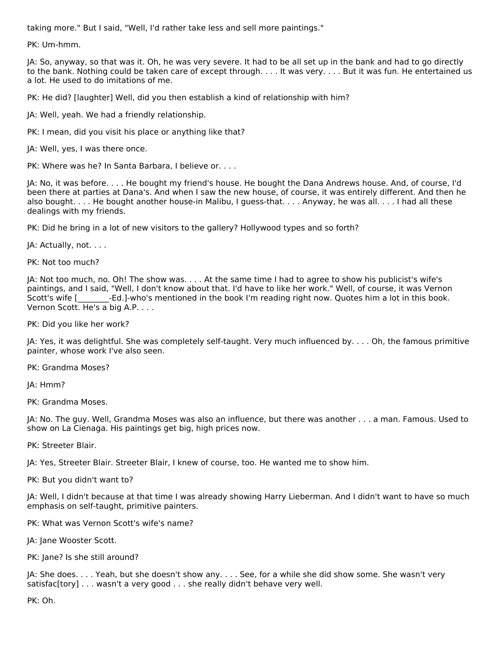taking more." But I said, "Well, I'd rather take less and sell more paintings."

PK: Um-hmm.

JA: So, anyway, so that was it. Oh, he was very severe. It had to be all set up in the bank and had to go directly to the bank. Nothing could be taken care of except through. . . . It was very. . . . But it was fun. He entertained us a lot. He used to do imitations of me.

PK: He did? [laughter] Well, did you then establish a kind of relationship with him?

JA: Well, yeah. We had a friendly relationship.

PK: I mean, did you visit his place or anything like that?

JA: Well, yes, I was there once.

PK: Where was he? In Santa Barbara, I believe or. . . .

JA: No, it was before. . . . He bought my friend's house. He bought the Dana Andrews house. And, of course, I'd been there at parties at Dana's. And when I saw the new house, of course, it was entirely different. And then he also bought. . . . He bought another house-in Malibu, I guess-that. . . . Anyway, he was all. . . . I had all these dealings with my friends.

PK: Did he bring in a lot of new visitors to the gallery? Hollywood types and so forth?

JA: Actually, not. . . .

PK: Not too much?

JA: Not too much, no. Oh! The show was. . . . At the same time I had to agree to show his publicist's wife's paintings, and I said, "Well, I don't know about that. I'd have to like her work." Well, of course, it was Vernon Scott's wife [\_\_\_\_\_\_\_\_-Ed.]-who's mentioned in the book I'm reading right now. Quotes him a lot in this book. Vernon Scott. He's a big A.P. . . .

PK: Did you like her work?

JA: Yes, it was delightful. She was completely self-taught. Very much influenced by. . . . Oh, the famous primitive painter, whose work I've also seen.

PK: Grandma Moses?

JA: Hmm?

PK: Grandma Moses.

JA: No. The guy. Well, Grandma Moses was also an influence, but there was another . . . a man. Famous. Used to show on La Cienaga. His paintings get big, high prices now.

PK: Streeter Blair.

JA: Yes, Streeter Blair. Streeter Blair, I knew of course, too. He wanted me to show him.

PK: But you didn't want to?

JA: Well, I didn't because at that time I was already showing Harry Lieberman. And I didn't want to have so much emphasis on self-taught, primitive painters.

PK: What was Vernon Scott's wife's name?

JA: Jane Wooster Scott.

PK: Jane? Is she still around?

JA: She does. . . . Yeah, but she doesn't show any. . . . See, for a while she did show some. She wasn't very satisfac[tory] . . . wasn't a very good . . . she really didn't behave very well.

PK: Oh.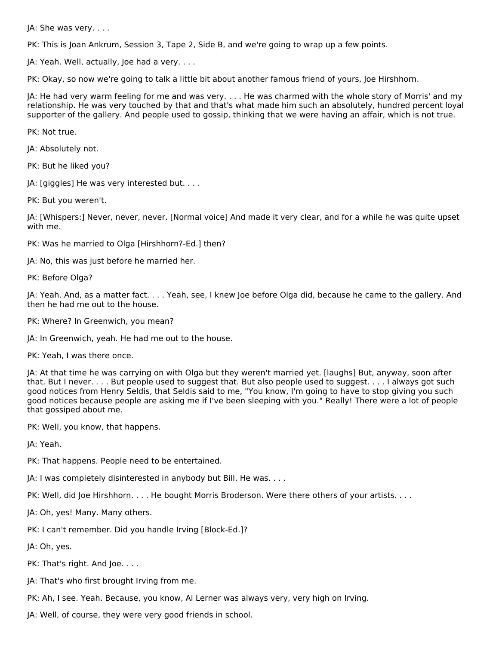JA: She was very. . . .

PK: This is Joan Ankrum, Session 3, Tape 2, Side B, and we're going to wrap up a few points.

JA: Yeah. Well, actually, Joe had a very. . . .

PK: Okay, so now we're going to talk a little bit about another famous friend of yours, Joe Hirshhorn.

JA: He had very warm feeling for me and was very. . . . He was charmed with the whole story of Morris' and my relationship. He was very touched by that and that's what made him such an absolutely, hundred percent loyal supporter of the gallery. And people used to gossip, thinking that we were having an affair, which is not true.

PK: Not true.

JA: Absolutely not.

PK: But he liked you?

JA: [giggles] He was very interested but. . . .

PK: But you weren't.

JA: [Whispers:] Never, never, never. [Normal voice] And made it very clear, and for a while he was quite upset with me.

PK: Was he married to Olga [Hirshhorn?-Ed.] then?

JA: No, this was just before he married her.

PK: Before Olga?

JA: Yeah. And, as a matter fact. . . . Yeah, see, I knew Joe before Olga did, because he came to the gallery. And then he had me out to the house.

PK: Where? In Greenwich, you mean?

JA: In Greenwich, yeah. He had me out to the house.

PK: Yeah, I was there once.

JA: At that time he was carrying on with Olga but they weren't married yet. [laughs] But, anyway, soon after that. But I never. . . . But people used to suggest that. But also people used to suggest. . . . I always got such good notices from Henry Seldis, that Seldis said to me, "You know, I'm going to have to stop giving you such good notices because people are asking me if I've been sleeping with you." Really! There were a lot of people that gossiped about me.

PK: Well, you know, that happens.

JA: Yeah.

PK: That happens. People need to be entertained.

JA: I was completely disinterested in anybody but Bill. He was. . . .

PK: Well, did Joe Hirshhorn. . . . He bought Morris Broderson. Were there others of your artists. . . .

JA: Oh, yes! Many. Many others.

PK: I can't remember. Did you handle Irving [Block-Ed.]?

JA: Oh, yes.

PK: That's right. And Joe. . . .

JA: That's who first brought Irving from me.

PK: Ah, I see. Yeah. Because, you know, Al Lerner was always very, very high on Irving.

JA: Well, of course, they were very good friends in school.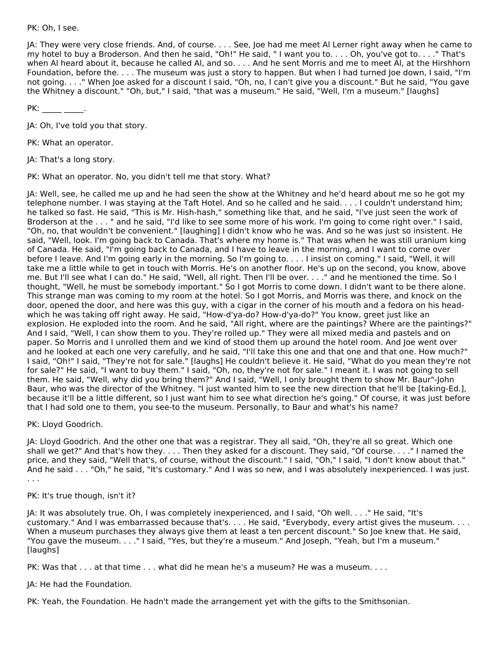### PK: Oh, I see.

JA: They were very close friends. And, of course. . . . See, Joe had me meet Al Lerner right away when he came to my hotel to buy a Broderson. And then he said, "Oh!" He said, " I want you to. . . . Oh, you've got to. . . ." That's when Al heard about it, because he called Al, and so. . . . And he sent Morris and me to meet Al, at the Hirshhorn Foundation, before the. . . . The museum was just a story to happen. But when I had turned Joe down, I said, "I'm not going. . . ." When Joe asked for a discount I said, "Oh, no, I can't give you a discount." But he said, "You gave the Whitney a discount." "Oh, but," I said, "that was a museum." He said, "Well, I'm a museum." [laughs]

PK: \_\_\_\_\_ \_\_\_\_\_.

JA: Oh, I've told you that story.

PK: What an operator.

JA: That's a long story.

PK: What an operator. No, you didn't tell me that story. What?

JA: Well, see, he called me up and he had seen the show at the Whitney and he'd heard about me so he got my telephone number. I was staying at the Taft Hotel. And so he called and he said. . . . I couldn't understand him; he talked so fast. He said, "This is Mr. Hish-hash," something like that, and he said, "I've just seen the work of Broderson at the . . . " and he said, "I'd like to see some more of his work. I'm going to come right over." I said, "Oh, no, that wouldn't be convenient." [laughing] I didn't know who he was. And so he was just so insistent. He said, "Well, look. I'm going back to Canada. That's where my home is." That was when he was still uranium king of Canada. He said, "I'm going back to Canada, and I have to leave in the morning, and I want to come over before I leave. And I'm going early in the morning. So I'm going to. . . . I insist on coming." I said, "Well, it will take me a little while to get in touch with Morris. He's on another floor. He's up on the second, you know, above me. But I'll see what I can do." He said, "Well, all right. Then I'll be over. . . ." and he mentioned the time. So I thought, "Well, he must be somebody important." So I got Morris to come down. I didn't want to be there alone. This strange man was coming to my room at the hotel. So I got Morris, and Morris was there, and knock on the door, opened the door, and here was this guy, with a cigar in the corner of his mouth and a fedora on his headwhich he was taking off right away. He said, "How-d'ya-do? How-d'ya-do?" You know, greet just like an explosion. He exploded into the room. And he said, "All right, where are the paintings? Where are the paintings?" And I said, "Well, I can show them to you. They're rolled up." They were all mixed media and pastels and on paper. So Morris and I unrolled them and we kind of stood them up around the hotel room. And Joe went over and he looked at each one very carefully, and he said, "I'll take this one and that one and that one. How much?" I said, "Oh!" I said, "They're not for sale." [laughs] He couldn't believe it. He said, "What do you mean they're not for sale?" He said, "I want to buy them." I said, "Oh, no, they're not for sale." I meant it. I was not going to sell them. He said, "Well, why did you bring them?" And I said, "Well, I only brought them to show Mr. Baur"-John Baur, who was the director of the Whitney. "I just wanted him to see the new direction that he'll be [taking-Ed.], because it'll be a little different, so I just want him to see what direction he's going." Of course, it was just before that I had sold one to them, you see-to the museum. Personally, to Baur and what's his name?

PK: Lloyd Goodrich.

JA: Lloyd Goodrich. And the other one that was a registrar. They all said, "Oh, they're all so great. Which one shall we get?" And that's how they. . . . Then they asked for a discount. They said, "Of course. . . ." I named the price, and they said, "Well that's, of course, without the discount." I said, "Oh," I said, "I don't know about that." And he said . . . "Oh," he said, "It's customary." And I was so new, and I was absolutely inexperienced. I was just. . . .

PK: It's true though, isn't it?

JA: It was absolutely true. Oh, I was completely inexperienced, and I said, "Oh well. . . ." He said, "It's customary." And I was embarrassed because that's. . . . He said, "Everybody, every artist gives the museum. . . . When a museum purchases they always give them at least a ten percent discount." So Joe knew that. He said, "You gave the museum. . . ." I said, "Yes, but they're a museum." And Joseph, "Yeah, but I'm a museum." [laughs]

PK: Was that . . . at that time . . . what did he mean he's a museum? He was a museum. . . .

JA: He had the Foundation.

PK: Yeah, the Foundation. He hadn't made the arrangement yet with the gifts to the Smithsonian.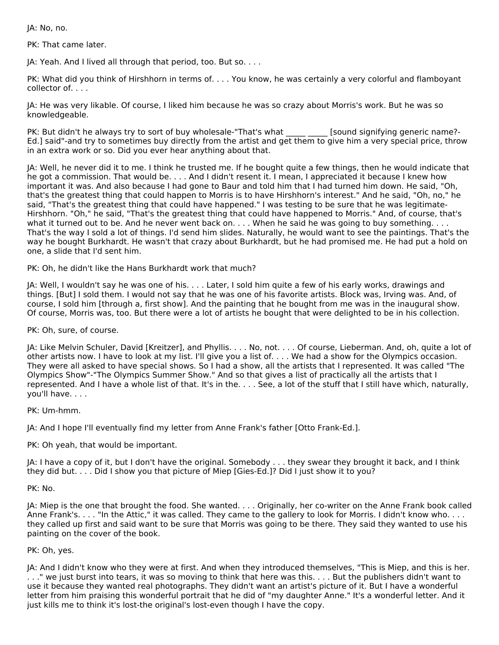JA: No, no.

PK: That came later.

JA: Yeah. And I lived all through that period, too. But so. . . .

PK: What did you think of Hirshhorn in terms of. . . . You know, he was certainly a very colorful and flamboyant collector of. . . .

JA: He was very likable. Of course, I liked him because he was so crazy about Morris's work. But he was so knowledgeable.

PK: But didn't he always try to sort of buy wholesale-"That's what \_\_\_\_\_ \_\_\_\_\_ [sound signifying generic name?-Ed.] said"-and try to sometimes buy directly from the artist and get them to give him a very special price, throw in an extra work or so. Did you ever hear anything about that.

JA: Well, he never did it to me. I think he trusted me. If he bought quite a few things, then he would indicate that he got a commission. That would be. . . . And I didn't resent it. I mean, I appreciated it because I knew how important it was. And also because I had gone to Baur and told him that I had turned him down. He said, "Oh, that's the greatest thing that could happen to Morris is to have Hirshhorn's interest." And he said, "Oh, no," he said, "That's the greatest thing that could have happened." I was testing to be sure that he was legitimate-Hirshhorn. "Oh," he said, "That's the greatest thing that could have happened to Morris." And, of course, that's what it turned out to be. And he never went back on. . . . When he said he was going to buy something. . . . That's the way I sold a lot of things. I'd send him slides. Naturally, he would want to see the paintings. That's the way he bought Burkhardt. He wasn't that crazy about Burkhardt, but he had promised me. He had put a hold on one, a slide that I'd sent him.

PK: Oh, he didn't like the Hans Burkhardt work that much?

JA: Well, I wouldn't say he was one of his. . . . Later, I sold him quite a few of his early works, drawings and things. [But] I sold them. I would not say that he was one of his favorite artists. Block was, Irving was. And, of course, I sold him [through a, first show]. And the painting that he bought from me was in the inaugural show. Of course, Morris was, too. But there were a lot of artists he bought that were delighted to be in his collection.

PK: Oh, sure, of course.

JA: Like Melvin Schuler, David [Kreitzer], and Phyllis. . . . No, not. . . . Of course, Lieberman. And, oh, quite a lot of other artists now. I have to look at my list. I'll give you a list of. . . . We had a show for the Olympics occasion. They were all asked to have special shows. So I had a show, all the artists that I represented. It was called "The Olympics Show"-"The Olympics Summer Show." And so that gives a list of practically all the artists that I represented. And I have a whole list of that. It's in the. . . . See, a lot of the stuff that I still have which, naturally, you'll have. . . .

PK: Um-hmm.

JA: And I hope I'll eventually find my letter from Anne Frank's father [Otto Frank-Ed.].

PK: Oh yeah, that would be important.

JA: I have a copy of it, but I don't have the original. Somebody . . . they swear they brought it back, and I think they did but. . . . Did I show you that picture of Miep [Gies-Ed.]? Did I just show it to you?

PK: No.

JA: Miep is the one that brought the food. She wanted. . . . Originally, her co-writer on the Anne Frank book called Anne Frank's. . . . "In the Attic," it was called. They came to the gallery to look for Morris. I didn't know who. . . . they called up first and said want to be sure that Morris was going to be there. They said they wanted to use his painting on the cover of the book.

### PK: Oh, yes.

JA: And I didn't know who they were at first. And when they introduced themselves, "This is Miep, and this is her. . . ." we just burst into tears, it was so moving to think that here was this. . . . But the publishers didn't want to use it because they wanted real photographs. They didn't want an artist's picture of it. But I have a wonderful letter from him praising this wonderful portrait that he did of "my daughter Anne." It's a wonderful letter. And it just kills me to think it's lost-the original's lost-even though I have the copy.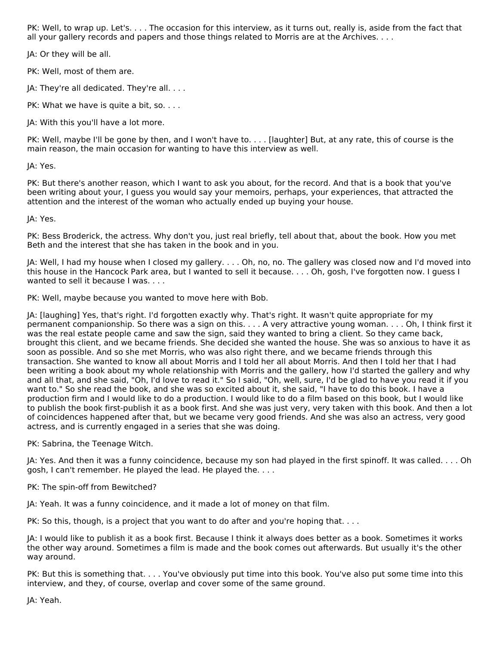PK: Well, to wrap up. Let's. . . . The occasion for this interview, as it turns out, really is, aside from the fact that all your gallery records and papers and those things related to Morris are at the Archives. . . .

JA: Or they will be all.

PK: Well, most of them are.

JA: They're all dedicated. They're all. . . .

PK: What we have is quite a bit, so. . . .

JA: With this you'll have a lot more.

PK: Well, maybe I'll be gone by then, and I won't have to. . . . [laughter] But, at any rate, this of course is the main reason, the main occasion for wanting to have this interview as well.

JA: Yes.

PK: But there's another reason, which I want to ask you about, for the record. And that is a book that you've been writing about your, I guess you would say your memoirs, perhaps, your experiences, that attracted the attention and the interest of the woman who actually ended up buying your house.

JA: Yes.

PK: Bess Broderick, the actress. Why don't you, just real briefly, tell about that, about the book. How you met Beth and the interest that she has taken in the book and in you.

JA: Well, I had my house when I closed my gallery. . . . Oh, no, no. The gallery was closed now and I'd moved into this house in the Hancock Park area, but I wanted to sell it because. . . . Oh, gosh, I've forgotten now. I guess I wanted to sell it because I was. . . .

PK: Well, maybe because you wanted to move here with Bob.

JA: [laughing] Yes, that's right. I'd forgotten exactly why. That's right. It wasn't quite appropriate for my permanent companionship. So there was a sign on this. . . . A very attractive young woman. . . . Oh, I think first it was the real estate people came and saw the sign, said they wanted to bring a client. So they came back, brought this client, and we became friends. She decided she wanted the house. She was so anxious to have it as soon as possible. And so she met Morris, who was also right there, and we became friends through this transaction. She wanted to know all about Morris and I told her all about Morris. And then I told her that I had been writing a book about my whole relationship with Morris and the gallery, how I'd started the gallery and why and all that, and she said, "Oh, I'd love to read it." So I said, "Oh, well, sure, I'd be glad to have you read it if you want to." So she read the book, and she was so excited about it, she said, "I have to do this book. I have a production firm and I would like to do a production. I would like to do a film based on this book, but I would like to publish the book first-publish it as a book first. And she was just very, very taken with this book. And then a lot of coincidences happened after that, but we became very good friends. And she was also an actress, very good actress, and is currently engaged in a series that she was doing.

PK: Sabrina, the Teenage Witch.

JA: Yes. And then it was a funny coincidence, because my son had played in the first spinoff. It was called. . . . Oh gosh, I can't remember. He played the lead. He played the. . . .

PK: The spin-off from Bewitched?

JA: Yeah. It was a funny coincidence, and it made a lot of money on that film.

PK: So this, though, is a project that you want to do after and you're hoping that. . . .

JA: I would like to publish it as a book first. Because I think it always does better as a book. Sometimes it works the other way around. Sometimes a film is made and the book comes out afterwards. But usually it's the other way around.

PK: But this is something that. . . . You've obviously put time into this book. You've also put some time into this interview, and they, of course, overlap and cover some of the same ground.

JA: Yeah.